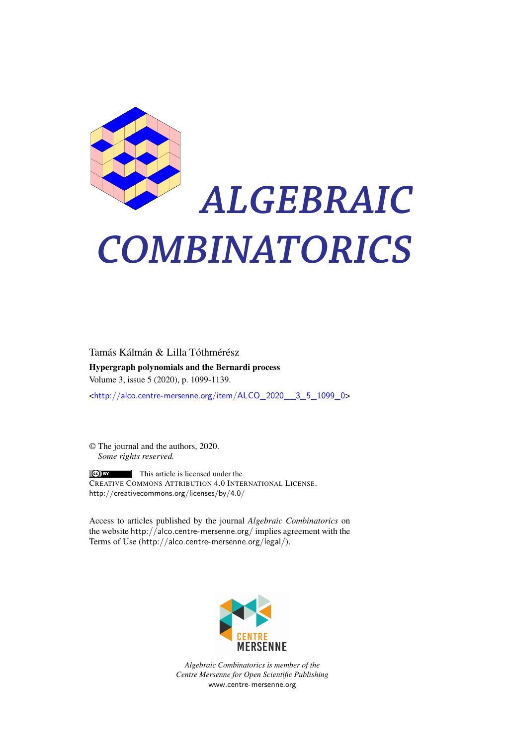

# *ALGEBRAIC COMBINATORICS*

Tamás Kálmán & Lilla Tóthmérész Hypergraph polynomials and the Bernardi process Volume 3, issue 5 (2020), p. 1099-1139.

<[http://alco.centre-mersenne.org/item/ALCO\\_2020\\_\\_3\\_5\\_1099\\_0](http://alco.centre-mersenne.org/item/ALCO_2020__3_5_1099_0)>

© The journal and the authors, 2020. *Some rights reserved.*

**C** EX This article is licensed under the CREATIVE COMMONS ATTRIBUTION 4.0 INTERNATIONAL LICENSE. <http://creativecommons.org/licenses/by/4.0/>

Access to articles published by the journal *Algebraic Combinatorics* on the website <http://alco.centre-mersenne.org/> implies agreement with the Terms of Use (<http://alco.centre-mersenne.org/legal/>).



*Algebraic Combinatorics is member of the Centre Mersenne for Open Scientific Publishing* <www.centre-mersenne.org>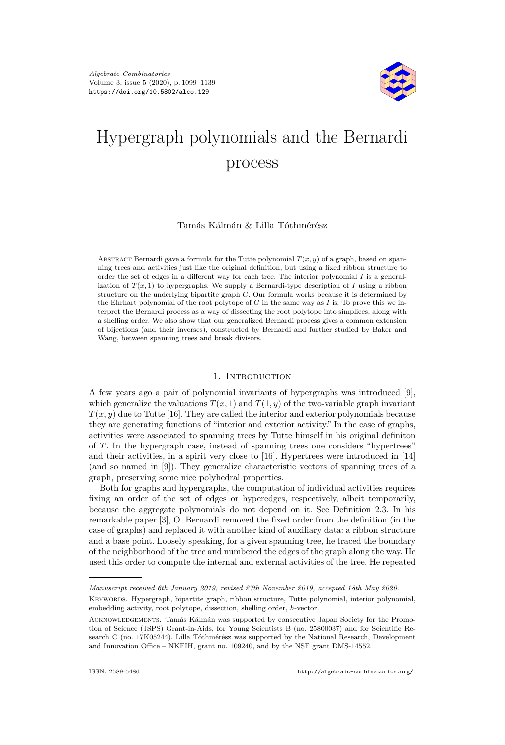

# Hypergraph polynomials and the Bernardi process

## Tamás Kálmán & Lilla Tóthmérész

ABSTRACT Bernardi gave a formula for the Tutte polynomial  $T(x, y)$  of a graph, based on spanning trees and activities just like the original definition, but using a fixed ribbon structure to order the set of edges in a different way for each tree. The interior polynomial *I* is a generalization of  $T(x, 1)$  to hypergraphs. We supply a Bernardi-type description of *I* using a ribbon structure on the underlying bipartite graph *G*. Our formula works because it is determined by the Ehrhart polynomial of the root polytope of *G* in the same way as *I* is. To prove this we interpret the Bernardi process as a way of dissecting the root polytope into simplices, along with a shelling order. We also show that our generalized Bernardi process gives a common extension of bijections (and their inverses), constructed by Bernardi and further studied by Baker and Wang, between spanning trees and break divisors.

#### 1. Introduction

A few years ago a pair of polynomial invariants of hypergraphs was introduced [\[9\]](#page-40-0), which generalize the valuations  $T(x, 1)$  and  $T(1, y)$  of the two-variable graph invariant  $T(x, y)$  due to Tutte [\[16\]](#page-41-0). They are called the interior and exterior polynomials because they are generating functions of "interior and exterior activity." In the case of graphs, activities were associated to spanning trees by Tutte himself in his original definiton of *T*. In the hypergraph case, instead of spanning trees one considers "hypertrees" and their activities, in a spirit very close to [\[16\]](#page-41-0). Hypertrees were introduced in [\[14\]](#page-40-1) (and so named in [\[9\]](#page-40-0)). They generalize characteristic vectors of spanning trees of a graph, preserving some nice polyhedral properties.

Both for graphs and hypergraphs, the computation of individual activities requires fixing an order of the set of edges or hyperedges, respectively, albeit temporarily, because the aggregate polynomials do not depend on it. See Definition [2.3.](#page-5-0) In his remarkable paper [\[3\]](#page-40-2), O. Bernardi removed the fixed order from the definition (in the case of graphs) and replaced it with another kind of auxiliary data: a ribbon structure and a base point. Loosely speaking, for a given spanning tree, he traced the boundary of the neighborhood of the tree and numbered the edges of the graph along the way. He used this order to compute the internal and external activities of the tree. He repeated

*Manuscript received 6th January 2019, revised 27th November 2019, accepted 18th May 2020.*

Keywords. Hypergraph, bipartite graph, ribbon structure, Tutte polynomial, interior polynomial, embedding activity, root polytope, dissection, shelling order, *h*-vector.

Acknowledgements. Tamás Kálmán was supported by consecutive Japan Society for the Promotion of Science (JSPS) Grant-in-Aids, for Young Scientists B (no. 25800037) and for Scientific Research C (no. 17K05244). Lilla Tóthmérész was supported by the National Research, Development and Innovation Office – NKFIH, grant no. 109240, and by the NSF grant DMS-14552.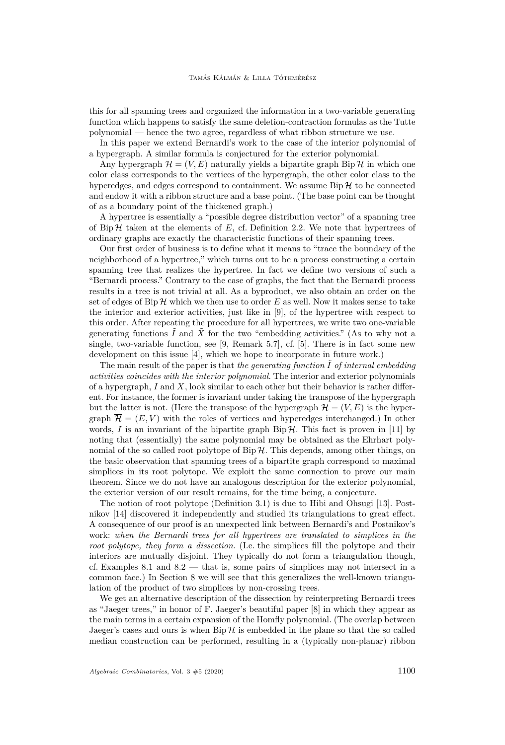this for all spanning trees and organized the information in a two-variable generating function which happens to satisfy the same deletion-contraction formulas as the Tutte polynomial — hence the two agree, regardless of what ribbon structure we use.

In this paper we extend Bernardi's work to the case of the interior polynomial of a hypergraph. A similar formula is conjectured for the exterior polynomial.

Any hypergraph  $\mathcal{H} = (V, E)$  naturally yields a bipartite graph Bip  $\mathcal{H}$  in which one color class corresponds to the vertices of the hypergraph, the other color class to the hyperedges, and edges correspond to containment. We assume  $\text{Bip}\,\mathcal{H}$  to be connected and endow it with a ribbon structure and a base point. (The base point can be thought of as a boundary point of the thickened graph.)

A hypertree is essentially a "possible degree distribution vector" of a spanning tree of Bip  $H$  taken at the elements of  $E$ , cf. Definition [2.2.](#page-4-0) We note that hypertrees of ordinary graphs are exactly the characteristic functions of their spanning trees.

Our first order of business is to define what it means to "trace the boundary of the neighborhood of a hypertree," which turns out to be a process constructing a certain spanning tree that realizes the hypertree. In fact we define two versions of such a "Bernardi process." Contrary to the case of graphs, the fact that the Bernardi process results in a tree is not trivial at all. As a byproduct, we also obtain an order on the set of edges of Bip  $H$  which we then use to order  $E$  as well. Now it makes sense to take the interior and exterior activities, just like in [\[9\]](#page-40-0), of the hypertree with respect to this order. After repeating the procedure for all hypertrees, we write two one-variable generating functions  $\tilde{I}$  and  $\tilde{X}$  for the two "embedding activities." (As to why not a single, two-variable function, see [\[9,](#page-40-0) Remark 5.7], cf. [\[5\]](#page-40-3). There is in fact some new development on this issue [\[4\]](#page-40-4), which we hope to incorporate in future work.)

The main result of the paper is that *the generating function*  $\tilde{I}$  *of internal embedding activities coincides with the interior polynomial*. The interior and exterior polynomials of a hypergraph, *I* and *X*, look similar to each other but their behavior is rather different. For instance, the former is invariant under taking the transpose of the hypergraph but the latter is not. (Here the transpose of the hypergraph  $\mathcal{H} = (V, E)$  is the hypergraph  $\overline{\mathcal{H}} = (E, V)$  with the roles of vertices and hyperedges interchanged.) In other words,  $I$  is an invariant of the bipartite graph  $\text{Bip}\,\mathcal{H}$ . This fact is proven in [\[11\]](#page-40-5) by noting that (essentially) the same polynomial may be obtained as the Ehrhart polynomial of the so called root polytope of  $\text{Bip }\mathcal{H}$ . This depends, among other things, on the basic observation that spanning trees of a bipartite graph correspond to maximal simplices in its root polytope. We exploit the same connection to prove our main theorem. Since we do not have an analogous description for the exterior polynomial, the exterior version of our result remains, for the time being, a conjecture.

The notion of root polytope (Definition [3.1\)](#page-8-0) is due to Hibi and Ohsugi [\[13\]](#page-40-6). Postnikov [\[14\]](#page-40-1) discovered it independently and studied its triangulations to great effect. A consequence of our proof is an unexpected link between Bernardi's and Postnikov's work: *when the Bernardi trees for all hypertrees are translated to simplices in the root polytope, they form a dissection*. (I.e. the simplices fill the polytope and their interiors are mutually disjoint. They typically do not form a triangulation though, cf. Examples [8.1](#page-36-0) and  $8.2$  — that is, some pairs of simplices may not intersect in a common face.) In Section [8](#page-35-0) we will see that this generalizes the well-known triangulation of the product of two simplices by non-crossing trees.

We get an alternative description of the dissection by reinterpreting Bernardi trees as "Jaeger trees," in honor of F. Jaeger's beautiful paper [\[8\]](#page-40-7) in which they appear as the main terms in a certain expansion of the Homfly polynomial. (The overlap between Jaeger's cases and ours is when  $\text{Bip } H$  is embedded in the plane so that the so called median construction can be performed, resulting in a (typically non-planar) ribbon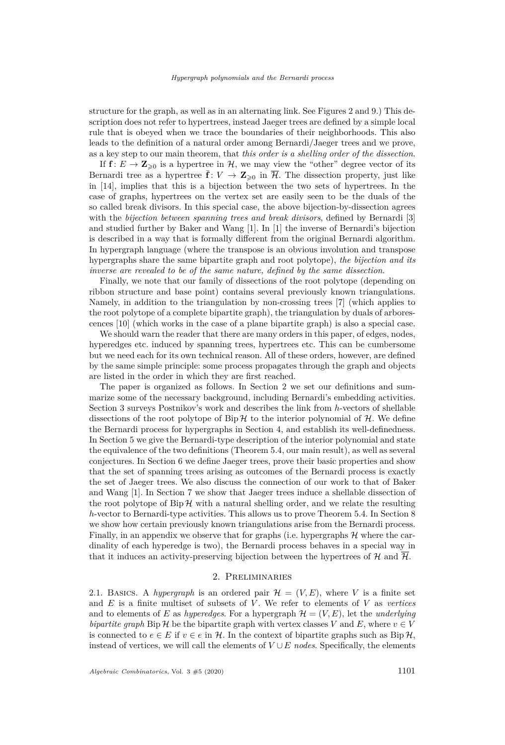structure for the graph, as well as in an alternating link. See Figures [2](#page-12-0) and [9.](#page-35-1)) This description does not refer to hypertrees, instead Jaeger trees are defined by a simple local rule that is obeyed when we trace the boundaries of their neighborhoods. This also leads to the definition of a natural order among Bernardi/Jaeger trees and we prove, as a key step to our main theorem, that *this order is a shelling order of the dissection*.

If  $f: E \to \mathbb{Z}_{\geqslant 0}$  is a hypertree in  $H$ , we may view the "other" degree vector of its Bernardi tree as a hypertree  $\bar{\mathbf{f}}: V \to \mathbf{Z}_{\geq 0}$  in  $\bar{\mathcal{H}}$ . The dissection property, just like in [\[14\]](#page-40-1), implies that this is a bijection between the two sets of hypertrees. In the case of graphs, hypertrees on the vertex set are easily seen to be the duals of the so called break divisors. In this special case, the above bijection-by-dissection agrees with the *bijection between spanning trees and break divisors*, defined by Bernardi [\[3\]](#page-40-2) and studied further by Baker and Wang [\[1\]](#page-40-8). In [\[1\]](#page-40-8) the inverse of Bernardi's bijection is described in a way that is formally different from the original Bernardi algorithm. In hypergraph language (where the transpose is an obvious involution and transpose hypergraphs share the same bipartite graph and root polytope), *the bijection and its inverse are revealed to be of the same nature, defined by the same dissection*.

Finally, we note that our family of dissections of the root polytope (depending on ribbon structure and base point) contains several previously known triangulations. Namely, in addition to the triangulation by non-crossing trees [\[7\]](#page-40-9) (which applies to the root polytope of a complete bipartite graph), the triangulation by duals of arborescences [\[10\]](#page-40-10) (which works in the case of a plane bipartite graph) is also a special case.

We should warn the reader that there are many orders in this paper, of edges, nodes, hyperedges etc. induced by spanning trees, hypertrees etc. This can be cumbersome but we need each for its own technical reason. All of these orders, however, are defined by the same simple principle: some process propagates through the graph and objects are listed in the order in which they are first reached.

The paper is organized as follows. In Section [2](#page-3-0) we set our definitions and summarize some of the necessary background, including Bernardi's embedding activities. Section [3](#page-7-0) surveys Postnikov's work and describes the link from *h*-vectors of shellable dissections of the root polytope of  $Bip\mathcal{H}$  to the interior polynomial of  $\mathcal{H}$ . We define the Bernardi process for hypergraphs in Section [4,](#page-10-0) and establish its well-definedness. In Section [5](#page-20-0) we give the Bernardi-type description of the interior polynomial and state the equivalence of the two definitions (Theorem [5.4,](#page-21-0) our main result), as well as several conjectures. In Section [6](#page-22-0) we define Jaeger trees, prove their basic properties and show that the set of spanning trees arising as outcomes of the Bernardi process is exactly the set of Jaeger trees. We also discuss the connection of our work to that of Baker and Wang [\[1\]](#page-40-8). In Section [7](#page-28-0) we show that Jaeger trees induce a shellable dissection of the root polytope of  $\text{Bip } H$  with a natural shelling order, and we relate the resulting *h*-vector to Bernardi-type activities. This allows us to prove Theorem [5.4.](#page-21-0) In Section [8](#page-35-0) we show how certain previously known triangulations arise from the Bernardi process. Finally, in an appendix we observe that for graphs (i.e. hypergraphs  $H$  where the cardinality of each hyperedge is two), the Bernardi process behaves in a special way in that it induces an activity-preserving bijection between the hypertrees of H and  $\overline{\mathcal{H}}$ .

#### 2. Preliminaries

<span id="page-3-0"></span>2.1. BASICS. A *hypergraph* is an ordered pair  $\mathcal{H} = (V, E)$ , where V is a finite set and *E* is a finite multiset of subsets of *V* . We refer to elements of *V* as *vertices* and to elements of *E* as *hyperedges*. For a hypergraph  $\mathcal{H} = (V, E)$ , let the *underlying bipartite graph* Bip H be the bipartite graph with vertex classes *V* and *E*, where  $v \in V$ is connected to  $e \in E$  if  $v \in e$  in H. In the context of bipartite graphs such as Bip H, instead of vertices, we will call the elements of  $V \cup E$  *nodes*. Specifically, the elements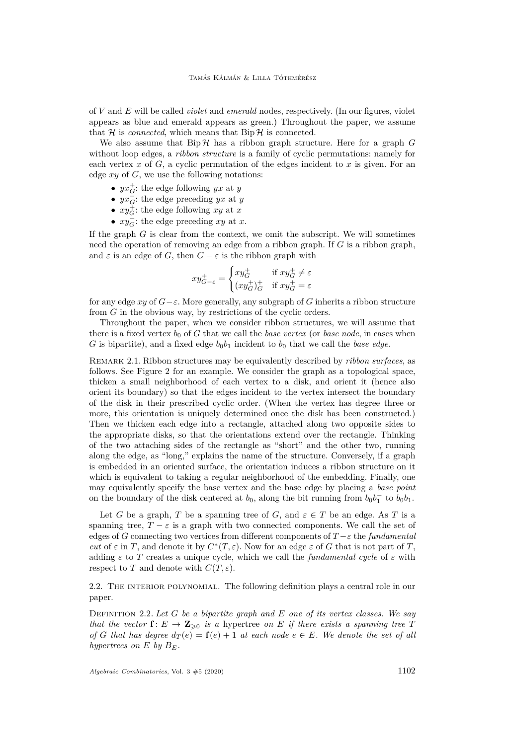of *V* and *E* will be called *violet* and *emerald* nodes, respectively. (In our figures, violet appears as blue and emerald appears as green.) Throughout the paper, we assume that  $H$  is *connected*, which means that  $\text{Bip } H$  is connected.

We also assume that  $\text{Bip}\,\mathcal{H}$  has a ribbon graph structure. Here for a graph *G* without loop edges, a *ribbon structure* is a family of cyclic permutations: namely for each vertex  $x$  of  $G$ , a cyclic permutation of the edges incident to  $x$  is given. For an edge *xy* of *G*, we use the following notations:

- $yx_G^+$ : the edge following *yx* at *y*
- $yx\overline{G}$ : the edge preceding *yx* at *y*
- $xy_G^{\dagger}$ : the edge following *xy* at *x*
- $xy\overline{G}$ : the edge preceding *xy* at *x*.

If the graph *G* is clear from the context, we omit the subscript. We will sometimes need the operation of removing an edge from a ribbon graph. If *G* is a ribbon graph, and  $\varepsilon$  is an edge of *G*, then  $G - \varepsilon$  is the ribbon graph with

$$
xy_{G-\varepsilon}^{+} = \begin{cases} xy_G^{+} & \text{if } xy_G^{+} \neq \varepsilon \\ (xy_G^{+})_G^{+} & \text{if } xy_G^{+} = \varepsilon \end{cases}
$$

for any edge  $xy$  of  $G$ − $\varepsilon$ . More generally, any subgraph of G inherits a ribbon structure from *G* in the obvious way, by restrictions of the cyclic orders.

Throughout the paper, when we consider ribbon structures, we will assume that there is a fixed vertex  $b_0$  of  $G$  that we call the *base vertex* (or *base node*, in cases when *G* is bipartite), and a fixed edge  $b_0b_1$  incident to  $b_0$  that we call the *base edge*.

<span id="page-4-1"></span>Remark 2.1. Ribbon structures may be equivalently described by *ribbon surfaces*, as follows. See Figure [2](#page-12-0) for an example. We consider the graph as a topological space, thicken a small neighborhood of each vertex to a disk, and orient it (hence also orient its boundary) so that the edges incident to the vertex intersect the boundary of the disk in their prescribed cyclic order. (When the vertex has degree three or more, this orientation is uniquely determined once the disk has been constructed.) Then we thicken each edge into a rectangle, attached along two opposite sides to the appropriate disks, so that the orientations extend over the rectangle. Thinking of the two attaching sides of the rectangle as "short" and the other two, running along the edge, as "long," explains the name of the structure. Conversely, if a graph is embedded in an oriented surface, the orientation induces a ribbon structure on it which is equivalent to taking a regular neighborhood of the embedding. Finally, one may equivalently specify the base vertex and the base edge by placing a *base point* on the boundary of the disk centered at  $b_0$ , along the bit running from  $b_0b_1^-$  to  $b_0b_1$ .

Let *G* be a graph, *T* be a spanning tree of *G*, and  $\varepsilon \in T$  be an edge. As *T* is a spanning tree,  $T - \varepsilon$  is a graph with two connected components. We call the set of edges of *G* connecting two vertices from different components of *T* −*ε* the *fundamental cut* of  $\varepsilon$  in *T*, and denote it by  $C^*(T, \varepsilon)$ . Now for an edge  $\varepsilon$  of *G* that is not part of *T*, adding  $\varepsilon$  to *T* creates a unique cycle, which we call the *fundamental cycle* of  $\varepsilon$  with respect to *T* and denote with  $C(T, \varepsilon)$ .

<span id="page-4-2"></span>2.2. The interior polynomial. The following definition plays a central role in our paper.

<span id="page-4-0"></span>Definition 2.2. *Let G be a bipartite graph and E one of its vertex classes. We say that the vector*  $f: E \to \mathbb{Z}_{\geq 0}$  *is a* hypertree *on E if there exists a spanning tree T of G* that has degree  $d_T(e) = \mathbf{f}(e) + 1$  at each node  $e \in E$ *. We denote the set of all hypertrees on*  $E$  *by*  $B_F$ *.*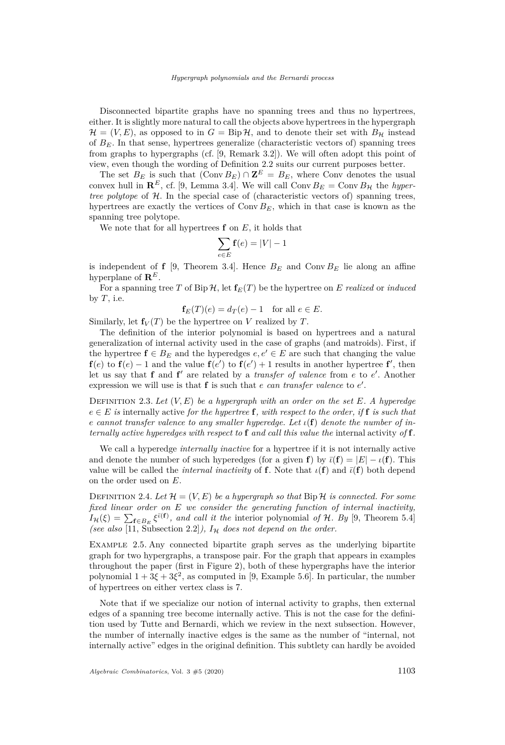Disconnected bipartite graphs have no spanning trees and thus no hypertrees, either. It is slightly more natural to call the objects above hypertrees in the hypergraph  $\mathcal{H} = (V, E)$ , as opposed to in  $G = \text{Bip}\,\mathcal{H}$ , and to denote their set with  $B_{\mathcal{H}}$  instead of *BE*. In that sense, hypertrees generalize (characteristic vectors of) spanning trees from graphs to hypergraphs (cf. [\[9,](#page-40-0) Remark 3.2]). We will often adopt this point of view, even though the wording of Definition [2.2](#page-4-0) suits our current purposes better.

The set  $B_E$  is such that  $(\text{Conv } B_E) \cap \mathbf{Z}^E = B_E$ , where Conv denotes the usual convex hull in  $\mathbb{R}^E$ , cf. [\[9,](#page-40-0) Lemma 3.4]. We will call Conv  $B_E = \text{Conv } B_H$  the *hypertree polytope* of H. In the special case of (characteristic vectors of) spanning trees, hypertrees are exactly the vertices of Conv *BE*, which in that case is known as the spanning tree polytope.

We note that for all hypertrees **f** on *E*, it holds that

$$
\sum_{e \in E} \mathbf{f}(e) = |V| - 1
$$

is independent of **f** [\[9,](#page-40-0) Theorem 3.4]. Hence  $B_F$  and Conv  $B_F$  lie along an affine hyperplane of  $\mathbf{R}^E$ .

For a spanning tree *T* of Bip  $H$ , let  $f_E(T)$  be the hypertree on *E* realized or *induced* by  $T$ , i.e.

$$
\mathbf{f}_E(T)(e) = d_T(e) - 1 \quad \text{for all } e \in E.
$$

Similarly, let  $f_V(T)$  be the hypertree on *V* realized by *T*.

The definition of the interior polynomial is based on hypertrees and a natural generalization of internal activity used in the case of graphs (and matroids). First, if the hypertree  $f \in B_E$  and the hyperedges  $e, e' \in E$  are such that changing the value **f**(*e*) to **f**(*e*) − 1 and the value **f**(*e*<sup> $\prime$ </sup>) to **f**(*e*<sup> $\prime$ </sup>) + 1 results in another hypertree **f**<sup> $\prime$ </sup>, then let us say that **f** and **f**' are related by a *transfer of valence* from *e* to *e*'. Another expression we will use is that  $f$  is such that  $e$  *can transfer valence* to  $e'$ .

<span id="page-5-0"></span>DEFINITION 2.3. Let  $(V, E)$  be a hypergraph with an order on the set  $E$ . A hyperedge  $e \in E$  *is* internally active *for the hypertree* **f***, with respect to the order, if* **f** *is such that e cannot transfer valence to any smaller hyperedge. Let ι*(**f**) *denote the number of internally active hyperedges with respect to* **f** *and call this value the* internal activity *of* **f***.*

We call a hyperedge *internally inactive* for a hypertree if it is not internally active and denote the number of such hyperedges (for a given **f**) by  $\bar{\iota}(\mathbf{f}) = |E| - \iota(\mathbf{f})$ . This value will be called the *internal inactivity* of **f**. Note that  $\iota(\mathbf{f})$  and  $\bar{\iota}(\mathbf{f})$  both depend on the order used on *E*.

<span id="page-5-1"></span>DEFINITION 2.4. Let  $\mathcal{H} = (V, E)$  be a hypergraph so that  $\text{Bip } \mathcal{H}$  is connected. For some *fixed linear order on E we consider the generating function of internal inactivity,*  $I_{\mathcal{H}}(\xi) = \sum_{\mathbf{f} \in B_E} \xi^{\bar{\iota}(\mathbf{f})}$ , and call it the interior polynomial of H. By [\[9,](#page-40-0) Theorem 5.4] *(see also* [\[11,](#page-40-5) Subsection 2.2]*),*  $I_{\mathcal{H}}$  does not depend on the order.

Example 2.5. Any connected bipartite graph serves as the underlying bipartite graph for two hypergraphs, a transpose pair. For the graph that appears in examples throughout the paper (first in Figure [2\)](#page-12-0), both of these hypergraphs have the interior polynomial  $1 + 3\xi + 3\xi^2$ , as computed in [\[9,](#page-40-0) Example 5.6]. In particular, the number of hypertrees on either vertex class is 7.

Note that if we specialize our notion of internal activity to graphs, then external edges of a spanning tree become internally active. This is not the case for the definition used by Tutte and Bernardi, which we review in the next subsection. However, the number of internally inactive edges is the same as the number of "internal, not internally active" edges in the original definition. This subtlety can hardly be avoided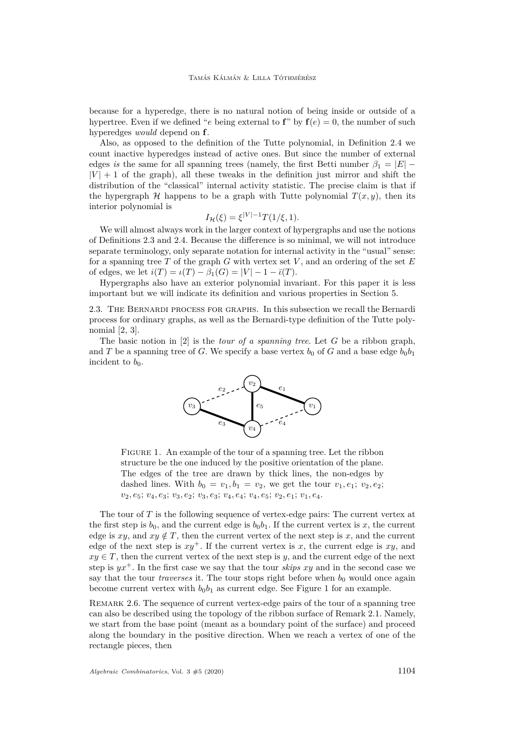because for a hyperedge, there is no natural notion of being inside or outside of a hypertree. Even if we defined "*e* being external to **f**" by  $f(e) = 0$ , the number of such hyperedges *would* depend on **f**.

Also, as opposed to the definition of the Tutte polynomial, in Definition [2.4](#page-5-1) we count inactive hyperedges instead of active ones. But since the number of external edges *is* the same for all spanning trees (namely, the first Betti number  $\beta_1 = |E|$  –  $|V| + 1$  of the graph), all these tweaks in the definition just mirror and shift the distribution of the "classical" internal activity statistic. The precise claim is that if the hypergraph  $H$  happens to be a graph with Tutte polynomial  $T(x, y)$ , then its interior polynomial is

$$
I_{\mathcal{H}}(\xi) = \xi^{|V|-1} T(1/\xi, 1).
$$

We will almost always work in the larger context of hypergraphs and use the notions of Definitions [2.3](#page-5-0) and [2.4.](#page-5-1) Because the difference is so minimal, we will not introduce separate terminology, only separate notation for internal activity in the "usual" sense: for a spanning tree *T* of the graph *G* with vertex set *V* , and an ordering of the set *E* of edges, we let  $i(T) = i(T) - \beta_1(G) = |V| - 1 - \overline{i}(T)$ .

Hypergraphs also have an exterior polynomial invariant. For this paper it is less important but we will indicate its definition and various properties in Section [5.](#page-20-0)

<span id="page-6-2"></span>2.3. The Bernardi process for graphs. In this subsection we recall the Bernardi process for ordinary graphs, as well as the Bernardi-type definition of the Tutte polynomial [\[2,](#page-40-11) [3\]](#page-40-2).

The basic notion in [\[2\]](#page-40-11) is the *tour of a spanning tree*. Let *G* be a ribbon graph, and *T* be a spanning tree of *G*. We specify a base vertex  $b_0$  of *G* and a base edge  $b_0b_1$ incident to  $b_0$ .



<span id="page-6-0"></span>Figure 1. An example of the tour of a spanning tree. Let the ribbon structure be the one induced by the positive orientation of the plane. The edges of the tree are drawn by thick lines, the non-edges by dashed lines. With  $b_0 = v_1, b_1 = v_2$ , we get the tour  $v_1, e_1$ ;  $v_2, e_2$ ; *v*2*, e*5; *v*4*, e*3; *v*3*, e*2; *v*3*, e*3; *v*4*, e*4; *v*4*, e*5; *v*2*, e*1; *v*1*, e*4.

The tour of *T* is the following sequence of vertex-edge pairs: The current vertex at the first step is  $b_0$ , and the current edge is  $b_0b_1$ . If the current vertex is x, the current edge is  $xy$ , and  $xy \notin T$ , then the current vertex of the next step is x, and the current edge of the next step is  $xy^+$ . If the current vertex is x, the current edge is xy, and  $xy \in T$ , then the current vertex of the next step is *y*, and the current edge of the next step is  $yx^+$ . In the first case we say that the tour *skips* xy and in the second case we say that the tour *traverses* it. The tour stops right before when  $b<sub>0</sub>$  would once again become current vertex with  $b_0b_1$  $b_0b_1$  as current edge. See Figure 1 for an example.

<span id="page-6-1"></span>REMARK 2.6. The sequence of current vertex-edge pairs of the tour of a spanning tree can also be described using the topology of the ribbon surface of Remark [2.1.](#page-4-1) Namely, we start from the base point (meant as a boundary point of the surface) and proceed along the boundary in the positive direction. When we reach a vertex of one of the rectangle pieces, then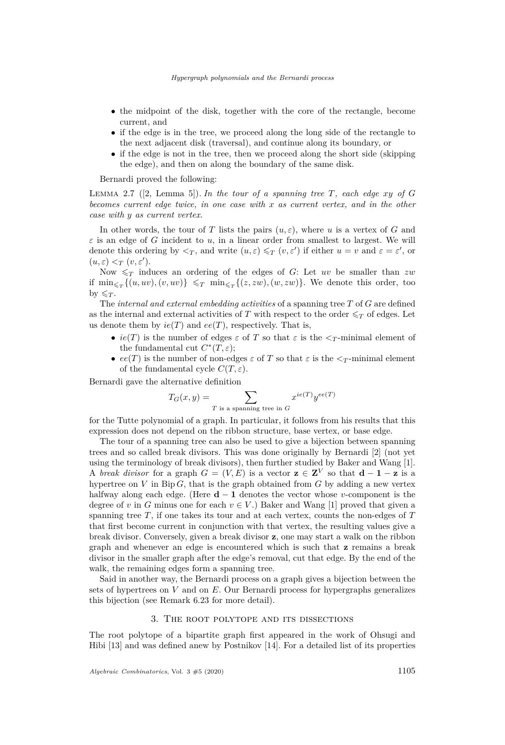- the midpoint of the disk, together with the core of the rectangle, become current, and
- if the edge is in the tree, we proceed along the long side of the rectangle to the next adjacent disk (traversal), and continue along its boundary, or
- if the edge is not in the tree, then we proceed along the short side (skipping the edge), and then on along the boundary of the same disk.

Bernardi proved the following:

<span id="page-7-1"></span>LEMMA 2.7 ([\[2,](#page-40-11) Lemma 5]). In the tour of a spanning tree  $T$ , each edge  $xy$  of  $G$ *becomes current edge twice, in one case with x as current vertex, and in the other case with y as current vertex.*

In other words, the tour of *T* lists the pairs  $(u, \varepsilon)$ , where *u* is a vertex of *G* and  $\varepsilon$  is an edge of *G* incident to *u*, in a linear order from smallest to largest. We will denote this ordering by  $\langle \nabla_T, \nabla \rangle$ , and write  $(u, \varepsilon) \leq T$   $(v, \varepsilon')$  if either  $u = v$  and  $\varepsilon = \varepsilon'$ , or  $(u, \varepsilon) <_T (v, \varepsilon').$ 

Now  $\leq_T$  induces an ordering of the edges of *G*: Let *uv* be smaller than *zw* if  $\min_{\leq T} \{(u, uv), (v, uv)\}\leq T \min_{\leq T} \{(z, zw), (w, zw)\}.$  We denote this order, too by  $\leq_T$ .

The *internal and external embedding activities* of a spanning tree *T* of *G* are defined as the internal and external activities of *T* with respect to the order  $\leq_T$  of edges. Let us denote them by  $ie(T)$  and  $ee(T)$ , respectively. That is,

- $ie(T)$  is the number of edges  $\varepsilon$  of T so that  $\varepsilon$  is the  $\leq_T$ -minimal element of the fundamental cut  $C^*(T,\varepsilon);$
- $ee(T)$  is the number of non-edges  $\varepsilon$  of  $T$  so that  $\varepsilon$  is the  $\leq_T$ -minimal element of the fundamental cycle  $C(T, \varepsilon)$ .

Bernardi gave the alternative definition

$$
T_G(x,y) = \sum_{T \text{ is a spanning tree in } G} x^{ie(T)} y^{ee(T)}
$$

for the Tutte polynomial of a graph. In particular, it follows from his results that this expression does not depend on the ribbon structure, base vertex, or base edge.

The tour of a spanning tree can also be used to give a bijection between spanning trees and so called break divisors. This was done originally by Bernardi [\[2\]](#page-40-11) (not yet using the terminology of break divisors), then further studied by Baker and Wang [\[1\]](#page-40-8). A *break divisor* for a graph  $G = (V, E)$  is a vector  $\mathbf{z} \in \mathbf{Z}^V$  so that  $\mathbf{d} - \mathbf{1} - \mathbf{z}$  is a hypertree on  $V$  in Bip  $G$ , that is the graph obtained from  $G$  by adding a new vertex halfway along each edge. (Here **d** − **1** denotes the vector whose *v*-component is the degree of *v* in *G* minus one for each  $v \in V$ .) Baker and Wang [\[1\]](#page-40-8) proved that given a spanning tree *T*, if one takes its tour and at each vertex, counts the non-edges of *T* that first become current in conjunction with that vertex, the resulting values give a break divisor. Conversely, given a break divisor **z**, one may start a walk on the ribbon graph and whenever an edge is encountered which is such that **z** remains a break divisor in the smaller graph after the edge's removal, cut that edge. By the end of the walk, the remaining edges form a spanning tree.

Said in another way, the Bernardi process on a graph gives a bijection between the sets of hypertrees on *V* and on *E*. Our Bernardi process for hypergraphs generalizes this bijection (see Remark [6.23](#page-28-1) for more detail).

#### 3. The root polytope and its dissections

<span id="page-7-0"></span>The root polytope of a bipartite graph first appeared in the work of Ohsugi and Hibi [\[13\]](#page-40-6) and was defined anew by Postnikov [\[14\]](#page-40-1). For a detailed list of its properties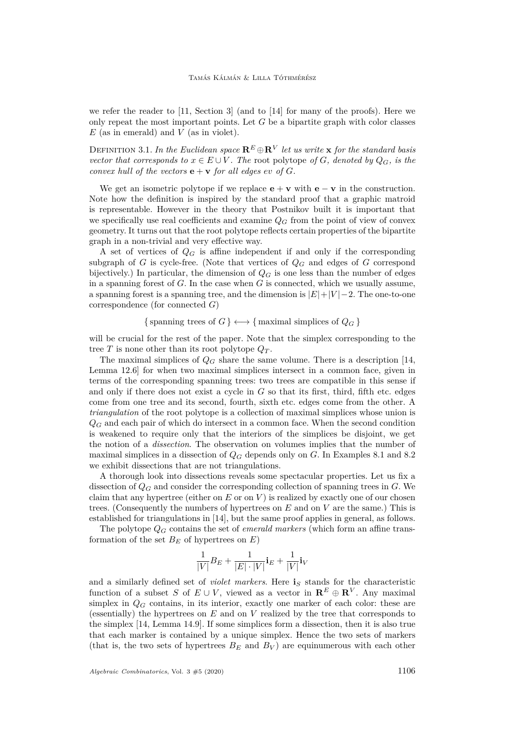we refer the reader to [\[11,](#page-40-5) Section 3] (and to [\[14\]](#page-40-1) for many of the proofs). Here we only repeat the most important points. Let *G* be a bipartite graph with color classes *E* (as in emerald) and *V* (as in violet).

<span id="page-8-0"></span>DEFINITION 3.1. In the Euclidean space  $\mathbf{R}^E \oplus \mathbf{R}^V$  let us write  $\mathbf{x}$  for the standard basis *vector that corresponds to*  $x \in E \cup V$ . The root polytope *of G, denoted by*  $Q_G$ *, is the convex hull of the vectors*  $\mathbf{e} + \mathbf{v}$  *for all edges*  $ev$  *of G.* 

We get an isometric polytope if we replace  $\mathbf{e} + \mathbf{v}$  with  $\mathbf{e} - \mathbf{v}$  in the construction. Note how the definition is inspired by the standard proof that a graphic matroid is representable. However in the theory that Postnikov built it is important that we specifically use real coefficients and examine  $Q_G$  from the point of view of convex geometry. It turns out that the root polytope reflects certain properties of the bipartite graph in a non-trivial and very effective way.

A set of vertices of *Q<sup>G</sup>* is affine independent if and only if the corresponding subgraph of *G* is cycle-free. (Note that vertices of  $Q_G$  and edges of *G* correspond bijectively.) In particular, the dimension of  $Q_G$  is one less than the number of edges in a spanning forest of *G*. In the case when *G* is connected, which we usually assume, a spanning forest is a spanning tree, and the dimension is |*E*|+|*V* |−2. The one-to-one correspondence (for connected *G*)

{ spanning trees of  $G$  }  $\longleftrightarrow$  { maximal simplices of  $Q_G$  }

will be crucial for the rest of the paper. Note that the simplex corresponding to the tree *T* is none other than its root polytope  $Q_T$ .

The maximal simplices of *Q<sup>G</sup>* share the same volume. There is a description [\[14,](#page-40-1) Lemma 12.6] for when two maximal simplices intersect in a common face, given in terms of the corresponding spanning trees: two trees are compatible in this sense if and only if there does not exist a cycle in *G* so that its first, third, fifth etc. edges come from one tree and its second, fourth, sixth etc. edges come from the other. A *triangulation* of the root polytope is a collection of maximal simplices whose union is  $Q_G$  and each pair of which do intersect in a common face. When the second condition is weakened to require only that the interiors of the simplices be disjoint, we get the notion of a *dissection*. The observation on volumes implies that the number of maximal simplices in a dissection of *Q<sup>G</sup>* depends only on *G*. In Examples [8.1](#page-36-0) and [8.2](#page-36-1) we exhibit dissections that are not triangulations.

A thorough look into dissections reveals some spectacular properties. Let us fix a dissection of *Q<sup>G</sup>* and consider the corresponding collection of spanning trees in *G*. We claim that any hypertree (either on  $E$  or on  $V$ ) is realized by exactly one of our chosen trees. (Consequently the numbers of hypertrees on *E* and on *V* are the same.) This is established for triangulations in [\[14\]](#page-40-1), but the same proof applies in general, as follows.

The polytope  $Q_G$  contains the set of *emerald markers* (which form an affine transformation of the set  $B_E$  of hypertrees on  $E$ )

$$
\frac{1}{|V|}B_E + \frac{1}{|E|\cdot |V|}\mathbf{i}_E + \frac{1}{|V|}\mathbf{i}_V
$$

and a similarly defined set of *violet markers*. Here is stands for the characteristic function of a subset *S* of  $E \cup V$ , viewed as a vector in  $\mathbb{R}^E \oplus \mathbb{R}^V$ . Any maximal simplex in  $Q_G$  contains, in its interior, exactly one marker of each color: these are (essentially) the hypertrees on *E* and on *V* realized by the tree that corresponds to the simplex [\[14,](#page-40-1) Lemma 14.9]. If some simplices form a dissection, then it is also true that each marker is contained by a unique simplex. Hence the two sets of markers (that is, the two sets of hypertrees  $B_E$  and  $B_V$ ) are equinumerous with each other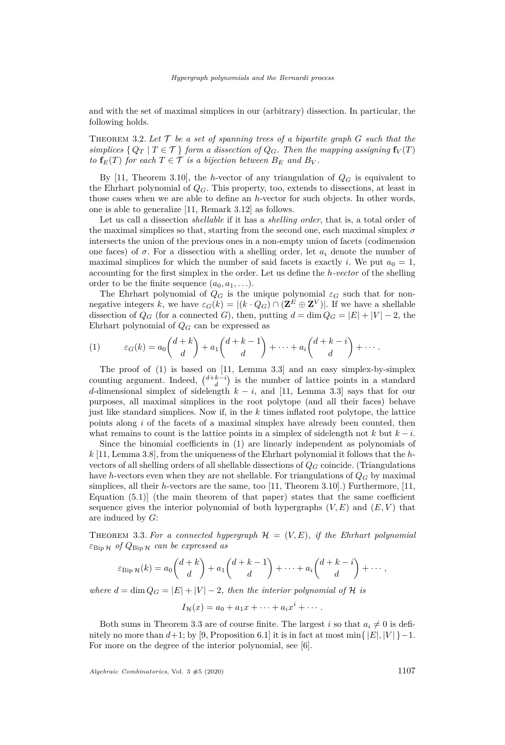and with the set of maximal simplices in our (arbitrary) dissection. In particular, the following holds.

<span id="page-9-2"></span>THEOREM 3.2. Let  $\mathcal{T}$  be a set of spanning trees of a bipartite graph  $G$  such that the *simplices*  $\{Q_T | T \in \mathcal{T}\}\$  *form a dissection of*  $Q_G$ *. Then the mapping assigning*  $\mathbf{f}_V(T)$ *to*  $f_E(T)$  *for each*  $T \in \mathcal{T}$  *is a bijection between*  $B_E$  *and*  $B_V$ *.* 

By [\[11,](#page-40-5) Theorem 3.10], the *h*-vector of any triangulation of  $Q_G$  is equivalent to the Ehrhart polynomial of *QG*. This property, too, extends to dissections, at least in those cases when we are able to define an *h*-vector for such objects. In other words, one is able to generalize [\[11,](#page-40-5) Remark 3.12] as follows.

Let us call a dissection *shellable* if it has a *shelling order*, that is, a total order of the maximal simplices so that, starting from the second one, each maximal simplex *σ* intersects the union of the previous ones in a non-empty union of facets (codimension one faces) of  $\sigma$ . For a dissection with a shelling order, let  $a_i$  denote the number of maximal simplices for which the number of said facets is exactly *i*. We put  $a_0 = 1$ , accounting for the first simplex in the order. Let us define the *h-vector* of the shelling order to be the finite sequence  $(a_0, a_1, \ldots)$ .

The Ehrhart polynomial of  $Q_G$  is the unique polynomial  $\varepsilon_G$  such that for nonnegative integers *k*, we have  $\varepsilon_G(k) = |(k \cdot Q_G) \cap (\mathbf{Z}^E \oplus \mathbf{Z}^V)|$ . If we have a shellable dissection of  $Q_G$  (for a connected *G*), then, putting  $d = \dim Q_G = |E| + |V| - 2$ , the Ehrhart polynomial of *Q<sup>G</sup>* can be expressed as

<span id="page-9-0"></span>(1) 
$$
\varepsilon_G(k) = a_0 \binom{d+k}{d} + a_1 \binom{d+k-1}{d} + \cdots + a_i \binom{d+k-i}{d} + \cdots
$$

The proof of  $(1)$  is based on [\[11,](#page-40-5) Lemma 3.3] and an easy simplex-by-simplex counting argument. Indeed,  $\binom{d+k-i}{d}$  is the number of lattice points in a standard *d*-dimensional simplex of sidelength  $k - i$ , and [\[11,](#page-40-5) Lemma 3.3] says that for our purposes, all maximal simplices in the root polytope (and all their faces) behave just like standard simplices. Now if, in the *k* times inflated root polytope, the lattice points along *i* of the facets of a maximal simplex have already been counted, then what remains to count is the lattice points in a simplex of sidelength not  $k$  but  $k - i$ .

Since the binomial coefficients in [\(1\)](#page-9-0) are linearly independent as polynomials of *k* [\[11,](#page-40-5) Lemma 3.8], from the uniqueness of the Ehrhart polynomial it follows that the *h*vectors of all shelling orders of all shellable dissections of *Q<sup>G</sup>* coincide. (Triangulations have *h*-vectors even when they are not shellable. For triangulations of *Q<sup>G</sup>* by maximal simplices, all their *h*-vectors are the same, too [\[11,](#page-40-5) Theorem 3.10].) Furthermore, [\[11,](#page-40-5) Equation  $(5.1)$ ] (the main theorem of that paper) states that the same coefficient sequence gives the interior polynomial of both hypergraphs  $(V, E)$  and  $(E, V)$  that are induced by *G*:

<span id="page-9-1"></span>THEOREM 3.3. For a connected hypergraph  $\mathcal{H} = (V, E)$ , if the Ehrhart polynomial *ε*Bip <sup>H</sup> *of Q*Bip <sup>H</sup> *can be expressed as*

$$
\varepsilon_{\text{Bip}\,\mathcal{H}}(k) = a_0 \binom{d+k}{d} + a_1 \binom{d+k-1}{d} + \cdots + a_i \binom{d+k-i}{d} + \cdots,
$$

*where*  $d = \dim Q_G = |E| + |V| - 2$ *, then the interior polynomial of*  $H$  *is* 

$$
I_{\mathcal{H}}(x) = a_0 + a_1 x + \cdots + a_i x^i + \cdots.
$$

Both sums in Theorem [3.3](#page-9-1) are of course finite. The largest *i* so that  $a_i \neq 0$  is definitely no more than  $d+1$ ; by [\[9,](#page-40-0) Proposition 6.1] it is in fact at most min{ $|E|$ ,  $|V|$ } -1. For more on the degree of the interior polynomial, see [\[6\]](#page-40-12).

*Algebraic Combinatorics*, Vol. 3  $\#5$  (2020) 1107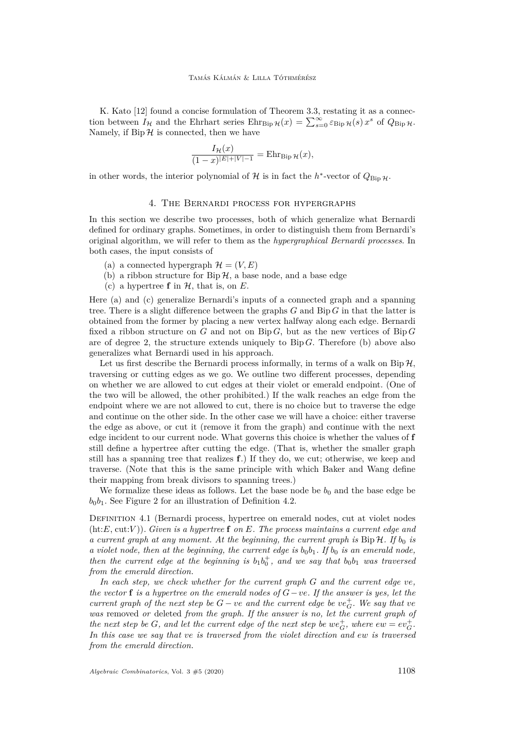K. Kato [\[12\]](#page-40-13) found a concise formulation of Theorem [3.3,](#page-9-1) restating it as a connection between  $I_{\mathcal{H}}$  and the Ehrhart series  $Ehr_{\text{Bip}\,\mathcal{H}}(x) = \sum_{s=0}^{\infty} \varepsilon_{\text{Bip}\,\mathcal{H}}(s) x^s$  of  $Q_{\text{Bip}\,\mathcal{H}}$ . Namely, if  $\text{Bip}\,\mathcal{H}$  is connected, then we have

$$
\frac{I_{\mathcal{H}}(x)}{(1-x)^{|E|+|V|-1}} = \mathrm{Ehr}_{\mathrm{Bip}\,\mathcal{H}}(x),
$$

in other words, the interior polynomial of  $\mathcal{H}$  is in fact the *h*<sup>\*</sup>-vector of  $Q_{\text{Bip}}\mu$ .

#### 4. The Bernardi process for hypergraphs

<span id="page-10-0"></span>In this section we describe two processes, both of which generalize what Bernardi defined for ordinary graphs. Sometimes, in order to distinguish them from Bernardi's original algorithm, we will refer to them as the *hypergraphical Bernardi processes*. In both cases, the input consists of

- <span id="page-10-1"></span>(a) a connected hypergraph  $\mathcal{H} = (V, E)$
- <span id="page-10-3"></span>(b) a ribbon structure for  $\text{Bip}\,\mathcal{H}$ , a base node, and a base edge
- <span id="page-10-2"></span>(c) a hypertree  $f$  in  $H$ , that is, on  $E$ .

Here [\(a\)](#page-10-1) and [\(c\)](#page-10-2) generalize Bernardi's inputs of a connected graph and a spanning tree. There is a slight difference between the graphs *G* and Bip *G* in that the latter is obtained from the former by placing a new vertex halfway along each edge. Bernardi fixed a ribbon structure on *G* and not on Bip *G*, but as the new vertices of Bip *G* are of degree 2, the structure extends uniquely to  $\text{Bip } G$ . Therefore [\(b\)](#page-10-3) above also generalizes what Bernardi used in his approach.

Let us first describe the Bernardi process informally, in terms of a walk on  $\text{Bip}\,\mathcal{H}$ , traversing or cutting edges as we go. We outline two different processes, depending on whether we are allowed to cut edges at their violet or emerald endpoint. (One of the two will be allowed, the other prohibited.) If the walk reaches an edge from the endpoint where we are not allowed to cut, there is no choice but to traverse the edge and continue on the other side. In the other case we will have a choice: either traverse the edge as above, or cut it (remove it from the graph) and continue with the next edge incident to our current node. What governs this choice is whether the values of **f** still define a hypertree after cutting the edge. (That is, whether the smaller graph still has a spanning tree that realizes **f**.) If they do, we cut; otherwise, we keep and traverse. (Note that this is the same principle with which Baker and Wang define their mapping from break divisors to spanning trees.)

We formalize these ideas as follows. Let the base node be  $b_0$  and the base edge be  $b_0b_1$ . See Figure [2](#page-12-0) for an illustration of Definition [4.2.](#page-11-0)

<span id="page-10-4"></span>Definition 4.1 (Bernardi process, hypertree on emerald nodes, cut at violet nodes (ht:*E*, cut:*V* )). *Given is a hypertree* **f** *on E. The process maintains a current edge and a current graph at any moment. At the beginning, the current graph is*  $\text{Bip}\,\mathcal{H}$ . If  $b_0$  *is a violet node, then at the beginning, the current edge is*  $b_0b_1$ . If  $b_0$  *is an emerald node, then the current edge at the beginning is*  $b_1b_0^+$ , and we say that  $b_0b_1$  was traversed *from the emerald direction.*

*In each step, we check whether for the current graph G and the current edge ve, the vector* **f** *is a hypertree on the emerald nodes of G*−*ve. If the answer is yes, let the current graph of the next step be*  $G - ve$  *and the current edge be*  $ve_G^+$ *. We say that*  $ve$ *was* removed *or* deleted *from the graph. If the answer is no, let the current graph of the next step be G*, and let the current edge of the next step be  $we^+_G$ , where  $ew = ev^+_G$ . *In this case we say that ve is traversed from the violet direction and ew is traversed from the emerald direction.*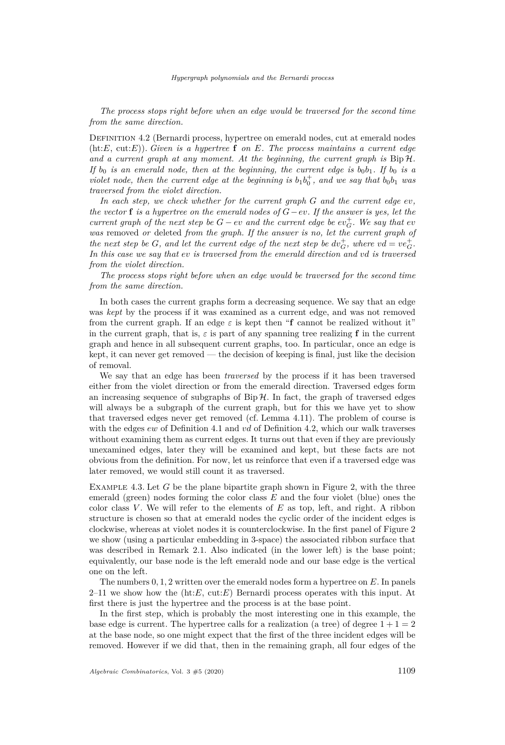*The process stops right before when an edge would be traversed for the second time from the same direction.*

<span id="page-11-0"></span>Definition 4.2 (Bernardi process, hypertree on emerald nodes, cut at emerald nodes (ht:*E*, cut:*E*)). *Given is a hypertree* **f** *on E. The process maintains a current edge and a current graph at any moment. At the beginning, the current graph is* Bip H*. If*  $b_0$  *is an emerald node, then at the beginning, the current edge is*  $b_0b_1$ *. If*  $b_0$  *is a violet node, then the current edge at the beginning is*  $b_1b_0^+$ *, and we say that*  $b_0b_1$  *was traversed from the violet direction.*

*In each step, we check whether for the current graph G and the current edge ev, the vector* **f** *is a hypertree on the emerald nodes of G*−*ev. If the answer is yes, let the current graph of the next step be*  $G - ev$  *and the current edge be*  $ev_G^+$ *. We say that*  $ev$ *was* removed *or* deleted *from the graph. If the answer is no, let the current graph of the next step be G, and let the current edge of the next step be*  $dv_G^+$ *, where*  $vd = ve_G^+$ *. In this case we say that ev is traversed from the emerald direction and vd is traversed from the violet direction.*

*The process stops right before when an edge would be traversed for the second time from the same direction.*

In both cases the current graphs form a decreasing sequence. We say that an edge was *kept* by the process if it was examined as a current edge, and was not removed from the current graph. If an edge  $\varepsilon$  is kept then "**f** cannot be realized without it" in the current graph, that is,  $\varepsilon$  is part of any spanning tree realizing **f** in the current graph and hence in all subsequent current graphs, too. In particular, once an edge is kept, it can never get removed — the decision of keeping is final, just like the decision of removal.

We say that an edge has been *traversed* by the process if it has been traversed either from the violet direction or from the emerald direction. Traversed edges form an increasing sequence of subgraphs of  $Bip\mathcal{H}$ . In fact, the graph of traversed edges will always be a subgraph of the current graph, but for this we have yet to show that traversed edges never get removed (cf. Lemma [4.11\)](#page-18-0). The problem of course is with the edges *ew* of Definition [4.1](#page-10-4) and *vd* of Definition [4.2,](#page-11-0) which our walk traverses without examining them as current edges. It turns out that even if they are previously unexamined edges, later they will be examined and kept, but these facts are not obvious from the definition. For now, let us reinforce that even if a traversed edge was later removed, we would still count it as traversed.

<span id="page-11-1"></span>Example 4.3. Let *G* be the plane bipartite graph shown in Figure [2,](#page-12-0) with the three emerald (green) nodes forming the color class *E* and the four violet (blue) ones the color class  $V$ . We will refer to the elements of  $E$  as top, left, and right. A ribbon structure is chosen so that at emerald nodes the cyclic order of the incident edges is clockwise, whereas at violet nodes it is counterclockwise. In the first panel of Figure [2](#page-12-0) we show (using a particular embedding in 3-space) the associated ribbon surface that was described in Remark [2.1.](#page-4-1) Also indicated (in the lower left) is the base point; equivalently, our base node is the left emerald node and our base edge is the vertical one on the left.

The numbers 0*,* 1*,* 2 written over the emerald nodes form a hypertree on *E*. In panels 2–11 we show how the (ht:*E*, cut:*E*) Bernardi process operates with this input. At first there is just the hypertree and the process is at the base point.

In the first step, which is probably the most interesting one in this example, the base edge is current. The hypertree calls for a realization (a tree) of degree  $1+1=2$ at the base node, so one might expect that the first of the three incident edges will be removed. However if we did that, then in the remaining graph, all four edges of the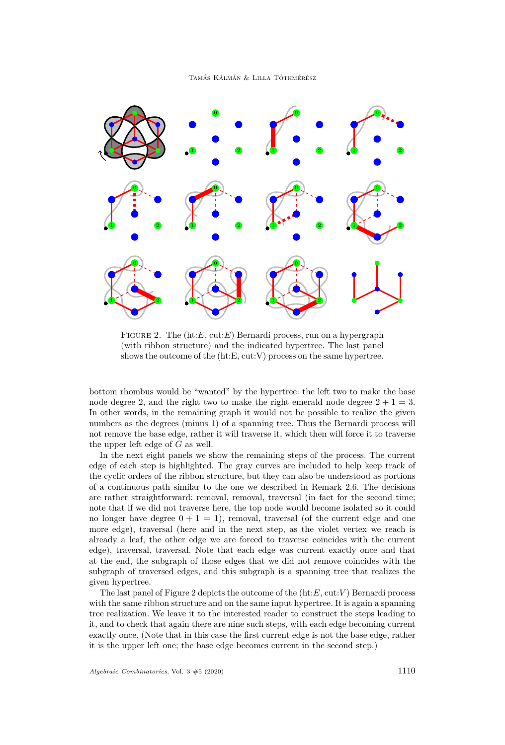Tamás Kálmán & Lilla Tóthmérész



<span id="page-12-0"></span>FIGURE 2. The (ht:*E*, cut:*E*) Bernardi process, run on a hypergraph (with ribbon structure) and the indicated hypertree. The last panel shows the outcome of the (ht:E, cut:V) process on the same hypertree.

bottom rhombus would be "wanted" by the hypertree: the left two to make the base node degree 2, and the right two to make the right emerald node degree  $2 + 1 = 3$ . In other words, in the remaining graph it would not be possible to realize the given numbers as the degrees (minus 1) of a spanning tree. Thus the Bernardi process will not remove the base edge, rather it will traverse it, which then will force it to traverse the upper left edge of *G* as well.

In the next eight panels we show the remaining steps of the process. The current edge of each step is highlighted. The gray curves are included to help keep track of the cyclic orders of the ribbon structure, but they can also be understood as portions of a continuous path similar to the one we described in Remark [2.6.](#page-6-1) The decisions are rather straightforward: removal, removal, traversal (in fact for the second time; note that if we did not traverse here, the top node would become isolated so it could no longer have degree  $0 + 1 = 1$ ), removal, traversal (of the current edge and one more edge), traversal (here and in the next step, as the violet vertex we reach is already a leaf, the other edge we are forced to traverse coincides with the current edge), traversal, traversal. Note that each edge was current exactly once and that at the end, the subgraph of those edges that we did not remove coincides with the subgraph of traversed edges, and this subgraph is a spanning tree that realizes the given hypertree.

The last panel of Figure [2](#page-12-0) depicts the outcome of the (ht:*E*, cut:*V* ) Bernardi process with the same ribbon structure and on the same input hypertree. It is again a spanning tree realization. We leave it to the interested reader to construct the steps leading to it, and to check that again there are nine such steps, with each edge becoming current exactly once. (Note that in this case the first current edge is not the base edge, rather it is the upper left one; the base edge becomes current in the second step.)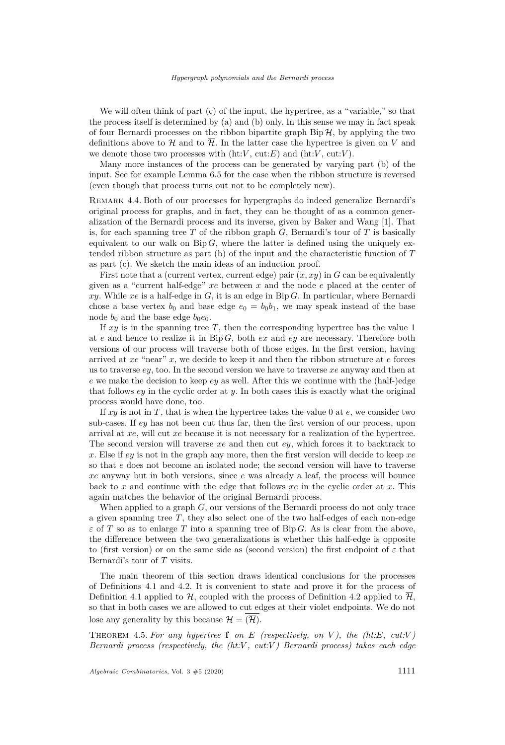We will often think of part [\(c\)](#page-10-2) of the input, the hypertree, as a "variable," so that the process itself is determined by [\(a\)](#page-10-1) and [\(b\)](#page-10-3) only. In this sense we may in fact speak of four Bernardi processes on the ribbon bipartite graph  $\text{Bip } H$ , by applying the two definitions above to  $\mathcal{H}$  and to  $\overline{\mathcal{H}}$ . In the latter case the hypertree is given on *V* and we denote those two processes with  $(ht:V, cut:E)$  and  $(ht:V, cut:V)$ .

Many more instances of the process can be generated by varying part [\(b\)](#page-10-3) of the input. See for example Lemma [6.5](#page-23-0) for the case when the ribbon structure is reversed (even though that process turns out not to be completely new).

<span id="page-13-0"></span>Remark 4.4. Both of our processes for hypergraphs do indeed generalize Bernardi's original process for graphs, and in fact, they can be thought of as a common generalization of the Bernardi process and its inverse, given by Baker and Wang [\[1\]](#page-40-8). That is, for each spanning tree *T* of the ribbon graph *G*, Bernardi's tour of *T* is basically equivalent to our walk on  $\text{Bip } G$ , where the latter is defined using the uniquely extended ribbon structure as part [\(b\)](#page-10-3) of the input and the characteristic function of *T* as part [\(c\).](#page-10-2) We sketch the main ideas of an induction proof.

First note that a (current vertex, current edge) pair  $(x, xy)$  in  $G$  can be equivalently given as a "current half-edge" *xe* between *x* and the node *e* placed at the center of *xy*. While *xe* is a half-edge in *G*, it is an edge in Bip *G*. In particular, where Bernardi chose a base vertex  $b_0$  and base edge  $e_0 = b_0 b_1$ , we may speak instead of the base node  $b_0$  and the base edge  $b_0e_0$ .

If  $xy$  is in the spanning tree  $T$ , then the corresponding hypertree has the value 1 at *e* and hence to realize it in Bip *G*, both *ex* and *ey* are necessary. Therefore both versions of our process will traverse both of those edges. In the first version, having arrived at *xe* "near" *x*, we decide to keep it and then the ribbon structure at *e* forces us to traverse *ey*, too. In the second version we have to traverse *xe* anyway and then at *e* we make the decision to keep *ey* as well. After this we continue with the (half-)edge that follows *ey* in the cyclic order at *y*. In both cases this is exactly what the original process would have done, too.

If *xy* is not in *T*, that is when the hypertree takes the value 0 at *e*, we consider two sub-cases. If *ey* has not been cut thus far, then the first version of our process, upon arrival at *xe*, will cut *xe* because it is not necessary for a realization of the hypertree. The second version will traverse *xe* and then cut *ey*, which forces it to backtrack to *x*. Else if *ey* is not in the graph any more, then the first version will decide to keep *xe* so that *e* does not become an isolated node; the second version will have to traverse *xe* anyway but in both versions, since *e* was already a leaf, the process will bounce back to *x* and continue with the edge that follows *xe* in the cyclic order at *x*. This again matches the behavior of the original Bernardi process.

When applied to a graph *G*, our versions of the Bernardi process do not only trace a given spanning tree *T*, they also select one of the two half-edges of each non-edge  $\varepsilon$  of *T* so as to enlarge *T* into a spanning tree of Bip *G*. As is clear from the above, the difference between the two generalizations is whether this half-edge is opposite to (first version) or on the same side as (second version) the first endpoint of *ε* that Bernardi's tour of *T* visits.

The main theorem of this section draws identical conclusions for the processes of Definitions [4.1](#page-10-4) and [4.2.](#page-11-0) It is convenient to state and prove it for the process of Definition [4.1](#page-10-4) applied to H, coupled with the process of Definition [4.2](#page-11-0) applied to  $\overline{\mathcal{H}}$ , so that in both cases we are allowed to cut edges at their violet endpoints. We do not lose any generality by this because  $\mathcal{H} = \overline{\overline{\mathcal{H}}}$ .

<span id="page-13-1"></span>THEOREM 4.5. For any hypertree **f** on  $E$  (respectively, on  $V$ ), the (ht: $E$ , cut: $V$ ) *Bernardi process (respectively, the (ht:V , cut:V ) Bernardi process) takes each edge*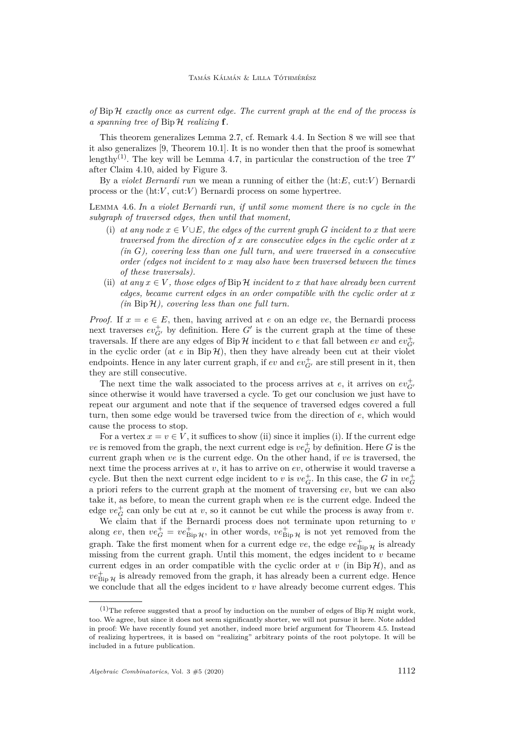*of* Bip H *exactly once as current edge. The current graph at the end of the process is a spanning tree of* Bip H *realizing* **f***.*

This theorem generalizes Lemma [2.7,](#page-7-1) cf. Remark [4.4.](#page-13-0) In Section [8](#page-35-0) we will see that it also generalizes [\[9,](#page-40-0) Theorem 10.1]. It is no wonder then that the proof is somewhat lengthy<sup>(1)</sup>. The key will be Lemma [4.7,](#page-15-0) in particular the construction of the tree  $T'$ after Claim [4.10,](#page-16-0) aided by Figure [3.](#page-17-0)

By a *violet Bernardi run* we mean a running of either the (ht:*E*, cut:*V* ) Bernardi process or the  $(ht:V, cut:V)$  Bernardi process on some hypertree.

<span id="page-14-2"></span>Lemma 4.6. *In a violet Bernardi run, if until some moment there is no cycle in the subgraph of traversed edges, then until that moment,*

- <span id="page-14-1"></span>(i) at any node  $x \in V \cup E$ , the edges of the current graph G incident to x that were *traversed from the direction of x are consecutive edges in the cyclic order at x (in G), covering less than one full turn, and were traversed in a consecutive order (edges not incident to x may also have been traversed between the times of these traversals).*
- <span id="page-14-0"></span>(ii) at any  $x \in V$ , those edges of Bip H incident to x that have already been current *edges, became current edges in an order compatible with the cyclic order at x (in* Bip H*), covering less than one full turn.*

*Proof.* If  $x = e \in E$ , then, having arrived at *e* on an edge *ve*, the Bernardi process next traverses  $ev_{G'}^+$  by definition. Here  $G'$  is the current graph at the time of these traversals. If there are any edges of Bip  $\mathcal H$  incident to *e* that fall between *ev* and  $ev_{G'}^+$ in the cyclic order (at  $e$  in  $\text{Bip}\,\mathcal{H}$ ), then they have already been cut at their violet endpoints. Hence in any later current graph, if  $ev$  and  $ev_{G'}^+$  are still present in it, then they are still consecutive.

The next time the walk associated to the process arrives at  $e$ , it arrives on  $ev_{G}^+$ since otherwise it would have traversed a cycle. To get our conclusion we just have to repeat our argument and note that if the sequence of traversed edges covered a full turn, then some edge would be traversed twice from the direction of *e*, which would cause the process to stop.

For a vertex  $x = v \in V$ , it suffices to show [\(ii\)](#page-14-0) since it implies [\(i\).](#page-14-1) If the current edge *ve* is removed from the graph, the next current edge is  $ve_G^+$  by definition. Here *G* is the current graph when *ve* is the current edge. On the other hand, if *ve* is traversed, the next time the process arrives at *v*, it has to arrive on *ev*, otherwise it would traverse a cycle. But then the next current edge incident to *v* is  $ve_G^+$ . In this case, the *G* in  $ve_G^+$ a priori refers to the current graph at the moment of traversing *ev*, but we can also take it, as before, to mean the current graph when *ve* is the current edge. Indeed the edge  $ve_G^+$  can only be cut at *v*, so it cannot be cut while the process is away from *v*.

We claim that if the Bernardi process does not terminate upon returning to *v* along *ev*, then  $ve_G^+ = ve_{\text{Bip }\mathcal{H}}^+$ , in other words,  $ve_{\text{Bip }\mathcal{H}}^+$  is not yet removed from the graph. Take the first moment when for a current edge *ve*, the edge  $ve_{\text{Bip }\mathcal{H}}^{\dagger}$  is already missing from the current graph. Until this moment, the edges incident to *v* became current edges in an order compatible with the cyclic order at  $v$  (in Bip  $\mathcal{H}$ ), and as  $ve_{\text{Bip }\mathcal{H}}^{+}$  is already removed from the graph, it has already been a current edge. Hence we conclude that all the edges incident to *v* have already become current edges. This

<sup>&</sup>lt;sup>(1)</sup>The referee suggested that a proof by induction on the number of edges of Bip  $H$  might work, too. We agree, but since it does not seem significantly shorter, we will not pursue it here. Note added in proof: We have recently found yet another, indeed more brief argument for Theorem [4.5.](#page-13-1) Instead of realizing hypertrees, it is based on "realizing" arbitrary points of the root polytope. It will be included in a future publication.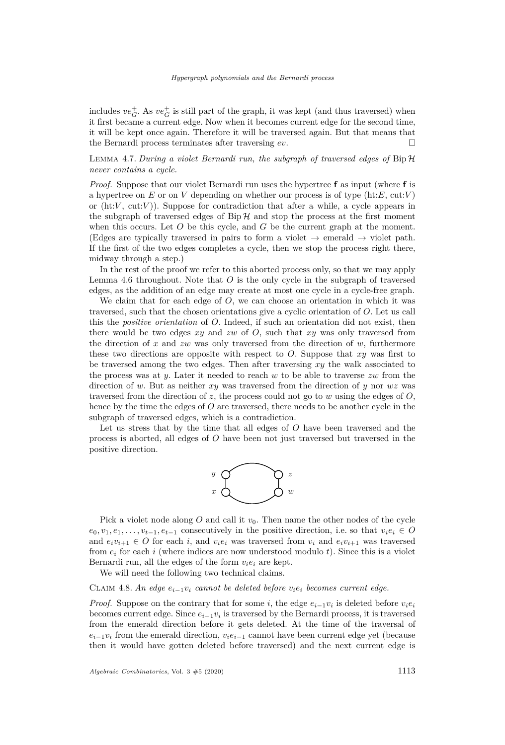includes  $ve_G^+$ . As  $ve_G^+$  is still part of the graph, it was kept (and thus traversed) when it first became a current edge. Now when it becomes current edge for the second time, it will be kept once again. Therefore it will be traversed again. But that means that the Bernardi process terminates after traversing *ev*.

# <span id="page-15-0"></span>Lemma 4.7. *During a violet Bernardi run, the subgraph of traversed edges of* Bip H *never contains a cycle.*

*Proof.* Suppose that our violet Bernardi run uses the hypertree **f** as input (where **f** is a hypertree on *E* or on *V* depending on whether our process is of type (ht:*E*, cut:*V* ) or  $(\text{ht}:V, \text{cut}:V)$ ). Suppose for contradiction that after a while, a cycle appears in the subgraph of traversed edges of  $Bip\mathcal{H}$  and stop the process at the first moment when this occurs. Let *O* be this cycle, and *G* be the current graph at the moment. (Edges are typically traversed in pairs to form a violet  $\rightarrow$  emerald  $\rightarrow$  violet path. If the first of the two edges completes a cycle, then we stop the process right there, midway through a step.)

In the rest of the proof we refer to this aborted process only, so that we may apply Lemma [4.6](#page-14-2) throughout. Note that *O* is the only cycle in the subgraph of traversed edges, as the addition of an edge may create at most one cycle in a cycle-free graph.

We claim that for each edge of *O*, we can choose an orientation in which it was traversed, such that the chosen orientations give a cyclic orientation of *O*. Let us call this the *positive orientation* of *O*. Indeed, if such an orientation did not exist, then there would be two edges *xy* and *zw* of *O*, such that *xy* was only traversed from the direction of *x* and *zw* was only traversed from the direction of *w*, furthermore these two directions are opposite with respect to *O*. Suppose that *xy* was first to be traversed among the two edges. Then after traversing *xy* the walk associated to the process was at *y*. Later it needed to reach *w* to be able to traverse *zw* from the direction of *w*. But as neither *xy* was traversed from the direction of *y* nor *wz* was traversed from the direction of *z*, the process could not go to *w* using the edges of *O*, hence by the time the edges of *O* are traversed, there needs to be another cycle in the subgraph of traversed edges, which is a contradiction.

Let us stress that by the time that all edges of *O* have been traversed and the process is aborted, all edges of *O* have been not just traversed but traversed in the positive direction.



Pick a violet node along  $O$  and call it  $v_0$ . Then name the other nodes of the cycle  $e_0, v_1, e_1, \ldots, v_{t-1}, e_{t-1}$  consecutively in the positive direction, i.e. so that  $v_i e_i \in O$ and  $e_i v_{i+1} \in O$  for each *i*, and  $v_i e_i$  was traversed from  $v_i$  and  $e_i v_{i+1}$  was traversed from  $e_i$  for each *i* (where indices are now understood modulo *t*). Since this is a violet Bernardi run, all the edges of the form  $v_i e_i$  are kept.

We will need the following two technical claims.

<span id="page-15-1"></span>CLAIM 4.8. An edge  $e_{i-1}v_i$  cannot be deleted before  $v_ie_i$  becomes current edge.

*Proof.* Suppose on the contrary that for some *i*, the edge  $e_{i-1}v_i$  is deleted before  $v_i e_i$ becomes current edge. Since  $e_{i-1}v_i$  is traversed by the Bernardi process, it is traversed from the emerald direction before it gets deleted. At the time of the traversal of  $e_{i-1}v_i$  from the emerald direction,  $v_i e_{i-1}$  cannot have been current edge yet (because then it would have gotten deleted before traversed) and the next current edge is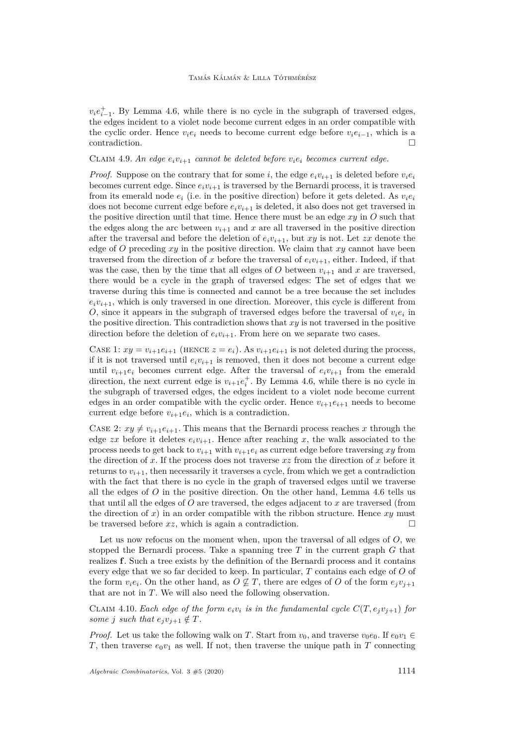$v_i e_{i-1}^+$ . By Lemma [4.6,](#page-14-2) while there is no cycle in the subgraph of traversed edges, the edges incident to a violet node become current edges in an order compatible with the cyclic order. Hence  $v_i e_i$  needs to become current edge before  $v_i e_{i-1}$ , which is a contradiction.

#### <span id="page-16-1"></span>CLAIM 4.9. An edge  $e_i v_{i+1}$  cannot be deleted before  $v_i e_i$  becomes current edge.

*Proof.* Suppose on the contrary that for some *i*, the edge  $e_i v_{i+1}$  is deleted before  $v_i e_i$ becomes current edge. Since  $e_i v_{i+1}$  is traversed by the Bernardi process, it is traversed from its emerald node  $e_i$  (i.e. in the positive direction) before it gets deleted. As  $v_i e_i$ does not become current edge before  $e_i v_{i+1}$  is deleted, it also does not get traversed in the positive direction until that time. Hence there must be an edge *xy* in *O* such that the edges along the arc between  $v_{i+1}$  and x are all traversed in the positive direction after the traversal and before the deletion of  $e_i v_{i+1}$ , but  $xy$  is not. Let  $zx$  denote the edge of *O* preceding *xy* in the positive direction. We claim that *xy* cannot have been traversed from the direction of *x* before the traversal of  $e_i v_{i+1}$ , either. Indeed, if that was the case, then by the time that all edges of O between  $v_{i+1}$  and x are traversed, there would be a cycle in the graph of traversed edges: The set of edges that we traverse during this time is connected and cannot be a tree because the set includes  $e_i v_{i+1}$ , which is only traversed in one direction. Moreover, this cycle is different from *O*, since it appears in the subgraph of traversed edges before the traversal of  $v_i e_i$  in the positive direction. This contradiction shows that *xy* is not traversed in the positive direction before the deletion of  $e_i v_{i+1}$ . From here on we separate two cases.

CASE 1:  $xy = v_{i+1}e_{i+1}$  (HENCE  $z = e_i$ ). As  $v_{i+1}e_{i+1}$  is not deleted during the process, if it is not traversed until  $e_i v_{i+1}$  is removed, then it does not become a current edge until  $v_{i+1}e_i$  becomes current edge. After the traversal of  $e_iv_{i+1}$  from the emerald direction, the next current edge is  $v_{i+1}e_i^+$ . By Lemma [4.6,](#page-14-2) while there is no cycle in the subgraph of traversed edges, the edges incident to a violet node become current edges in an order compatible with the cyclic order. Hence  $v_{i+1}e_{i+1}$  needs to become current edge before  $v_{i+1}e_i$ , which is a contradiction.

CASE 2:  $xy \neq v_{i+1}e_{i+1}$ . This means that the Bernardi process reaches x through the edge *zx* before it deletes  $e_i v_{i+1}$ . Hence after reaching *x*, the walk associated to the process needs to get back to  $v_{i+1}$  with  $v_{i+1}e_i$  as current edge before traversing xy from the direction of *x*. If the process does not traverse *xz* from the direction of *x* before it returns to  $v_{i+1}$ , then necessarily it traverses a cycle, from which we get a contradiction with the fact that there is no cycle in the graph of traversed edges until we traverse all the edges of *O* in the positive direction. On the other hand, Lemma [4.6](#page-14-2) tells us that until all the edges of *O* are traversed, the edges adjacent to *x* are traversed (from the direction of *x*) in an order compatible with the ribbon structure. Hence *xy* must be traversed before  $xz$ , which is again a contradiction.

Let us now refocus on the moment when, upon the traversal of all edges of *O*, we stopped the Bernardi process. Take a spanning tree *T* in the current graph *G* that realizes **f**. Such a tree exists by the definition of the Bernardi process and it contains every edge that we so far decided to keep. In particular, *T* contains each edge of *O* of the form  $v_i e_i$ . On the other hand, as  $O \not\subseteq T$ , there are edges of  $O$  of the form  $e_j v_{j+1}$ that are not in *T*. We will also need the following observation.

<span id="page-16-0"></span>CLAIM 4.10. *Each edge of the form*  $e_i v_i$  *is in the fundamental cycle*  $C(T, e_j v_{j+1})$  *for some j such* that  $e_jv_{j+1} \notin T$ .

*Proof.* Let us take the following walk on *T*. Start from  $v_0$ , and traverse  $v_0e_0$ . If  $e_0v_1 \in$ *T*, then traverse  $e_0v_1$  as well. If not, then traverse the unique path in *T* connecting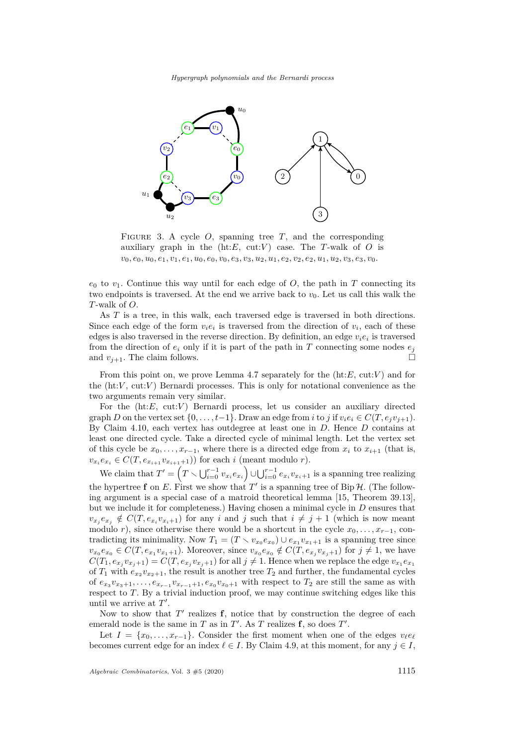*Hypergraph polynomials and the Bernardi process*



<span id="page-17-0"></span>FIGURE 3. A cycle  $O$ , spanning tree  $T$ , and the corresponding auxiliary graph in the  $(ht:E, cut:V)$  case. The *T*-walk of *O* is  $v_0, e_0, u_0, e_1, v_1, e_1, u_0, e_0, v_0, e_3, v_3, u_2, u_1, e_2, v_2, e_2, u_1, u_2, v_3, e_3, v_0.$ 

 $e_0$  to  $v_1$ . Continue this way until for each edge of  $O$ , the path in  $T$  connecting its two endpoints is traversed. At the end we arrive back to  $v_0$ . Let us call this walk the *T*-walk of *O*.

As *T* is a tree, in this walk, each traversed edge is traversed in both directions. Since each edge of the form  $v_i e_i$  is traversed from the direction of  $v_i$ , each of these edges is also traversed in the reverse direction. By definition, an edge  $v_i e_i$  is traversed from the direction of  $e_i$  only if it is part of the path in *T* connecting some nodes  $e_j$ and  $v_{i+1}$ . The claim follows.

From this point on, we prove Lemma [4.7](#page-15-0) separately for the (ht:*E*, cut:*V* ) and for the (ht:*V* , cut:*V* ) Bernardi processes. This is only for notational convenience as the two arguments remain very similar.

For the (ht:*E*, cut:*V*) Bernardi process, let us consider an auxiliary directed graph *D* on the vertex set  $\{0, \ldots, t-1\}$ . Draw an edge from *i* to *j* if  $v_i e_i \in C(T, e_i v_{i+1})$ . By Claim [4.10,](#page-16-0) each vertex has outdegree at least one in *D*. Hence *D* contains at least one directed cycle. Take a directed cycle of minimal length. Let the vertex set of this cycle be  $x_0, \ldots, x_{r-1}$ , where there is a directed edge from  $x_i$  to  $x_{i+1}$  (that is,  $v_{x_i}e_{x_i} \in C(T, e_{x_{i+1}}v_{x_{i+1}+1})$ ) for each *i* (meant modulo *r*).

We claim that  $T' = \left(T \setminus \bigcup_{i=0}^{r-1} v_{x_i} e_{x_i}\right) \cup \bigcup_{i=0}^{r-1} e_{x_i} v_{x_i+1}$  is a spanning tree realizing the hypertree **f** on E. First we show that  $T'$  is a spanning tree of Bip  $H$ . (The following argument is a special case of a matroid theoretical lemma [\[15,](#page-41-1) Theorem 39.13], but we include it for completeness.) Having chosen a minimal cycle in *D* ensures that  $v_{x_j}e_{x_j} \notin C(T, e_{x_i}v_{x_i+1})$  for any *i* and *j* such that  $i \neq j+1$  (which is now meant modulo *r*), since otherwise there would be a shortcut in the cycle  $x_0, \ldots, x_{r-1}$ , contradicting its minimality. Now  $T_1 = (T \setminus v_{x_0}e_{x_0}) \cup e_{x_1}v_{x_1+1}$  is a spanning tree since  $v_{x_0}e_{x_0} \in C(T, e_{x_1}v_{x_1+1})$ . Moreover, since  $v_{x_0}e_{x_0} \notin C(T, e_{x_j}v_{x_j+1})$  for  $j \neq 1$ , we have  $C(T_1, e_{x_j}v_{x_j+1}) = C(T, e_{x_j}v_{x_j+1})$  for all  $j \neq 1$ . Hence when we replace the edge  $v_{x_1}e_{x_1}$ of  $T_1$  with  $e_{x_2}v_{x_2+1}$ , the result is another tree  $T_2$  and further, the fundamental cycles of  $e_{x_3}v_{x_3+1}, \ldots, e_{x_{r-1}}v_{x_{r-1}+1}, e_{x_0}v_{x_0+1}$  with respect to  $T_2$  are still the same as with respect to *T*. By a trivial induction proof, we may continue switching edges like this until we arrive at  $T'$ .

Now to show that  $T'$  realizes  $f$ , notice that by construction the degree of each emerald node is the same in *T* as in  $T'$ . As *T* realizes **f**, so does  $T'$ .

Let  $I = \{x_0, \ldots, x_{r-1}\}.$  Consider the first moment when one of the edges  $v_{\ell}e_{\ell}$ becomes current edge for an index  $\ell \in I$ . By Claim [4.9,](#page-16-1) at this moment, for any  $j \in I$ ,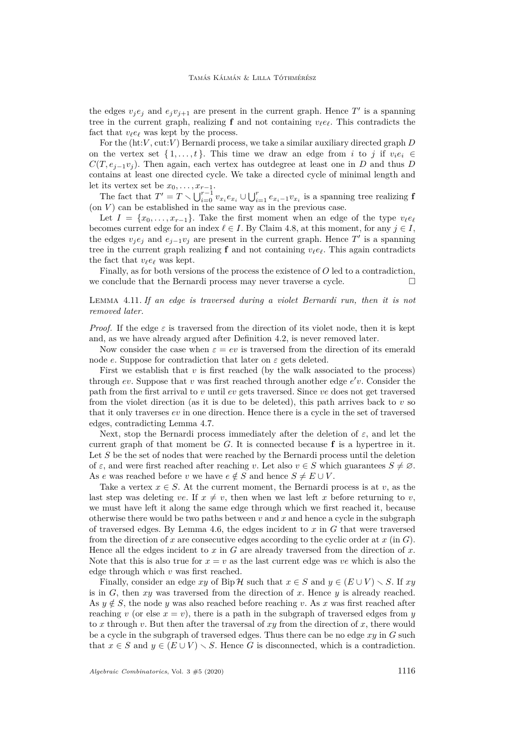the edges  $v_j e_j$  and  $e_j v_{j+1}$  are present in the current graph. Hence  $T'$  is a spanning tree in the current graph, realizing **f** and not containing  $v_{\ell}e_{\ell}$ . This contradicts the fact that  $v_{\ell}e_{\ell}$  was kept by the process.

For the (ht:*V* , cut:*V* ) Bernardi process, we take a similar auxiliary directed graph *D* on the vertex set  $\{1, \ldots, t\}$ . This time we draw an edge from *i* to *j* if  $v_i e_i \in$  $C(T, e_{j-1}v_j)$ . Then again, each vertex has outdegree at least one in *D* and thus *D* contains at least one directed cycle. We take a directed cycle of minimal length and let its vertex set be  $x_0, \ldots, x_{r-1}$ .

The fact that  $T' = T \setminus \bigcup_{i=0}^{r-1} v_{x_i} e_{x_i} \cup \bigcup_{i=1}^{r} e_{x_i-1} v_{x_i}$  is a spanning tree realizing **f** (on  $V$ ) can be established in the same way as in the previous case.

Let  $I = \{x_0, \ldots, x_{r-1}\}.$  Take the first moment when an edge of the type  $v_{\ell}e_{\ell}$ becomes current edge for an index  $\ell \in I$ . By Claim [4.8,](#page-15-1) at this moment, for any  $j \in I$ , the edges  $v_j e_j$  and  $e_{j-1} v_j$  are present in the current graph. Hence  $T'$  is a spanning tree in the current graph realizing **f** and not containing  $v_{\ell}e_{\ell}$ . This again contradicts the fact that  $v_{\ell}e_{\ell}$  was kept.

Finally, as for both versions of the process the existence of *O* led to a contradiction, we conclude that the Bernardi process may never traverse a cycle.  $\Box$ 

<span id="page-18-0"></span>Lemma 4.11. *If an edge is traversed during a violet Bernardi run, then it is not removed later.*

*Proof.* If the edge  $\varepsilon$  is traversed from the direction of its violet node, then it is kept and, as we have already argued after Definition [4.2,](#page-11-0) is never removed later.

Now consider the case when  $\varepsilon = ev$  is traversed from the direction of its emerald node *e*. Suppose for contradiction that later on  $\varepsilon$  gets deleted.

First we establish that *v* is first reached (by the walk associated to the process) through  $ev$ . Suppose that  $v$  was first reached through another edge  $e'v$ . Consider the path from the first arrival to *v* until *ev* gets traversed. Since *ve* does not get traversed from the violet direction (as it is due to be deleted), this path arrives back to  $v$  so that it only traverses *ev* in one direction. Hence there is a cycle in the set of traversed edges, contradicting Lemma [4.7.](#page-15-0)

Next, stop the Bernardi process immediately after the deletion of  $\varepsilon$ , and let the current graph of that moment be  $G$ . It is connected because  $f$  is a hypertree in it. Let *S* be the set of nodes that were reached by the Bernardi process until the deletion of  $\varepsilon$ , and were first reached after reaching *v*. Let also  $v \in S$  which guarantees  $S \neq \emptyset$ . As *e* was reached before *v* we have  $e \notin S$  and hence  $S \neq E \cup V$ .

Take a vertex  $x \in S$ . At the current moment, the Bernardi process is at *v*, as the last step was deleting *ve*. If  $x \neq v$ , then when we last left *x* before returning to *v*, we must have left it along the same edge through which we first reached it, because otherwise there would be two paths between *v* and *x* and hence a cycle in the subgraph of traversed edges. By Lemma [4.6,](#page-14-2) the edges incident to *x* in *G* that were traversed from the direction of  $x$  are consecutive edges according to the cyclic order at  $x$  (in  $G$ ). Hence all the edges incident to *x* in *G* are already traversed from the direction of *x*. Note that this is also true for  $x = v$  as the last current edge was *ve* which is also the edge through which *v* was first reached.

Finally, consider an edge *xy* of Bip H such that  $x \in S$  and  $y \in (E \cup V) \setminus S$ . If *xy* is in *G*, then *xy* was traversed from the direction of *x*. Hence *y* is already reached. As  $y \notin S$ , the node *y* was also reached before reaching *v*. As *x* was first reached after reaching *v* (or else  $x = v$ ), there is a path in the subgraph of traversed edges from *y* to *x* through *v*. But then after the traversal of *xy* from the direction of *x*, there would be a cycle in the subgraph of traversed edges. Thus there can be no edge *xy* in *G* such that  $x \in S$  and  $y \in (E \cup V) \setminus S$ . Hence G is disconnected, which is a contradiction.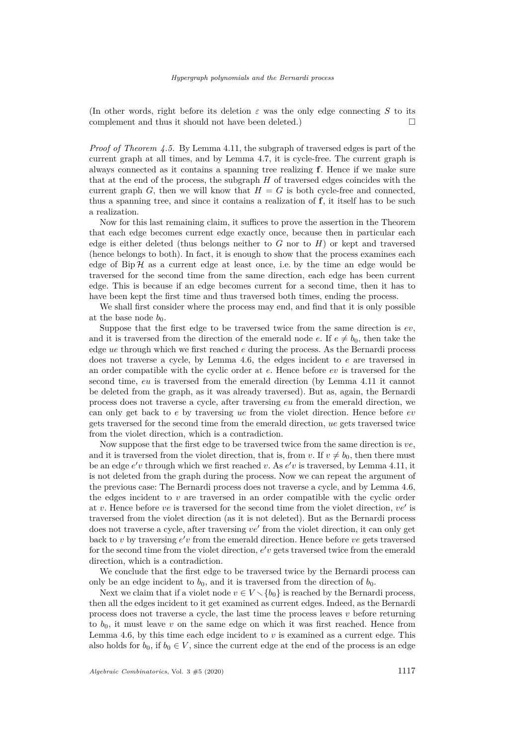(In other words, right before its deletion  $\varepsilon$  was the only edge connecting *S* to its complement and thus it should not have been deleted.)  $\Box$ 

*Proof of Theorem [4.5.](#page-13-1)* By Lemma [4.11,](#page-18-0) the subgraph of traversed edges is part of the current graph at all times, and by Lemma [4.7,](#page-15-0) it is cycle-free. The current graph is always connected as it contains a spanning tree realizing **f**. Hence if we make sure that at the end of the process, the subgraph *H* of traversed edges coincides with the current graph *G*, then we will know that  $H = G$  is both cycle-free and connected, thus a spanning tree, and since it contains a realization of **f**, it itself has to be such a realization.

Now for this last remaining claim, it suffices to prove the assertion in the Theorem that each edge becomes current edge exactly once, because then in particular each edge is either deleted (thus belongs neither to *G* nor to *H*) or kept and traversed (hence belongs to both). In fact, it is enough to show that the process examines each edge of  $\text{Bip}\,\mathcal{H}$  as a current edge at least once, i.e. by the time an edge would be traversed for the second time from the same direction, each edge has been current edge. This is because if an edge becomes current for a second time, then it has to have been kept the first time and thus traversed both times, ending the process.

We shall first consider where the process may end, and find that it is only possible at the base node  $b_0$ .

Suppose that the first edge to be traversed twice from the same direction is *ev*, and it is traversed from the direction of the emerald node *e*. If  $e \neq b_0$ , then take the edge *ue* through which we first reached *e* during the process. As the Bernardi process does not traverse a cycle, by Lemma [4.6,](#page-14-2) the edges incident to *e* are traversed in an order compatible with the cyclic order at *e*. Hence before *ev* is traversed for the second time, *eu* is traversed from the emerald direction (by Lemma [4.11](#page-18-0) it cannot be deleted from the graph, as it was already traversed). But as, again, the Bernardi process does not traverse a cycle, after traversing *eu* from the emerald direction, we can only get back to *e* by traversing *ue* from the violet direction. Hence before *ev* gets traversed for the second time from the emerald direction, *ue* gets traversed twice from the violet direction, which is a contradiction.

Now suppose that the first edge to be traversed twice from the same direction is *ve*, and it is traversed from the violet direction, that is, from *v*. If  $v \neq b_0$ , then there must be an edge  $e'v$  through which we first reached *v*. As  $e'v$  is traversed, by Lemma [4.11,](#page-18-0) it is not deleted from the graph during the process. Now we can repeat the argument of the previous case: The Bernardi process does not traverse a cycle, and by Lemma [4.6,](#page-14-2) the edges incident to *v* are traversed in an order compatible with the cyclic order at  $v$ . Hence before  $ve$  is traversed for the second time from the violet direction,  $ve'$  is traversed from the violet direction (as it is not deleted). But as the Bernardi process does not traverse a cycle, after traversing  $ve'$  from the violet direction, it can only get back to *v* by traversing  $e'v$  from the emerald direction. Hence before *ve* gets traversed for the second time from the violet direction,  $e'v$  gets traversed twice from the emerald direction, which is a contradiction.

We conclude that the first edge to be traversed twice by the Bernardi process can only be an edge incident to  $b_0$ , and it is traversed from the direction of  $b_0$ .

Next we claim that if a violet node  $v \in V \setminus \{b_0\}$  is reached by the Bernardi process, then all the edges incident to it get examined as current edges. Indeed, as the Bernardi process does not traverse a cycle, the last time the process leaves *v* before returning to  $b_0$ , it must leave  $v$  on the same edge on which it was first reached. Hence from Lemma [4.6,](#page-14-2) by this time each edge incident to *v* is examined as a current edge. This also holds for  $b_0$ , if  $b_0 \in V$ , since the current edge at the end of the process is an edge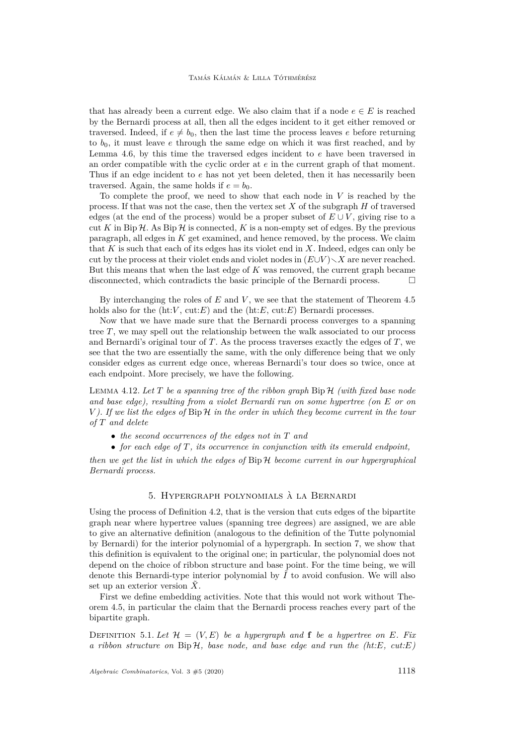that has already been a current edge. We also claim that if a node  $e \in E$  is reached by the Bernardi process at all, then all the edges incident to it get either removed or traversed. Indeed, if  $e \neq b_0$ , then the last time the process leaves *e* before returning to *b*0, it must leave *e* through the same edge on which it was first reached, and by Lemma [4.6,](#page-14-2) by this time the traversed edges incident to *e* have been traversed in an order compatible with the cyclic order at *e* in the current graph of that moment. Thus if an edge incident to *e* has not yet been deleted, then it has necessarily been traversed. Again, the same holds if  $e = b_0$ .

To complete the proof, we need to show that each node in *V* is reached by the process. If that was not the case, then the vertex set *X* of the subgraph *H* of traversed edges (at the end of the process) would be a proper subset of  $E \cup V$ , giving rise to a cut K in Bip  $\mathcal H$ . As Bip  $\mathcal H$  is connected, K is a non-empty set of edges. By the previous paragraph, all edges in *K* get examined, and hence removed, by the process. We claim that *K* is such that each of its edges has its violet end in *X*. Indeed, edges can only be cut by the process at their violet ends and violet nodes in  $(E \cup V) \setminus X$  are never reached. But this means that when the last edge of *K* was removed, the current graph became disconnected, which contradicts the basic principle of the Bernardi process.  $\Box$ 

By interchanging the roles of *E* and *V* , we see that the statement of Theorem [4.5](#page-13-1) holds also for the  $(ht:V, cut: E)$  and the  $(ht: E, cut: E)$  Bernardi processes.

Now that we have made sure that the Bernardi process converges to a spanning tree *T*, we may spell out the relationship between the walk associated to our process and Bernardi's original tour of *T*. As the process traverses exactly the edges of *T*, we see that the two are essentially the same, with the only difference being that we only consider edges as current edge once, whereas Bernardi's tour does so twice, once at each endpoint. More precisely, we have the following.

<span id="page-20-2"></span>Lemma 4.12. *Let T be a spanning tree of the ribbon graph* Bip H *(with fixed base node and base edge), resulting from a violet Bernardi run on some hypertree (on E or on V ). If we list the edges of* Bip H *in the order in which they become current in the tour of T and delete*

- *the second occurrences of the edges not in T and*
- *for each edge of T, its occurrence in conjunction with its emerald endpoint,*

*then we get the list in which the edges of* Bip H *become current in our hypergraphical Bernardi process.*

#### 5. Hypergraph polynomials à la Bernardi

<span id="page-20-0"></span>Using the process of Definition [4.2,](#page-11-0) that is the version that cuts edges of the bipartite graph near where hypertree values (spanning tree degrees) are assigned, we are able to give an alternative definition (analogous to the definition of the Tutte polynomial by Bernardi) for the interior polynomial of a hypergraph. In section [7,](#page-28-0) we show that this definition is equivalent to the original one; in particular, the polynomial does not depend on the choice of ribbon structure and base point. For the time being, we will denote this Bernardi-type interior polynomial by  $\tilde{I}$  to avoid confusion. We will also set up an exterior version  $\tilde{X}$ .

First we define embedding activities. Note that this would not work without Theorem [4.5,](#page-13-1) in particular the claim that the Bernardi process reaches every part of the bipartite graph.

<span id="page-20-1"></span>DEFINITION 5.1. Let  $\mathcal{H} = (V, E)$  be a hypergraph and **f** be a hypertree on E. Fix *a ribbon structure on* Bip H*, base node, and base edge and run the (ht:E, cut:E)*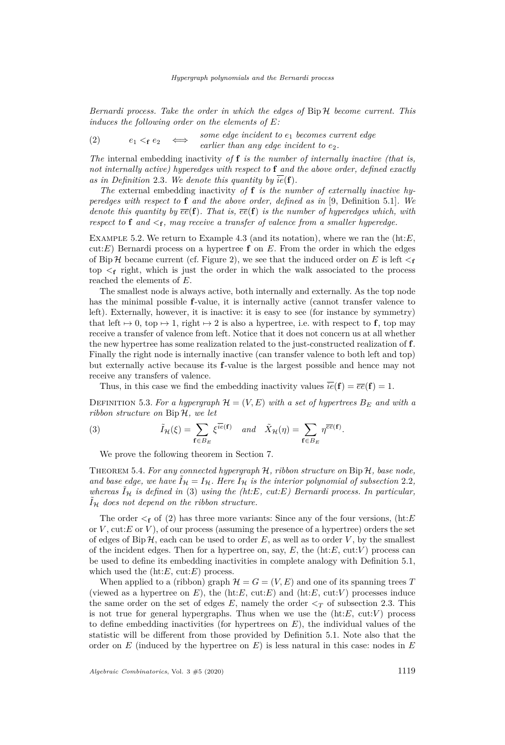*Bernardi process. Take the order in which the edges of* Bip H *become current. This induces the following order on the elements of E:*

<span id="page-21-2"></span>(2)  $e_1 < e_2$  ⇔ *some edge incident to e*<sup>1</sup> *becomes current edge earlier than any edge incident to*  $e_2$ *.* 

*The* internal embedding inactivity *of* **f** *is the number of internally inactive (that is, not internally active) hyperedges with respect to* **f** *and the above order, defined exactly* as in Definition [2.3](#page-5-0). We denote this quantity by  $\overline{ie}(\mathbf{f})$ .

*The* external embedding inactivity *of* **f** *is the number of externally inactive hyperedges with respect to* **f** *and the above order, defined as in* [\[9,](#page-40-0) Definition 5.1]*. We denote this quantity by*  $\overline{ee}(\mathbf{f})$ *. That is,*  $\overline{ee}(\mathbf{f})$  *is the number of hyperedges which, with respect to* **f** and  $\leq_f$ , may receive a transfer of valence from a smaller hyperedge.

Example 5.2. We return to Example [4.3](#page-11-1) (and its notation), where we ran the (ht:*E*, cut:*E*) Bernardi process on a hypertree **f** on *E*. From the order in which the edges of Bip H became current (cf. Figure [2\)](#page-12-0), we see that the induced order on E is left  $\leq_f$ top  $\leq_f$  right, which is just the order in which the walk associated to the process reached the elements of *E*.

The smallest node is always active, both internally and externally. As the top node has the minimal possible **f**-value, it is internally active (cannot transfer valence to left). Externally, however, it is inactive: it is easy to see (for instance by symmetry) that left  $\mapsto 0$ , top  $\mapsto 1$ , right  $\mapsto 2$  is also a hypertree, i.e. with respect to **f**, top may receive a transfer of valence from left. Notice that it does not concern us at all whether the new hypertree has some realization related to the just-constructed realization of **f**. Finally the right node is internally inactive (can transfer valence to both left and top) but externally active because its **f**-value is the largest possible and hence may not receive any transfers of valence.

Thus, in this case we find the embedding inactivity values  $\overline{ie}(\mathbf{f}) = \overline{ee}(\mathbf{f}) = 1$ .

DEFINITION 5.3. For a hypergraph  $\mathcal{H} = (V, E)$  with a set of hypertrees  $B_E$  and with a *ribbon structure on* Bip H*, we let*

(3) 
$$
\tilde{I}_{\mathcal{H}}(\xi) = \sum_{\mathbf{f} \in B_E} \xi^{\overline{ie}(\mathbf{f})} \quad and \quad \tilde{X}_{\mathcal{H}}(\eta) = \sum_{\mathbf{f} \in B_E} \eta^{\overline{ee}(\mathbf{f})}.
$$

<span id="page-21-1"></span>We prove the following theorem in Section [7.](#page-28-0)

<span id="page-21-0"></span>Theorem 5.4. *For any connected hypergraph* H*, ribbon structure on* Bip H*, base node,* and base edge, we have  $\tilde{I}_H = I_H$ . Here  $I_H$  is the interior polynomial of subsection [2.2](#page-4-2), *whereas*  $I_{\mathcal{H}}$  *is defined in* [\(3\)](#page-21-1) *using the (ht:E, cut:E) Bernardi process. In particular,*  $I_{\mathcal{H}}$  does not depend on the ribbon structure.

The order  $\leq_f$  of [\(2\)](#page-21-2) has three more variants: Since any of the four versions, (ht:*E* or  $V$ , cut: $E$  or  $V$ ), of our process (assuming the presence of a hypertree) orders the set of edges of Bip  $H$ , each can be used to order  $E$ , as well as to order  $V$ , by the smallest of the incident edges. Then for a hypertree on, say,  $E$ , the  $(ht:E, cut:V)$  process can be used to define its embedding inactivities in complete analogy with Definition [5.1,](#page-20-1) which used the (ht:*E*, cut:*E*) process.

When applied to a (ribbon) graph  $\mathcal{H} = G = (V, E)$  and one of its spanning trees T (viewed as a hypertree on  $E$ ), the (ht: $E$ , cut: $E$ ) and (ht: $E$ , cut: $V$ ) processes induce the same order on the set of edges  $E$ , namely the order  $\leq_T$  of subsection [2.3.](#page-6-2) This is not true for general hypergraphs. Thus when we use the  $(ht:E, cut:V)$  process to define embedding inactivities (for hypertrees on *E*), the individual values of the statistic will be different from those provided by Definition [5.1.](#page-20-1) Note also that the order on *E* (induced by the hypertree on *E*) is less natural in this case: nodes in *E*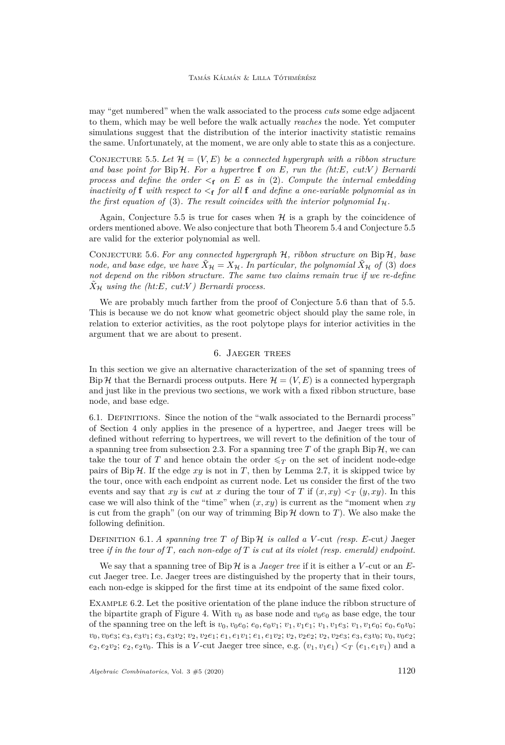may "get numbered" when the walk associated to the process *cuts* some edge adjacent to them, which may be well before the walk actually *reaches* the node. Yet computer simulations suggest that the distribution of the interior inactivity statistic remains the same. Unfortunately, at the moment, we are only able to state this as a conjecture.

<span id="page-22-1"></span>CONJECTURE 5.5. Let  $\mathcal{H} = (V, E)$  be a connected hypergraph with a ribbon structure *and base point for* Bip H*. For a hypertree* **f** *on E, run the (ht:E, cut:V ) Bernardi* process and define the order  $\lt$ **f** on E as in [\(2\)](#page-21-2). Compute the internal embedding *inactivity of* **f** *with respect to*  $\lt$ **f** *for all* **f** *and define a one-variable polynomial as in the first equation of* [\(3\)](#page-21-1). The result coincides with the interior polynomial  $I<sub>H</sub>$ .

Again, Conjecture [5.5](#page-22-1) is true for cases when  $H$  is a graph by the coincidence of orders mentioned above. We also conjecture that both Theorem [5.4](#page-21-0) and Conjecture [5.5](#page-22-1) are valid for the exterior polynomial as well.

<span id="page-22-2"></span>Conjecture 5.6. *For any connected hypergraph* H*, ribbon structure on* Bip H*, base node, and base edge, we have*  $\ddot{X}_{\mathcal{H}} = X_{\mathcal{H}}$ *. In particular, the polynomial*  $\ddot{X}_{\mathcal{H}}$  *of* [\(3\)](#page-21-1) *does not depend on the ribbon structure. The same two claims remain true if we re-define*  $\tilde{X}_{\mathcal{H}}$  *using the (ht:E, cut:V) Bernardi process.* 

We are probably much farther from the proof of Conjecture [5.6](#page-22-2) than that of [5.5.](#page-22-1) This is because we do not know what geometric object should play the same role, in relation to exterior activities, as the root polytope plays for interior activities in the argument that we are about to present.

### 6. Jaeger trees

<span id="page-22-0"></span>In this section we give an alternative characterization of the set of spanning trees of Bip H that the Bernardi process outputs. Here  $\mathcal{H} = (V, E)$  is a connected hypergraph and just like in the previous two sections, we work with a fixed ribbon structure, base node, and base edge.

6.1. Definitions. Since the notion of the "walk associated to the Bernardi process" of Section [4](#page-10-0) only applies in the presence of a hypertree, and Jaeger trees will be defined without referring to hypertrees, we will revert to the definition of the tour of a spanning tree from subsection [2.3.](#page-6-2) For a spanning tree  $T$  of the graph Bip  $H$ , we can take the tour of *T* and hence obtain the order  $\leq_T$  on the set of incident node-edge pairs of Bip  $H$ . If the edge  $xy$  is not in *T*, then by Lemma [2.7,](#page-7-1) it is skipped twice by the tour, once with each endpoint as current node. Let us consider the first of the two events and say that *xy* is *cut* at *x* during the tour of *T* if  $(x, xy) <_T (y, xy)$ . In this case we will also think of the "time" when  $(x, xy)$  is current as the "moment when  $xy$ is cut from the graph" (on our way of trimming  $\text{Bip } H$  down to *T*). We also make the following definition.

# DEFINITION 6.1. *A spanning tree*  $T$  *of*  $\text{Bip } H$  *is called a V*-cut *(resp. E*-cut) Jaeger tree *if in the tour of T, each non-edge of T is cut at its violet (resp. emerald) endpoint.*

We say that a spanning tree of  $\text{Bip } H$  is a *Jaeger tree* if it is either a *V*-cut or an *E*cut Jaeger tree. I.e. Jaeger trees are distinguished by the property that in their tours, each non-edge is skipped for the first time at its endpoint of the same fixed color.

<span id="page-22-3"></span>Example 6.2. Let the positive orientation of the plane induce the ribbon structure of the bipartite graph of Figure [4.](#page-23-1) With  $v_0$  as base node and  $v_0e_0$  as base edge, the tour of the spanning tree on the left is  $v_0, v_0e_0$ ;  $e_0, e_0v_1$ ;  $v_1, v_1e_1$ ;  $v_1, v_1e_3$ ;  $v_1, v_1e_0$ ;  $e_0, e_0v_0$ ;  $v_0, v_0e_3; e_3, e_3v_1; e_3, e_3v_2; v_2, v_2e_1; e_1, e_1v_1; e_1, e_1v_2; v_2, v_2e_2; v_2, v_2e_3; e_3, e_3v_0; v_0, v_0e_2;$  $e_2, e_2v_2$ ;  $e_2, e_2v_0$ . This is a *V*-cut Jaeger tree since, e.g.  $(v_1, v_1e_1) < \tau$   $(e_1, e_1v_1)$  and a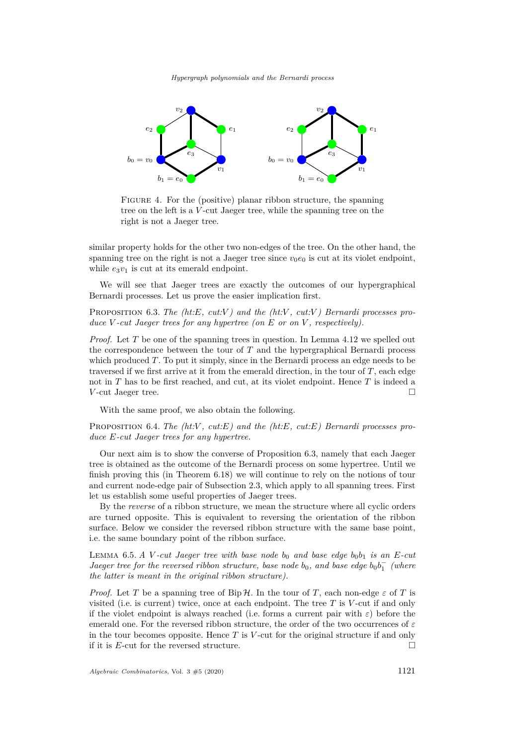

<span id="page-23-1"></span>FIGURE 4. For the (positive) planar ribbon structure, the spanning tree on the left is a *V* -cut Jaeger tree, while the spanning tree on the right is not a Jaeger tree.

similar property holds for the other two non-edges of the tree. On the other hand, the spanning tree on the right is not a Jaeger tree since  $v_0e_0$  is cut at its violet endpoint, while  $e_3v_1$  is cut at its emerald endpoint.

We will see that Jaeger trees are exactly the outcomes of our hypergraphical Bernardi processes. Let us prove the easier implication first.

<span id="page-23-2"></span>Proposition 6.3. *The (ht:E, cut:V ) and the (ht:V , cut:V ) Bernardi processes produce V -cut Jaeger trees for any hypertree (on E or on V , respectively).*

*Proof.* Let T be one of the spanning trees in question. In Lemma [4.12](#page-20-2) we spelled out the correspondence between the tour of *T* and the hypergraphical Bernardi process which produced *T*. To put it simply, since in the Bernardi process an edge needs to be traversed if we first arrive at it from the emerald direction, in the tour of *T*, each edge not in *T* has to be first reached, and cut, at its violet endpoint. Hence *T* is indeed a *V*-cut Jaeger tree. □

With the same proof, we also obtain the following.

<span id="page-23-3"></span>Proposition 6.4. *The (ht:V , cut:E) and the (ht:E, cut:E) Bernardi processes produce E-cut Jaeger trees for any hypertree.*

Our next aim is to show the converse of Proposition [6.3,](#page-23-2) namely that each Jaeger tree is obtained as the outcome of the Bernardi process on some hypertree. Until we finish proving this (in Theorem [6.18\)](#page-27-0) we will continue to rely on the notions of tour and current node-edge pair of Subsection [2.3,](#page-6-2) which apply to all spanning trees. First let us establish some useful properties of Jaeger trees.

By the *reverse* of a ribbon structure, we mean the structure where all cyclic orders are turned opposite. This is equivalent to reversing the orientation of the ribbon surface. Below we consider the reversed ribbon structure with the same base point, i.e. the same boundary point of the ribbon surface.

<span id="page-23-0"></span>LEMMA 6.5. *A V -cut Jaeger tree with base node*  $b_0$  *and base edge*  $b_0b_1$  *is an E-cut Jaeger tree for the reversed ribbon structure, base node*  $b_0$ *, and base edge*  $b_0b_1^-$  (where *the latter is meant in the original ribbon structure).*

*Proof.* Let *T* be a spanning tree of Bip H. In the tour of *T*, each non-edge  $\varepsilon$  of *T* is visited (i.e. is current) twice, once at each endpoint. The tree *T* is *V* -cut if and only if the violet endpoint is always reached (i.e. forms a current pair with *ε*) before the emerald one. For the reversed ribbon structure, the order of the two occurrences of *ε* in the tour becomes opposite. Hence *T* is *V* -cut for the original structure if and only if it is *E*-cut for the reversed structure.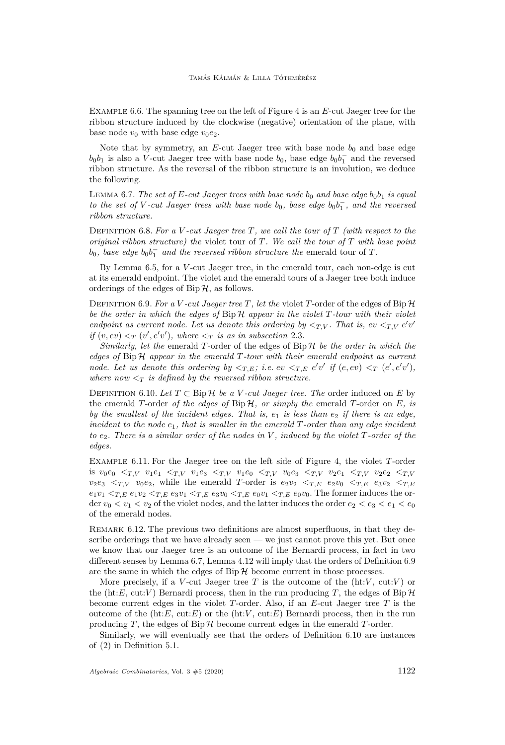Example 6.6. The spanning tree on the left of Figure [4](#page-23-1) is an *E*-cut Jaeger tree for the ribbon structure induced by the clockwise (negative) orientation of the plane, with base node  $v_0$  with base edge  $v_0e_2$ .

Note that by symmetry, an  $E$ -cut Jaeger tree with base node  $b_0$  and base edge  $b_0b_1$  is also a *V*-cut Jaeger tree with base node  $b_0$ , base edge  $b_0b_1^-$  and the reversed ribbon structure. As the reversal of the ribbon structure is an involution, we deduce the following.

<span id="page-24-0"></span>LEMMA 6.7. The set of  $E$ -cut Jaeger trees with base node  $b_0$  and base edge  $b_0b_1$  is equal *to the set of V -cut Jaeger trees with base node*  $b_0$ , *base edge*  $b_0b_1^{\dagger}$ , *and the reversed ribbon structure.*

Definition 6.8. *For a V -cut Jaeger tree T, we call the tour of T (with respect to the original ribbon structure) the* violet tour of *T. We call the tour of T with base point*  $b_0$ , base edge  $b_0b_1^-$  and the reversed ribbon structure the emerald tour of *T*.

By Lemma [6.5,](#page-23-0) for a *V* -cut Jaeger tree, in the emerald tour, each non-edge is cut at its emerald endpoint. The violet and the emerald tours of a Jaeger tree both induce orderings of the edges of  $\text{Bip}\,\mathcal{H}$ , as follows.

<span id="page-24-1"></span>DEFINITION 6.9. For a *V* -cut Jaeger tree *T*, let the violet *T*-order of the edges of Bip  $H$ *be the order in which the edges of* Bip H *appear in the violet T-tour with their violet endpoint as current node. Let us denote this ordering by*  $\langle T, V \rangle$ . That is, ev  $\langle T, V \rangle e^{\prime} v^{\prime}$ *if*  $(v, ev) < T(v', e'v')$ , where  $\leq_T$  *is as in subsection* [2.3](#page-6-2)*.* 

*Similarly, let the* emerald *T*-order of the edges of Bip H *be the order in which the edges of* Bip H *appear in the emerald T-tour with their emerald endpoint as current node. Let us denote this ordering by*  $\langle T, E \rangle$ ; *i.e.*  $ev \langle T, E \mid e'v' \rangle$  if  $(e, ev) \langle T \mid (e', e'v') \rangle$ , *where now*  $\langle T \rangle$  *is defined by the reversed ribbon structure.* 

<span id="page-24-2"></span>DEFINITION 6.10. Let  $T \subset$  Bip  $H$  *be a V -cut Jaeger tree. The* order induced on *E* by the emerald *T*-order *of the edges of* Bip H*, or simply the* emerald *T*-order on *E, is by the smallest of the incident edges. That is, e*<sup>1</sup> *is less than e*<sup>2</sup> *if there is an edge, incident to the node e*1*, that is smaller in the emerald T-order than any edge incident to e*2*. There is a similar order of the nodes in V , induced by the violet T-order of the edges.*

Example 6.11. For the Jaeger tree on the left side of Figure [4,](#page-23-1) the violet *T*-order is  $v_0e_0 <_{T,V} v_1e_1 <_{T,V} v_1e_3 <_{T,V} v_1e_0 <_{T,V} v_0e_3 <_{T,V} v_2e_1 <_{T,V} v_2e_2 <_{T,V}$  $v_2e_3 \leq T$ ,  $v_0e_2$ , while the emerald *T*-order is  $e_2v_2 \leq T$ ,  $E$   $e_2v_0 \leq T$ ,  $E$   $e_3v_2 \leq T$ ,  $E$  $e_1v_1 \leq_{T,E} e_1v_2 \leq_{T,E} e_3v_1 \leq_{T,E} e_3v_0 \leq_{T,E} e_0v_1 \leq_{T,E} e_0v_0$ . The former induces the order  $v_0 < v_1 < v_2$  of the violet nodes, and the latter induces the order  $e_2 < e_3 < e_1 < e_0$ of the emerald nodes.

<span id="page-24-3"></span>REMARK 6.12. The previous two definitions are almost superfluous, in that they describe orderings that we have already seen — we just cannot prove this yet. But once we know that our Jaeger tree is an outcome of the Bernardi process, in fact in two different senses by Lemma [6.7,](#page-24-0) Lemma [4.12](#page-20-2) will imply that the orders of Definition [6.9](#page-24-1) are the same in which the edges of  $\text{Bip } H$  become current in those processes.

More precisely, if a *V*-cut Jaeger tree *T* is the outcome of the  $(ht:V, cut:V)$  or the (ht: $E$ , cut: $V$ ) Bernardi process, then in the run producing *T*, the edges of Bip  $\mathcal{H}$ become current edges in the violet *T*-order. Also, if an *E*-cut Jaeger tree *T* is the outcome of the  $(ht:E, cut:E)$  or the  $(ht:V, cut:E)$  Bernardi process, then in the run producing  $T$ , the edges of Bip  $H$  become current edges in the emerald  $T$ -order.

Similarly, we will eventually see that the orders of Definition [6.10](#page-24-2) are instances of [\(2\)](#page-21-2) in Definition [5.1.](#page-20-1)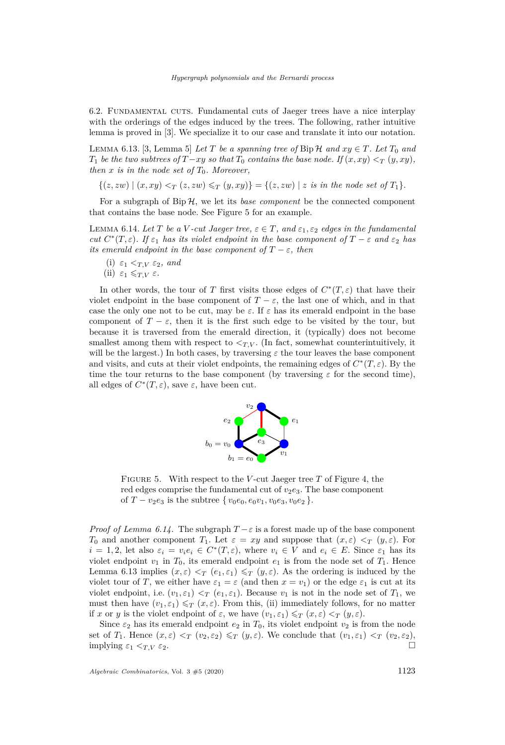6.2. Fundamental cuts. Fundamental cuts of Jaeger trees have a nice interplay with the orderings of the edges induced by the trees. The following, rather intuitive lemma is proved in [\[3\]](#page-40-2). We specialize it to our case and translate it into our notation.

<span id="page-25-2"></span>LEMMA 6.13. [\[3,](#page-40-2) Lemma 5] Let *T* be a spanning tree of Bip  $H$  and  $xy \in T$ . Let  $T_0$  and *T*<sub>1</sub> *be the two subtrees of*  $T - xy$  *so that*  $T_0$  *contains the base node. If*  $(x, xy) <_T (y, xy)$ *, then*  $x$  *is in the node set of*  $T_0$ *. Moreover,* 

 $\{(z, zw) | (x, xy) <_T (z, zw) \leq_T (y, xy)\} = \{(z, zw) | z \text{ is in the node set of } T_1\}.$ 

For a subgraph of  $\text{Bip}\,\mathcal{H}$ , we let its *base component* be the connected component that contains the base node. See Figure [5](#page-25-0) for an example.

<span id="page-25-1"></span>LEMMA 6.14. Let *T* be a *V* -cut Jaeger tree,  $\varepsilon \in T$ , and  $\varepsilon_1$ ,  $\varepsilon_2$  edges in the fundamental *cut*  $C^*(T, \varepsilon)$ *. If*  $\varepsilon_1$  *has its violet endpoint in the base component of*  $T - \varepsilon$  *and*  $\varepsilon_2$  *has its emerald endpoint in the base component of*  $T - \varepsilon$ *, then* 

<span id="page-25-4"></span>(i)  $\varepsilon_1 <_{T,V} \varepsilon_2$ , and

<span id="page-25-3"></span>(ii) 
$$
\varepsilon_1 \leqslant_{T,V} \varepsilon
$$
.

In other words, the tour of *T* first visits those edges of  $C^*(T,\varepsilon)$  that have their violet endpoint in the base component of  $T - \varepsilon$ , the last one of which, and in that case the only one not to be cut, may be  $\varepsilon$ . If  $\varepsilon$  has its emerald endpoint in the base component of  $T - \varepsilon$ , then it is the first such edge to be visited by the tour, but because it is traversed from the emerald direction, it (typically) does not become smallest among them with respect to  $\langle T, V \rangle$ . (In fact, somewhat counterintuitively, it will be the largest.) In both cases, by traversing  $\varepsilon$  the tour leaves the base component and visits, and cuts at their violet endpoints, the remaining edges of  $C^*(T, \varepsilon)$ . By the time the tour returns to the base component (by traversing  $\varepsilon$  for the second time), all edges of  $C^*(T, \varepsilon)$ , save  $\varepsilon$ , have been cut.



<span id="page-25-0"></span>Figure 5. With respect to the *V* -cut Jaeger tree *T* of Figure [4,](#page-23-1) the red edges comprise the fundamental cut of  $v_2e_3$ . The base component of  $T - v_2e_3$  is the subtree  $\{v_0e_0, e_0v_1, v_0e_3, v_0e_2\}.$ 

*Proof of Lemma [6.14.](#page-25-1)* The subgraph  $T - \varepsilon$  is a forest made up of the base component *T*<sub>0</sub> and another component *T*<sub>1</sub>. Let  $\varepsilon = xy$  and suppose that  $(x,\varepsilon) < T$   $(y,\varepsilon)$ . For  $i = 1, 2$ , let also  $\varepsilon_i = v_i e_i \in C^*(T, \varepsilon)$ , where  $v_i \in V$  and  $e_i \in E$ . Since  $\varepsilon_1$  has its violet endpoint  $v_1$  in  $T_0$ , its emerald endpoint  $e_1$  is from the node set of  $T_1$ . Hence Lemma [6.13](#page-25-2) implies  $(x, \varepsilon) < T$   $(e_1, \varepsilon_1) \leq T$   $(y, \varepsilon)$ . As the ordering is induced by the violet tour of *T*, we either have  $\varepsilon_1 = \varepsilon$  (and then  $x = v_1$ ) or the edge  $\varepsilon_1$  is cut at its violet endpoint, i.e.  $(v_1, \varepsilon_1) < T(v_1, \varepsilon_1)$ . Because  $v_1$  is not in the node set of  $T_1$ , we must then have  $(v_1, \varepsilon_1) \leq T(x, \varepsilon)$ . From this, [\(ii\)](#page-25-3) immediately follows, for no matter if *x* or *y* is the violet endpoint of  $\varepsilon$ , we have  $(v_1, \varepsilon_1) \leq_T (x, \varepsilon) <_T (y, \varepsilon)$ .

Since  $\varepsilon_2$  has its emerald endpoint  $e_2$  in  $T_0$ , its violet endpoint  $v_2$  is from the node set of *T*<sub>1</sub>. Hence  $(x, \varepsilon) < T$   $(v_2, \varepsilon_2) \leq T$   $(y, \varepsilon)$ . We conclude that  $(v_1, \varepsilon_1) < T$   $(v_2, \varepsilon_2)$ ,  $\Box$  implying  $\varepsilon_1 \leq_T \vee \varepsilon_2$ .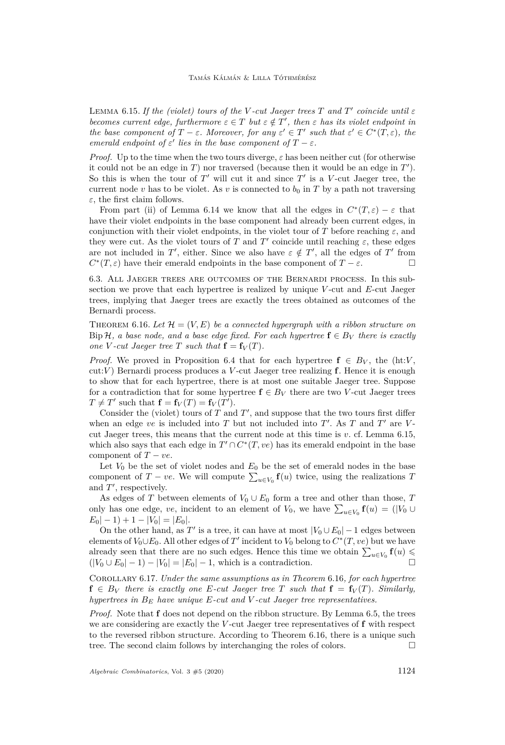<span id="page-26-0"></span>LEMMA 6.15. *If the (violet) tours of the V*-cut Jaeger trees  $T$  and  $T'$  coincide until  $\varepsilon$ *becomes current edge, furthermore*  $\varepsilon \in T$  *but*  $\varepsilon \notin T'$ *, then*  $\varepsilon$  *has its violet endpoint in the base component of*  $T - \varepsilon$ *. Moreover, for any*  $\varepsilon' \in T'$  *such that*  $\varepsilon' \in C^*(T, \varepsilon)$ *, the emerald endpoint of*  $\varepsilon'$  *lies in the base component of*  $T - \varepsilon$ *.* 

*Proof.* Up to the time when the two tours diverge,  $\varepsilon$  has been neither cut (for otherwise it could not be an edge in  $T$ ) nor traversed (because then it would be an edge in  $T'$ ). So this is when the tour of  $T'$  will cut it and since  $T'$  is a *V*-cut Jaeger tree, the current node *v* has to be violet. As *v* is connected to  $b_0$  in *T* by a path not traversing *ε*, the first claim follows.

From part [\(ii\)](#page-25-3) of Lemma [6.14](#page-25-1) we know that all the edges in  $C^*(T,\varepsilon) - \varepsilon$  that have their violet endpoints in the base component had already been current edges, in conjunction with their violet endpoints, in the violet tour of *T* before reaching  $\varepsilon$ , and they were cut. As the violet tours of *T* and *T'* coincide until reaching  $\varepsilon$ , these edges are not included in  $T'$ , either. Since we also have  $\varepsilon \notin T'$ , all the edges of  $T'$  from  $C^*(T, \varepsilon)$  have their emerald endpoints in the base component of  $T - \varepsilon$ .

<span id="page-26-3"></span>6.3. All Jaeger trees are outcomes of the Bernardi process. In this subsection we prove that each hypertree is realized by unique *V* -cut and *E*-cut Jaeger trees, implying that Jaeger trees are exactly the trees obtained as outcomes of the Bernardi process.

<span id="page-26-1"></span>THEOREM 6.16. Let  $\mathcal{H} = (V, E)$  be a connected hypergraph with a ribbon structure on Bip H, a base node, and a base edge fixed. For each hypertree  $f \in B_V$  there is exactly *one V*-*cut Jaeger tree T such that*  $\mathbf{f} = \mathbf{f}_V(T)$ *.* 

*Proof.* We proved in Proposition [6.4](#page-23-3) that for each hypertree  $f \in B_V$ , the (ht:*V*, cut:*V* ) Bernardi process produces a *V* -cut Jaeger tree realizing **f**. Hence it is enough to show that for each hypertree, there is at most one suitable Jaeger tree. Suppose for a contradiction that for some hypertree  $f \in B_V$  there are two *V*-cut Jaeger trees  $T \neq T'$  such that  $\mathbf{f} = \mathbf{f}_V(T) = \mathbf{f}_V(T')$ .

Consider the (violet) tours of  $T$  and  $T'$ , and suppose that the two tours first differ when an edge  $ve$  is included into  $T$  but not included into  $T'$ . As  $T$  and  $T'$  are  $V$ cut Jaeger trees, this means that the current node at this time is *v*. cf. Lemma [6.15,](#page-26-0) which also says that each edge in  $T' \cap C^*(T, ve)$  has its emerald endpoint in the base component of  $T - ve$ .

Let  $V_0$  be the set of violet nodes and  $E_0$  be the set of emerald nodes in the base component of *T* − *ve*. We will compute  $\sum_{u \in V_0} \mathbf{f}(u)$  twice, using the realizations *T* and  $T'$ , respectively.

As edges of *T* between elements of  $V_0 \cup E_0$  form a tree and other than those, *T* only has one edge, *ve*, incident to an element of  $V_0$ , we have  $\sum_{u \in V_0} \mathbf{f}(u) = (V_0 \cup$  $E_0|-1)+1-|V_0|=|E_0|.$ 

On the other hand, as  $T'$  is a tree, it can have at most  $|V_0 \cup E_0| - 1$  edges between elements of  $V_0 \cup E_0$ . All other edges of  $T'$  incident to  $V_0$  belong to  $C^*(T, ve)$  but we have already seen that there are no such edges. Hence this time we obtain  $\sum_{u \in V_0} \mathbf{f}(u) \leq$  $(|V_0 \cup E_0| - 1) - |V_0| = |E_0| - 1$ , which is a contradiction.

<span id="page-26-2"></span>Corollary 6.17. *Under the same assumptions as in Theorem* [6.16](#page-26-1)*, for each hypertree*  $f \in B_V$  *there is exactly one E-cut Jaeger tree T such that*  $f = f_V(T)$ *. Similarly, hypertrees in B<sup>E</sup> have unique E-cut and V -cut Jaeger tree representatives.*

*Proof.* Note that **f** does not depend on the ribbon structure. By Lemma [6.5,](#page-23-0) the trees we are considering are exactly the *V* -cut Jaeger tree representatives of **f** with respect to the reversed ribbon structure. According to Theorem [6.16,](#page-26-1) there is a unique such tree. The second claim follows by interchanging the roles of colors.  $\Box$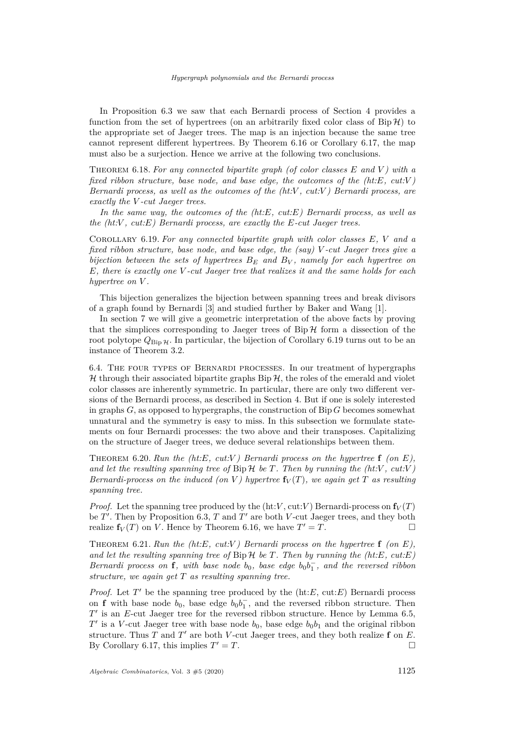In Proposition [6.3](#page-23-2) we saw that each Bernardi process of Section [4](#page-10-0) provides a function from the set of hypertrees (on an arbitrarily fixed color class of  $\text{Bip}\,\mathcal{H}$ ) to the appropriate set of Jaeger trees. The map is an injection because the same tree cannot represent different hypertrees. By Theorem [6.16](#page-26-1) or Corollary [6.17,](#page-26-2) the map must also be a surjection. Hence we arrive at the following two conclusions.

<span id="page-27-0"></span>Theorem 6.18. *For any connected bipartite graph (of color classes E and V ) with a fixed ribbon structure, base node, and base edge, the outcomes of the (ht:E, cut:V ) Bernardi process, as well as the outcomes of the (ht:V , cut:V ) Bernardi process, are exactly the V -cut Jaeger trees.*

*In the same way, the outcomes of the (ht:E, cut:E) Bernardi process, as well as the (ht:V , cut:E) Bernardi process, are exactly the E-cut Jaeger trees.*

<span id="page-27-1"></span>Corollary 6.19. *For any connected bipartite graph with color classes E, V and a fixed ribbon structure, base node, and base edge, the (say) V -cut Jaeger trees give a bijection between the sets of hypertrees B<sup>E</sup> and B<sup>V</sup> , namely for each hypertree on E, there is exactly one V -cut Jaeger tree that realizes it and the same holds for each hypertree on V .*

This bijection generalizes the bijection between spanning trees and break divisors of a graph found by Bernardi [\[3\]](#page-40-2) and studied further by Baker and Wang [\[1\]](#page-40-8).

In section [7](#page-28-0) we will give a geometric interpretation of the above facts by proving that the simplices corresponding to Jaeger trees of  $\text{Bip}\,\mathcal{H}$  form a dissection of the root polytope  $Q_{\text{Bip }\mathcal{H}}$ . In particular, the bijection of Corollary [6.19](#page-27-1) turns out to be an instance of Theorem [3.2.](#page-9-2)

6.4. The four types of Bernardi processes. In our treatment of hypergraphs  $H$  through their associated bipartite graphs  $\text{Bip } H$ , the roles of the emerald and violet color classes are inherently symmetric. In particular, there are only two different versions of the Bernardi process, as described in Section [4.](#page-10-0) But if one is solely interested in graphs *G*, as opposed to hypergraphs, the construction of Bip *G* becomes somewhat unnatural and the symmetry is easy to miss. In this subsection we formulate statements on four Bernardi processes: the two above and their transposes. Capitalizing on the structure of Jaeger trees, we deduce several relationships between them.

Theorem 6.20. *Run the (ht:E, cut:V ) Bernardi process on the hypertree* **f** *(on E),* and let the resulting spanning tree of Bip  $H$  be  $T$ . Then by running the (ht: $V$ , cut: $V$ ) *Bernardi-process on the induced (on V) hypertree*  $f_V(T)$ *, we again get T as resulting spanning tree.*

*Proof.* Let the spanning tree produced by the (ht:*V*, cut:*V*) Bernardi-process on  $f_V(T)$ be  $T'$ . Then by Proposition [6.3,](#page-23-2)  $T$  and  $T'$  are both  $V$ -cut Jaeger trees, and they both realize  $f_V(T)$  on *V*. Hence by Theorem [6.16,](#page-26-1) we have  $T' = T$ .

<span id="page-27-2"></span>Theorem 6.21. *Run the (ht:E, cut:V ) Bernardi process on the hypertree* **f** *(on E), and let the resulting spanning tree of* Bip H *be T. Then by running the (ht:E, cut:E) Bernardi process on* **f***, with base node*  $b_0$ *, base edge*  $b_0b_1^-$ *, and the reversed ribbon structure, we again get T as resulting spanning tree.*

*Proof.* Let  $T'$  be the spanning tree produced by the (ht: $E$ , cut: $E$ ) Bernardi process on **f** with base node  $b_0$ , base edge  $b_0b_1^{\dagger}$ , and the reversed ribbon structure. Then  $T'$  is an *E*-cut Jaeger tree for the reversed ribbon structure. Hence by Lemma  $6.5$ ,  $T'$  is a *V*-cut Jaeger tree with base node  $b_0$ , base edge  $b_0b_1$  and the original ribbon structure. Thus  $T$  and  $T'$  are both  $V$ -cut Jaeger trees, and they both realize  $f$  on  $E$ . By Corollary [6.17,](#page-26-2) this implies  $T' = T$ .  $\mathcal{I}' = T.$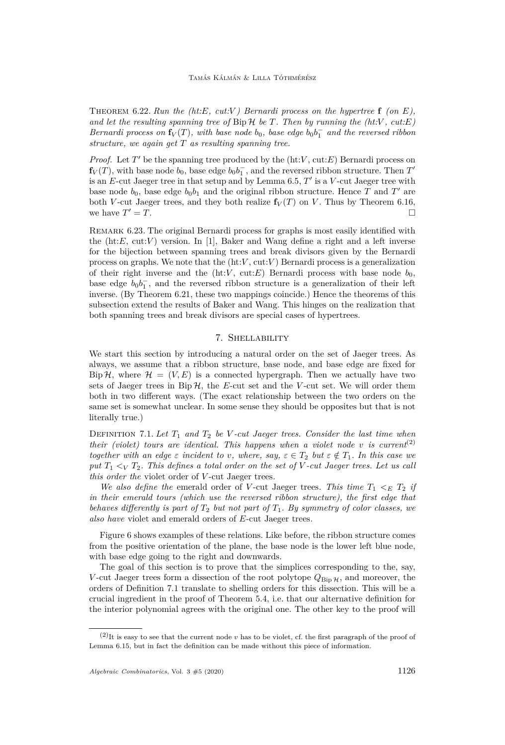Theorem 6.22. *Run the (ht:E, cut:V ) Bernardi process on the hypertree* **f** *(on E),* and let the resulting spanning tree of  $\text{Bip}\,\mathcal{H}$  be  $T$ *. Then by running the (ht:V*, cut:*E*) *Bernardi process on*  $f_V(T)$ *, with base node*  $b_0$ *, base edge*  $b_0b_1^-$  *and the reversed ribbon structure, we again get T as resulting spanning tree.*

*Proof.* Let  $T'$  be the spanning tree produced by the  $(ht:V, cut: E)$  Bernardi process on  $f_V(T)$ , with base node  $b_0$ , base edge  $b_0b_1^{\dagger}$ , and the reversed ribbon structure. Then  $T'$ is an  $E$ -cut Jaeger tree in that setup and by Lemma [6.5,](#page-23-0)  $T'$  is a  $V$ -cut Jaeger tree with base node  $b_0$ , base edge  $b_0b_1$  and the original ribbon structure. Hence *T* and *T'* are both *V*-cut Jaeger trees, and they both realize  $f_V(T)$  on *V*. Thus by Theorem [6.16,](#page-26-1) we have  $T' = T$ .  $\mathcal{I} = T.$ 

<span id="page-28-1"></span>Remark 6.23. The original Bernardi process for graphs is most easily identified with the  $(ht:E, cut:V)$  version. In [\[1\]](#page-40-8), Baker and Wang define a right and a left inverse for the bijection between spanning trees and break divisors given by the Bernardi process on graphs. We note that the  $(ht:V, cut:V)$  Bernardi process is a generalization of their right inverse and the  $(ht:V, cut: E)$  Bernardi process with base node  $b_0$ , base edge  $b_0b_1^-$ , and the reversed ribbon structure is a generalization of their left inverse. (By Theorem [6.21,](#page-27-2) these two mappings coincide.) Hence the theorems of this subsection extend the results of Baker and Wang. This hinges on the realization that both spanning trees and break divisors are special cases of hypertrees.

#### 7. Shellability

<span id="page-28-0"></span>We start this section by introducing a natural order on the set of Jaeger trees. As always, we assume that a ribbon structure, base node, and base edge are fixed for Bip H, where  $\mathcal{H} = (V, E)$  is a connected hypergraph. Then we actually have two sets of Jaeger trees in  $\text{Bip}\,\mathcal{H}$ , the *E*-cut set and the *V*-cut set. We will order them both in two different ways. (The exact relationship between the two orders on the same set is somewhat unclear. In some sense they should be opposites but that is not literally true.)

<span id="page-28-2"></span>DEFINITION 7.1. Let  $T_1$  and  $T_2$  be V-cut Jaeger trees. Consider the last time when *their (violet) tours are identical. This happens when a violet node*  $v$  *is current*<sup>(2)</sup> *together with an edge*  $\varepsilon$  *incident to*  $v$ *, where, say,*  $\varepsilon \in T_2$  *but*  $\varepsilon \notin T_1$ *. In this case we put T*<sup>1</sup> *<<sup>V</sup> T*2*. This defines a total order on the set of V -cut Jaeger trees. Let us call this order the* violet order of *V* -cut Jaeger trees*.*

*We also define the* emerald order of *V*-cut Jaeger trees. This time  $T_1 \leq_E T_2$  if *in their emerald tours (which use the reversed ribbon structure), the first edge that behaves differently is part of*  $T_2$  *but not part of*  $T_1$ *. By symmetry of color classes, we also have* violet and emerald orders of *E*-cut Jaeger trees*.*

Figure [6](#page-29-0) shows examples of these relations. Like before, the ribbon structure comes from the positive orientation of the plane, the base node is the lower left blue node, with base edge going to the right and downwards.

The goal of this section is to prove that the simplices corresponding to the, say, *V*-cut Jaeger trees form a dissection of the root polytope  $Q_{\text{Bin }\mathcal{H}}$ , and moreover, the orders of Definition [7.1](#page-28-2) translate to shelling orders for this dissection. This will be a crucial ingredient in the proof of Theorem [5.4,](#page-21-0) i.e. that our alternative definition for the interior polynomial agrees with the original one. The other key to the proof will

 $(2)$ It is easy to see that the current node *v* has to be violet, cf. the first paragraph of the proof of Lemma [6.15,](#page-26-0) but in fact the definition can be made without this piece of information.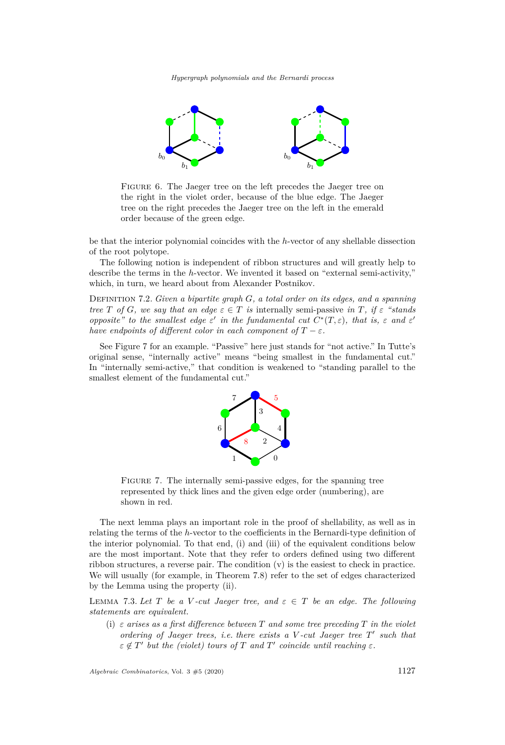*Hypergraph polynomials and the Bernardi process*



<span id="page-29-0"></span>Figure 6. The Jaeger tree on the left precedes the Jaeger tree on the right in the violet order, because of the blue edge. The Jaeger tree on the right precedes the Jaeger tree on the left in the emerald order because of the green edge.

be that the interior polynomial coincides with the *h*-vector of any shellable dissection of the root polytope.

The following notion is independent of ribbon structures and will greatly help to describe the terms in the *h*-vector. We invented it based on "external semi-activity," which, in turn, we heard about from Alexander Postnikov.

Definition 7.2. *Given a bipartite graph G, a total order on its edges, and a spanning tree T* of *G, we say that an edge*  $\varepsilon \in T$  *is* internally semi-passive *in T, if*  $\varepsilon$  *"stands opposite*" *to the smallest edge*  $\varepsilon'$  *in the fundamental cut*  $C^*(T, \varepsilon)$ *, that is,*  $\varepsilon$  *and*  $\varepsilon'$ *have endpoints of different color in each component of*  $T - \varepsilon$ *.* 

See Figure [7](#page-29-1) for an example. "Passive" here just stands for "not active." In Tutte's original sense, "internally active" means "being smallest in the fundamental cut." In "internally semi-active," that condition is weakened to "standing parallel to the smallest element of the fundamental cut."



<span id="page-29-1"></span>FIGURE 7. The internally semi-passive edges, for the spanning tree represented by thick lines and the given edge order (numbering), are shown in red.

The next lemma plays an important role in the proof of shellability, as well as in relating the terms of the *h*-vector to the coefficients in the Bernardi-type definition of the interior polynomial. To that end, [\(i\)](#page-29-2) and [\(iii\)](#page-30-0) of the equivalent conditions below are the most important. Note that they refer to orders defined using two different ribbon structures, a reverse pair. The condition [\(v\)](#page-30-1) is the easiest to check in practice. We will usually (for example, in Theorem [7.8\)](#page-33-0) refer to the set of edges characterized by the Lemma using the property [\(ii\).](#page-30-2)

<span id="page-29-3"></span>LEMMA 7.3. Let *T* be a *V*-cut Jaeger tree, and  $\varepsilon \in T$  be an edge. The following *statements are equivalent.*

<span id="page-29-2"></span>(i) *ε arises as a first difference between T and some tree preceding T in the violet ordering of Jaeger trees, i.e. there exists a V-cut Jaeger tree T' such that*  $\varepsilon \notin T'$  but the (violet) tours of *T* and *T'* coincide until reaching  $\varepsilon$ .

*Algebraic Combinatorics*, Vol. 3 #5 (2020) 1127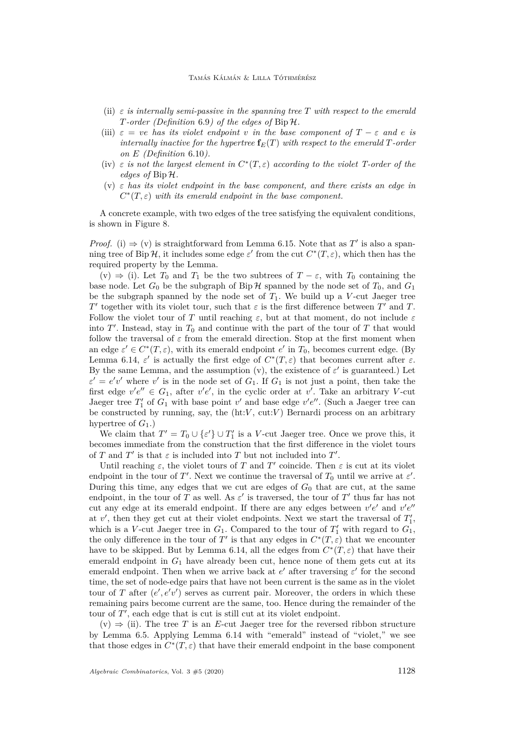#### Tamás Kálmán & Lilla Tóthmérész

- <span id="page-30-2"></span>(ii)  $\varepsilon$  *is internally semi-passive in the spanning tree*  $T$  *with respect to the emerald T-order (Definition* [6.9](#page-24-1)*) of the edges of* Bip H*.*
- <span id="page-30-0"></span>(iii)  $\varepsilon = ve$  *has its violet endpoint v in the base component of*  $T - \varepsilon$  *and*  $e$  *is internally inactive for the hypertree*  $f_E(T)$  *with respect to the emerald*  $T$ *-order on E (Definition* [6.10](#page-24-2)*).*
- <span id="page-30-3"></span>(iv)  $\varepsilon$  *is not the largest element in*  $C^*(T, \varepsilon)$  *according to the violet T-order of the edges of* Bip H*.*
- <span id="page-30-1"></span>(v) *ε has its violet endpoint in the base component, and there exists an edge in*  $C^*(T,\varepsilon)$  *with its emerald endpoint in the base component.*

A concrete example, with two edges of the tree satisfying the equivalent conditions, is shown in Figure [8.](#page-32-0)

*Proof.* [\(i\)](#page-29-2)  $\Rightarrow$  [\(v\)](#page-30-1) is straightforward from Lemma [6.15.](#page-26-0) Note that as T' is also a spanning tree of Bip H, it includes some edge  $\varepsilon'$  from the cut  $C^*(T,\varepsilon)$ , which then has the required property by the Lemma.

[\(v\)](#page-30-1)  $\Rightarrow$  [\(i\).](#page-29-2) Let *T*<sub>0</sub> and *T*<sub>1</sub> be the two subtrees of *T* − *ε*, with *T*<sub>0</sub> containing the base node. Let  $G_0$  be the subgraph of Bip  $H$  spanned by the node set of  $T_0$ , and  $G_1$ be the subgraph spanned by the node set of  $T_1$ . We build up a *V*-cut Jaeger tree *T*<sup> $'$ </sup> together with its violet tour, such that *ε* is the first difference between *T*<sup> $'$ </sup> and *T*. Follow the violet tour of *T* until reaching  $\varepsilon$ , but at that moment, do not include  $\varepsilon$ into  $T'$ . Instead, stay in  $T_0$  and continue with the part of the tour of  $T$  that would follow the traversal of  $\varepsilon$  from the emerald direction. Stop at the first moment when an edge  $\varepsilon' \in C^*(T, \varepsilon)$ , with its emerald endpoint  $e'$  in  $T_0$ , becomes current edge. (By Lemma [6.14,](#page-25-1)  $\varepsilon'$  is actually the first edge of  $C^*(T,\varepsilon)$  that becomes current after  $\varepsilon$ . By the same Lemma, and the assumption [\(v\),](#page-30-1) the existence of  $\varepsilon'$  is guaranteed.) Let  $\varepsilon' = e'v'$  where *v*' is in the node set of *G*<sub>1</sub>. If *G*<sub>1</sub> is not just a point, then take the first edge  $v'e'' \in G_1$ , after  $v'e'$ , in the cyclic order at  $v'$ . Take an arbitrary *V*-cut Jaeger tree  $T_1'$  of  $G_1$  with base point  $v'$  and base edge  $v'e''$ . (Such a Jaeger tree can be constructed by running, say, the  $(ht:V, cut:V)$  Bernardi process on an arbitrary hypertree of  $G_1$ .)

We claim that  $T' = T_0 \cup {\varepsilon}'$   $\cup T'_1$  is a *V*-cut Jaeger tree. Once we prove this, it becomes immediate from the construction that the first difference in the violet tours of *T* and *T'* is that  $\varepsilon$  is included into *T* but not included into *T'*.

Until reaching  $\varepsilon$ , the violet tours of *T* and *T'* coincide. Then  $\varepsilon$  is cut at its violet endpoint in the tour of *T'*. Next we continue the traversal of  $T_0$  until we arrive at  $\varepsilon'$ . During this time, any edges that we cut are edges of *G*<sup>0</sup> that are cut, at the same endpoint, in the tour of *T* as well. As  $\varepsilon'$  is traversed, the tour of *T'* thus far has not cut any edge at its emerald endpoint. If there are any edges between  $v'e'$  and  $v'e''$ at  $v'$ , then they get cut at their violet endpoints. Next we start the traversal of  $T_1'$ , which is a *V*-cut Jaeger tree in  $G_1$ . Compared to the tour of  $T'_1$  with regard to  $G_1$ , the only difference in the tour of  $T'$  is that any edges in  $C^*(T,\varepsilon)$  that we encounter have to be skipped. But by Lemma [6.14,](#page-25-1) all the edges from  $C^*(T,\varepsilon)$  that have their emerald endpoint in  $G_1$  have already been cut, hence none of them gets cut at its emerald endpoint. Then when we arrive back at  $e'$  after traversing  $\varepsilon'$  for the second time, the set of node-edge pairs that have not been current is the same as in the violet tour of *T* after  $(e', e'v')$  serves as current pair. Moreover, the orders in which these remaining pairs become current are the same, too. Hence during the remainder of the tour of  $T'$ , each edge that is cut is still cut at its violet endpoint.

 $(v) \Rightarrow (ii)$  $(v) \Rightarrow (ii)$ . The tree *T* is an *E*-cut Jaeger tree for the reversed ribbon structure by Lemma [6.5.](#page-23-0) Applying Lemma [6.14](#page-25-1) with "emerald" instead of "violet," we see that those edges in  $C^*(T, \varepsilon)$  that have their emerald endpoint in the base component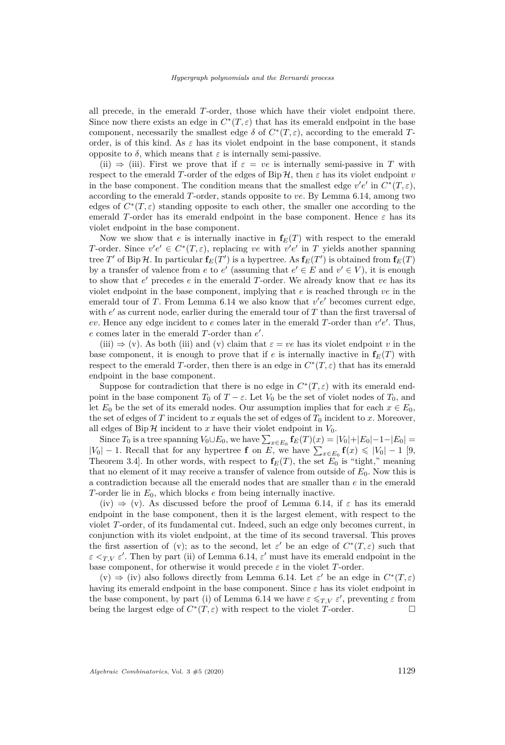all precede, in the emerald *T*-order, those which have their violet endpoint there. Since now there exists an edge in  $C^*(T, \varepsilon)$  that has its emerald endpoint in the base component, necessarily the smallest edge  $\delta$  of  $C^*(T,\varepsilon)$ , according to the emerald *T*order, is of this kind. As  $\varepsilon$  has its violet endpoint in the base component, it stands opposite to *δ*, which means that  $\varepsilon$  is internally semi-passive.

[\(ii\)](#page-30-2)  $\Rightarrow$  [\(iii\).](#page-30-0) First we prove that if  $\varepsilon = ve$  is internally semi-passive in *T* with respect to the emerald *T*-order of the edges of Bip  $H$ , then  $\varepsilon$  has its violet endpoint *v* in the base component. The condition means that the smallest edge  $v'e'$  in  $C^*(T,\varepsilon)$ , according to the emerald *T*-order, stands opposite to *ve*. By Lemma [6.14,](#page-25-1) among two edges of  $C^*(T,\varepsilon)$  standing opposite to each other, the smaller one according to the emerald *T*-order has its emerald endpoint in the base component. Hence  $\varepsilon$  has its violet endpoint in the base component.

Now we show that *e* is internally inactive in  $f_E(T)$  with respect to the emerald *T*-order. Since  $v'e' \in C^*(T,\varepsilon)$ , replacing *ve* with  $v'e'$  in *T* yields another spanning tree  $T'$  of Bip  $H$ . In particular  $\mathbf{f}_E(T')$  is a hypertree. As  $\mathbf{f}_E(T')$  is obtained from  $\mathbf{f}_E(T)$ by a transfer of valence from *e* to *e'* (assuming that  $e' \in E$  and  $v' \in V$ ), it is enough to show that  $e'$  precedes  $e$  in the emerald  $T$ -order. We already know that  $ve$  has its violet endpoint in the base component, implying that *e* is reached through *ve* in the emerald tour of  $T$ . From Lemma [6.14](#page-25-1) we also know that  $v'e'$  becomes current edge, with  $e'$  as current node, earlier during the emerald tour of  $T$  than the first traversal of  $ev$ . Hence any edge incident to  $e$  comes later in the emerald *T*-order than  $v'e'$ . Thus,  $e$  comes later in the emerald  $T$ -order than  $e'$ .

 $(iii) \Rightarrow (v)$  $(iii) \Rightarrow (v)$  $(iii) \Rightarrow (v)$ . As both (iii) and (v) claim that  $\varepsilon = ve$  has its violet endpoint v in the base component, it is enough to prove that if *e* is internally inactive in  $f_E(T)$  with respect to the emerald *T*-order, then there is an edge in  $C^*(T, \varepsilon)$  that has its emerald endpoint in the base component.

Suppose for contradiction that there is no edge in  $C^*(T,\varepsilon)$  with its emerald endpoint in the base component  $T_0$  of  $T - \varepsilon$ . Let  $V_0$  be the set of violet nodes of  $T_0$ , and let  $E_0$  be the set of its emerald nodes. Our assumption implies that for each  $x \in E_0$ , the set of edges of  $T$  incident to  $x$  equals the set of edges of  $T_0$  incident to  $x$ . Moreover, all edges of  $\text{Bip}\,\mathcal{H}$  incident to *x* have their violet endpoint in  $V_0$ .

Since  $T_0$  is a tree spanning  $V_0 \cup E_0$ , we have  $\sum_{x \in E_0} f_E(T)(x) = |V_0| + |E_0| - 1 - |E_0| =$  $|V_0|$  − 1. Recall that for any hypertree **f** on *E*, we have  $\sum_{x \in E_0}$  **f**(*x*) ≤ |*V*<sub>0</sub>| − 1 [\[9,](#page-40-0) Theorem 3.4. In other words, with respect to  $f_E(T)$ , the set  $E_0$  is "tight," meaning that no element of it may receive a transfer of valence from outside of *E*0. Now this is a contradiction because all the emerald nodes that are smaller than *e* in the emerald *T*-order lie in *E*0, which blocks *e* from being internally inactive.

[\(iv\)](#page-30-3)  $\Rightarrow$  [\(v\).](#page-30-1) As discussed before the proof of Lemma [6.14,](#page-25-1) if  $\varepsilon$  has its emerald endpoint in the base component, then it is the largest element, with respect to the violet *T*-order, of its fundamental cut. Indeed, such an edge only becomes current, in conjunction with its violet endpoint, at the time of its second traversal. This proves the first assertion of [\(v\);](#page-30-1) as to the second, let  $\varepsilon'$  be an edge of  $C^*(T,\varepsilon)$  such that  $\varepsilon <sub>T,V</sub> \varepsilon'$ . Then by part [\(ii\)](#page-25-3) of Lemma [6.14,](#page-25-1)  $\varepsilon'$  must have its emerald endpoint in the base component, for otherwise it would precede  $\varepsilon$  in the violet *T*-order.

[\(v\)](#page-30-1)  $\Rightarrow$  [\(iv\)](#page-30-3) also follows directly from Lemma [6.14.](#page-25-1) Let  $\varepsilon'$  be an edge in  $C^*(T,\varepsilon)$ having its emerald endpoint in the base component. Since *ε* has its violet endpoint in the base component, by part [\(i\)](#page-25-4) of Lemma [6.14](#page-25-1) we have  $\varepsilon \leq T, V \varepsilon'$ , preventing  $\varepsilon$  from being the largest edge of  $C^*(T, \varepsilon)$  with respect to the violet *T*-order.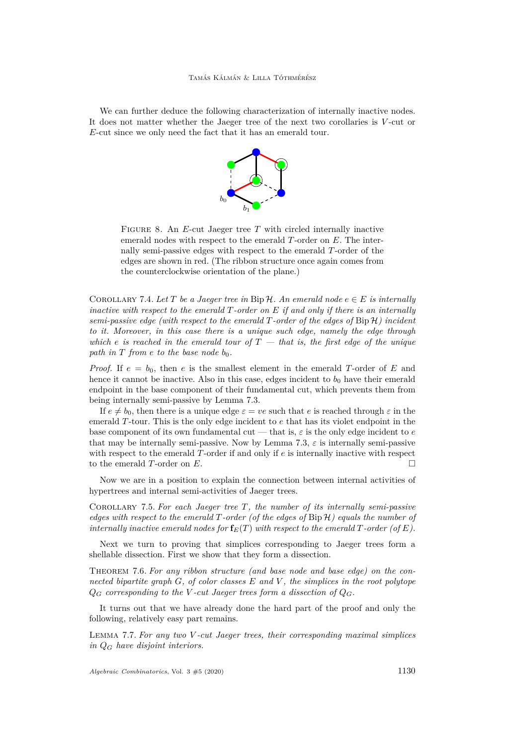We can further deduce the following characterization of internally inactive nodes. It does not matter whether the Jaeger tree of the next two corollaries is *V* -cut or *E*-cut since we only need the fact that it has an emerald tour.



<span id="page-32-0"></span>Figure 8. An *E*-cut Jaeger tree *T* with circled internally inactive emerald nodes with respect to the emerald *T*-order on *E*. The internally semi-passive edges with respect to the emerald *T*-order of the edges are shown in red. (The ribbon structure once again comes from the counterclockwise orientation of the plane.)

<span id="page-32-4"></span>COROLLARY 7.4. Let  $T$  be a Jaeger tree in Bip  $H$ . An emerald node  $e \in E$  is internally *inactive with respect to the emerald T-order on E if and only if there is an internally semi-passive edge (with respect to the emerald T-order of the edges of* Bip H*) incident to it. Moreover, in this case there is a unique such edge, namely the edge through which e is reached in the emerald tour of*  $T -$  *that is, the first edge of the unique path in*  $T$  *from*  $e$  *to the base node*  $b_0$ *.* 

*Proof.* If  $e = b_0$ , then *e* is the smallest element in the emerald *T*-order of *E* and hence it cannot be inactive. Also in this case, edges incident to  $b_0$  have their emerald endpoint in the base component of their fundamental cut, which prevents them from being internally semi-passive by Lemma [7.3.](#page-29-3)

If  $e \neq b_0$ , then there is a unique edge  $\varepsilon = ve$  such that *e* is reached through  $\varepsilon$  in the emerald *T*-tour. This is the only edge incident to *e* that has its violet endpoint in the base component of its own fundamental cut — that is,  $\varepsilon$  is the only edge incident to  $e$ that may be internally semi-passive. Now by Lemma [7.3,](#page-29-3)  $\varepsilon$  is internally semi-passive with respect to the emerald *T*-order if and only if *e* is internally inactive with respect to the emerald *T*-order on *E*.

Now we are in a position to explain the connection between internal activities of hypertrees and internal semi-activities of Jaeger trees.

<span id="page-32-3"></span>Corollary 7.5. *For each Jaeger tree T, the number of its internally semi-passive edges with respect to the emerald T-order (of the edges of* Bip H*) equals the number of internally inactive emerald nodes for*  $f_E(T)$  *with respect to the emerald*  $T$ *-order (of*  $E$ ).

Next we turn to proving that simplices corresponding to Jaeger trees form a shellable dissection. First we show that they form a dissection.

<span id="page-32-1"></span>Theorem 7.6. *For any ribbon structure (and base node and base edge) on the connected bipartite graph G, of color classes E and V , the simplices in the root polytope*  $Q_G$  *corresponding to the V -cut Jaeger trees form a dissection of*  $Q_G$ *.* 

It turns out that we have already done the hard part of the proof and only the following, relatively easy part remains.

<span id="page-32-2"></span>Lemma 7.7. *For any two V -cut Jaeger trees, their corresponding maximal simplices in Q<sup>G</sup> have disjoint interiors.*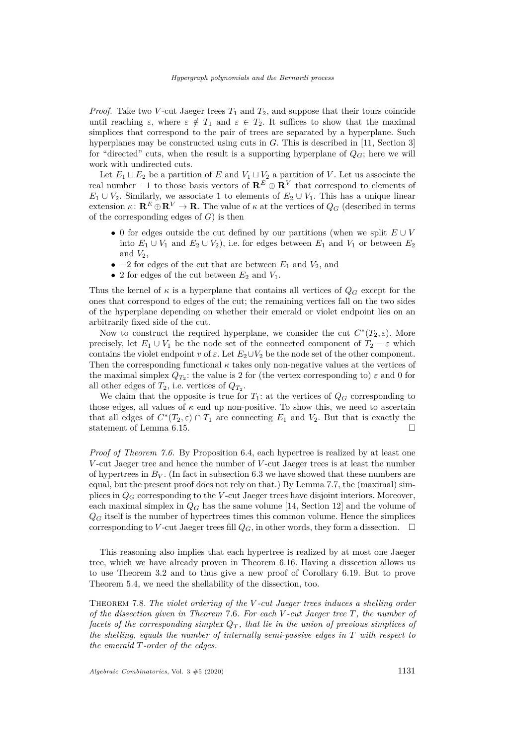*Proof.* Take two *V*-cut Jaeger trees  $T_1$  and  $T_2$ , and suppose that their tours coincide until reaching  $\varepsilon$ , where  $\varepsilon \notin T_1$  and  $\varepsilon \in T_2$ . It suffices to show that the maximal simplices that correspond to the pair of trees are separated by a hyperplane. Such hyperplanes may be constructed using cuts in *G*. This is described in [\[11,](#page-40-5) Section 3] for "directed" cuts, when the result is a supporting hyperplane of  $Q_G$ ; here we will work with undirected cuts.

Let  $E_1 \sqcup E_2$  be a partition of  $E$  and  $V_1 \sqcup V_2$  a partition of  $V$ . Let us associate the real number −1 to those basis vectors of **R***<sup>E</sup>* ⊕ **R***<sup>V</sup>* that correspond to elements of  $E_1 \cup V_2$ . Similarly, we associate 1 to elements of  $E_2 \cup V_1$ . This has a unique linear extension  $\kappa: \mathbf{R}^E \oplus \mathbf{R}^V \to \mathbf{R}$ . The value of  $\kappa$  at the vertices of  $Q_G$  (described in terms of the corresponding edges of *G*) is then

- 0 for edges outside the cut defined by our partitions (when we split *E* ∪ *V* into  $E_1 \cup V_1$  and  $E_2 \cup V_2$ ), i.e. for edges between  $E_1$  and  $V_1$  or between  $E_2$ and  $V_2$ ,
- $-2$  for edges of the cut that are between  $E_1$  and  $V_2$ , and
- 2 for edges of the cut between  $E_2$  and  $V_1$ .

Thus the kernel of  $\kappa$  is a hyperplane that contains all vertices of  $Q_G$  except for the ones that correspond to edges of the cut; the remaining vertices fall on the two sides of the hyperplane depending on whether their emerald or violet endpoint lies on an arbitrarily fixed side of the cut.

Now to construct the required hyperplane, we consider the cut  $C^*(T_2, \varepsilon)$ . More precisely, let  $E_1 \cup V_1$  be the node set of the connected component of  $T_2 - \varepsilon$  which contains the violet endpoint *v* of  $\varepsilon$ . Let  $E_2 \cup V_2$  be the node set of the other component. Then the corresponding functional  $\kappa$  takes only non-negative values at the vertices of the maximal simplex  $Q_{T_2}$ : the value is 2 for (the vertex corresponding to)  $\varepsilon$  and 0 for all other edges of  $T_2$ , i.e. vertices of  $Q_{T_2}$ .

We claim that the opposite is true for  $T_1$ : at the vertices of  $Q_G$  corresponding to those edges, all values of  $\kappa$  end up non-positive. To show this, we need to ascertain that all edges of  $C^*(T_2, \varepsilon) \cap T_1$  are connecting  $E_1$  and  $V_2$ . But that is exactly the statement of Lemma [6.15.](#page-26-0)

*Proof of Theorem [7.6.](#page-32-1)* By Proposition [6.4,](#page-23-3) each hypertree is realized by at least one *V* -cut Jaeger tree and hence the number of *V* -cut Jaeger trees is at least the number of hypertrees in  $B_V$ . (In fact in subsection [6.3](#page-26-3) we have showed that these numbers are equal, but the present proof does not rely on that.) By Lemma [7.7,](#page-32-2) the (maximal) simplices in *Q<sup>G</sup>* corresponding to the *V* -cut Jaeger trees have disjoint interiors. Moreover, each maximal simplex in  $Q_G$  has the same volume [\[14,](#page-40-1) Section 12] and the volume of  $Q_G$  itself is the number of hypertrees times this common volume. Hence the simplices corresponding to *V*-cut Jaeger trees fill  $Q_G$ , in other words, they form a dissection.  $\Box$ 

This reasoning also implies that each hypertree is realized by at most one Jaeger tree, which we have already proven in Theorem [6.16.](#page-26-1) Having a dissection allows us to use Theorem [3.2](#page-9-2) and to thus give a new proof of Corollary [6.19.](#page-27-1) But to prove Theorem [5.4,](#page-21-0) we need the shellability of the dissection, too.

<span id="page-33-0"></span>Theorem 7.8. *The violet ordering of the V -cut Jaeger trees induces a shelling order of the dissection given in Theorem* [7.6](#page-32-1)*. For each V -cut Jaeger tree T, the number of facets of the corresponding simplex*  $Q_T$ , that lie in the union of previous simplices of *the shelling, equals the number of internally semi-passive edges in T with respect to the emerald T-order of the edges.*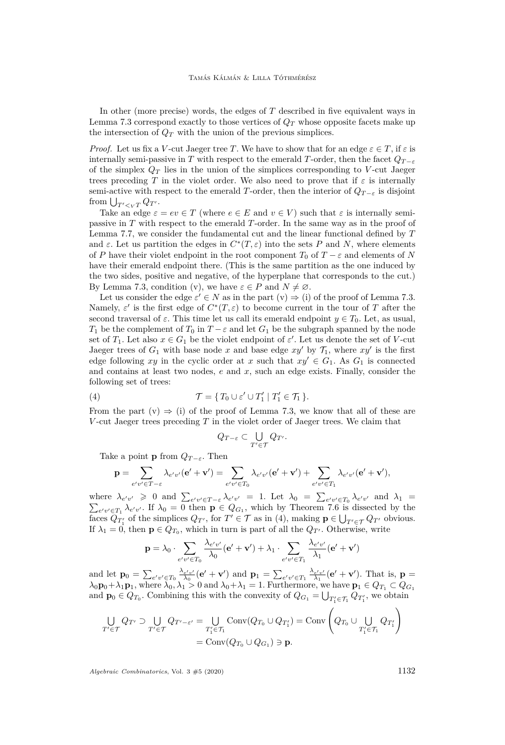In other (more precise) words, the edges of *T* described in five equivalent ways in Lemma [7.3](#page-29-3) correspond exactly to those vertices of *Q<sup>T</sup>* whose opposite facets make up the intersection of  $Q_T$  with the union of the previous simplices.

*Proof.* Let us fix a *V*-cut Jaeger tree *T*. We have to show that for an edge  $\varepsilon \in T$ , if  $\varepsilon$  is internally semi-passive in *T* with respect to the emerald *T*-order, then the facet  $Q_{T-\varepsilon}$ of the simplex  $Q_T$  lies in the union of the simplices corresponding to *V*-cut Jaeger trees preceding *T* in the violet order. We also need to prove that if  $\varepsilon$  is internally semi-active with respect to the emerald *T*-order, then the interior of  $Q_{T-\epsilon}$  is disjoint from  $\bigcup_{T' \leq v} \bigcap_{T'} Q_{T'}$ .

Take an edge  $\varepsilon = ev \in T$  (where  $e \in E$  and  $v \in V$ ) such that  $\varepsilon$  is internally semipassive in *T* with respect to the emerald *T*-order. In the same way as in the proof of Lemma [7.7,](#page-32-2) we consider the fundamental cut and the linear functional defined by *T* and  $\varepsilon$ . Let us partition the edges in  $C^*(T,\varepsilon)$  into the sets *P* and *N*, where elements of *P* have their violet endpoint in the root component  $T_0$  of  $T - \varepsilon$  and elements of *N* have their emerald endpoint there. (This is the same partition as the one induced by the two sides, positive and negative, of the hyperplane that corresponds to the cut.) By Lemma [7.3,](#page-29-3) condition [\(v\),](#page-30-1) we have  $\varepsilon \in P$  and  $N \neq \emptyset$ .

Let us consider the edge  $\varepsilon' \in N$  as in the part  $(v) \Rightarrow (i)$  $(v) \Rightarrow (i)$  $(v) \Rightarrow (i)$  of the proof of Lemma [7.3.](#page-29-3) Namely,  $\varepsilon'$  is the first edge of  $C^*(T,\varepsilon)$  to become current in the tour of *T* after the second traversal of  $\varepsilon$ . This time let us call its emerald endpoint  $y \in T_0$ . Let, as usual, *T*<sub>1</sub> be the complement of *T*<sub>0</sub> in *T* −  $\varepsilon$  and let *G*<sub>1</sub> be the subgraph spanned by the node set of  $T_1$ . Let also  $x \in G_1$  be the violet endpoint of  $\varepsilon'$ . Let us denote the set of *V*-cut Jaeger trees of  $G_1$  with base node x and base edge  $xy'$  by  $\mathcal{T}_1$ , where  $xy'$  is the first edge following *xy* in the cyclic order at *x* such that  $xy' \in G_1$ . As  $G_1$  is connected and contains at least two nodes, *e* and *x*, such an edge exists. Finally, consider the following set of trees:

(4) 
$$
\mathcal{T} = \{ T_0 \cup \varepsilon' \cup T_1' \mid T_1' \in \mathcal{T}_1 \}.
$$

From the part  $(v) \Rightarrow (i)$  $(v) \Rightarrow (i)$  $(v) \Rightarrow (i)$  of the proof of Lemma [7.3,](#page-29-3) we know that all of these are *V* -cut Jaeger trees preceding *T* in the violet order of Jaeger trees. We claim that

<span id="page-34-0"></span>
$$
Q_{T-\varepsilon}\subset \bigcup_{T'\in \mathcal{T}} Q_{T'}.
$$

Take a point **p** from  $Q_{T-\epsilon}$ . Then

$$
\mathbf{p} = \sum_{e'v' \in T-\varepsilon} \lambda_{e'v'}(\mathbf{e'} + \mathbf{v'}) = \sum_{e'v' \in T_0} \lambda_{e'v'}(\mathbf{e'} + \mathbf{v'}) + \sum_{e'v' \in T_1} \lambda_{e'v'}(\mathbf{e'} + \mathbf{v'}),
$$

where  $\lambda_{e'v'} \ge 0$  and  $\sum_{e'v' \in T-\varepsilon} \lambda_{e'v'} = 1$ . Let  $\lambda_0 = \sum_{e'v' \in T_0} \lambda_{e'v'}$  and  $\lambda_1 =$  $\sum_{e'v' \in T_1} \lambda_{e'v'}$ . If  $\lambda_0 = 0$  then  $p \in Q_{G_1}$ , which by Theorem [7.6](#page-32-1) is dissected by the faces  $Q_{T_1'}$  of the simplices  $Q_{T'}$ , for  $T' \in \mathcal{T}$  as in [\(4\)](#page-34-0), making  $\mathbf{p} \in \bigcup_{T' \in \mathcal{T}} Q_{T'}$  obvious. If  $\lambda_1 = 0$ , then  $p \in Q_{T_0}$ , which in turn is part of all the  $Q_{T'}$ . Otherwise, write

$$
\mathbf{p} = \lambda_0 \cdot \sum_{e'v' \in T_0} \frac{\lambda_{e'v'}}{\lambda_0} (\mathbf{e'} + \mathbf{v'}) + \lambda_1 \cdot \sum_{e'v' \in T_1} \frac{\lambda_{e'v'}}{\lambda_1} (\mathbf{e'} + \mathbf{v'})
$$

and let  $\mathbf{p}_0 = \sum_{e'v' \in T_0} \frac{\lambda_{e'v'}}{\lambda_0} (\mathbf{e'} + \mathbf{v'})$  and  $\mathbf{p}_1 = \sum_{e'v' \in T_1} \frac{\lambda_{e'v'}}{\lambda_1} (\mathbf{e'} + \mathbf{v'})$ . That is,  $\mathbf{p} =$  $\lambda_0$ **p**<sub>0</sub> +  $\lambda_1$ **p**<sub>1</sub>, where  $\lambda_0$ ,  $\lambda_1 > 0$  and  $\lambda_0 + \lambda_1 = 1$ . Furthermore, we have  $\mathbf{p}_1 \in Q_{T_1} \subset Q_{G_1}$ and  $\mathbf{p}_0 \in Q_{T_0}$ . Combining this with the convexity of  $Q_{G_1} = \bigcup_{T'_1 \in \mathcal{T}_1} Q_{T'_1}$ , we obtain

$$
\bigcup_{T' \in \mathcal{T}} Q_{T'} \supset \bigcup_{T' \in \mathcal{T}} Q_{T' - \varepsilon'} = \bigcup_{T'_1 \in \mathcal{T}_1} \text{Conv}(Q_{T_0} \cup Q_{T'_1}) = \text{Conv}\left(Q_{T_0} \cup \bigcup_{T'_1 \in \mathcal{T}_1} Q_{T'_1}\right)
$$

$$
= \text{Conv}(Q_{T_0} \cup Q_{G_1}) \ni \mathbf{p}.
$$

*Algebraic Combinatorics*, Vol. 3  $\#5$  (2020) 1132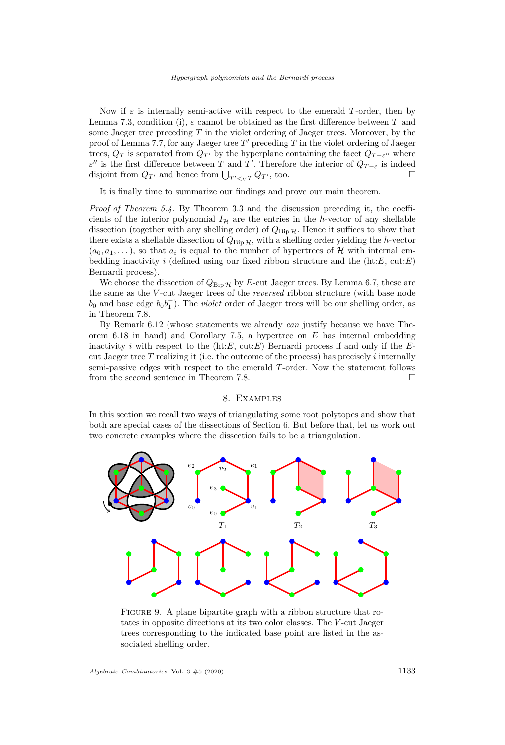Now if  $\varepsilon$  is internally semi-active with respect to the emerald *T*-order, then by Lemma [7.3,](#page-29-3) condition [\(i\),](#page-29-2)  $\varepsilon$  cannot be obtained as the first difference between T and some Jaeger tree preceding *T* in the violet ordering of Jaeger trees. Moreover, by the proof of Lemma [7.7,](#page-32-2) for any Jaeger tree  $T'$  preceding  $T$  in the violet ordering of Jaeger trees,  $Q_T$  is separated from  $Q_{T'}$  by the hyperplane containing the facet  $Q_{T-\varepsilon}$  where *ε*<sup>"</sup> is the first difference between *T* and *T*'. Therefore the interior of  $Q_{T-\varepsilon}$  is indeed disjoint from  $Q_{T'}$  and hence from  $\bigcup_{T' \leq v} Q_{T'}$ , too.

It is finally time to summarize our findings and prove our main theorem.

*Proof of Theorem [5.4.](#page-21-0)* By Theorem [3.3](#page-9-1) and the discussion preceding it, the coefficients of the interior polynomial  $I_{\mathcal{H}}$  are the entries in the *h*-vector of any shellable dissection (together with any shelling order) of  $Q_{\text{Bip }\mathcal{H}}$ . Hence it suffices to show that there exists a shellable dissection of  $Q_{\text{Bip }\mathcal{H}}$ , with a shelling order yielding the *h*-vector  $(a_0, a_1, \ldots)$ , so that  $a_i$  is equal to the number of hypertrees of H with internal embedding inactivity *i* (defined using our fixed ribbon structure and the (ht:*E*, cut:*E*) Bernardi process).

We choose the dissection of  $Q_{\text{Bip }\mathcal{H}}$  by *E*-cut Jaeger trees. By Lemma [6.7,](#page-24-0) these are the same as the *V* -cut Jaeger trees of the *reversed* ribbon structure (with base node  $b_0$  and base edge  $b_0b_1^-$ ). The *violet* order of Jaeger trees will be our shelling order, as in Theorem [7.8.](#page-33-0)

By Remark [6.12](#page-24-3) (whose statements we already *can* justify because we have Theorem [6.18](#page-27-0) in hand) and Corollary [7.5,](#page-32-3) a hypertree on *E* has internal embedding inactivity *i* with respect to the (ht:*E*, cut:*E*) Bernardi process if and only if the *E*cut Jaeger tree *T* realizing it (i.e. the outcome of the process) has precisely *i* internally semi-passive edges with respect to the emerald *T*-order. Now the statement follows from the second sentence in Theorem [7.8.](#page-33-0)

#### 8. Examples

<span id="page-35-0"></span>In this section we recall two ways of triangulating some root polytopes and show that both are special cases of the dissections of Section [6.](#page-22-0) But before that, let us work out two concrete examples where the dissection fails to be a triangulation.



<span id="page-35-1"></span>FIGURE 9. A plane bipartite graph with a ribbon structure that rotates in opposite directions at its two color classes. The *V* -cut Jaeger trees corresponding to the indicated base point are listed in the associated shelling order.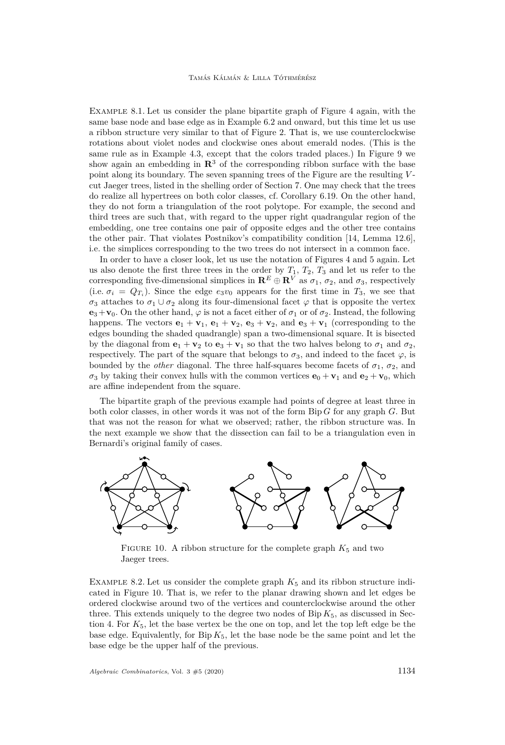<span id="page-36-0"></span>Example 8.1. Let us consider the plane bipartite graph of Figure [4](#page-23-1) again, with the same base node and base edge as in Example [6.2](#page-22-3) and onward, but this time let us use a ribbon structure very similar to that of Figure [2.](#page-12-0) That is, we use counterclockwise rotations about violet nodes and clockwise ones about emerald nodes. (This is the same rule as in Example [4.3,](#page-11-1) except that the colors traded places.) In Figure [9](#page-35-1) we show again an embedding in  $\mathbb{R}^3$  of the corresponding ribbon surface with the base point along its boundary. The seven spanning trees of the Figure are the resulting *V* cut Jaeger trees, listed in the shelling order of Section [7.](#page-28-0) One may check that the trees do realize all hypertrees on both color classes, cf. Corollary [6.19.](#page-27-1) On the other hand, they do not form a triangulation of the root polytope. For example, the second and third trees are such that, with regard to the upper right quadrangular region of the embedding, one tree contains one pair of opposite edges and the other tree contains the other pair. That violates Postnikov's compatibility condition [\[14,](#page-40-1) Lemma 12.6], i.e. the simplices corresponding to the two trees do not intersect in a common face.

In order to have a closer look, let us use the notation of Figures [4](#page-23-1) and [5](#page-25-0) again. Let us also denote the first three trees in the order by  $T_1$ ,  $T_2$ ,  $T_3$  and let us refer to the corresponding five-dimensional simplices in  $\mathbb{R}^E \oplus \mathbb{R}^V$  as  $\sigma_1$ ,  $\sigma_2$ , and  $\sigma_3$ , respectively (i.e.  $\sigma_i = Q_{T_i}$ ). Since the edge  $e_3v_0$  appears for the first time in  $T_3$ , we see that  $\sigma_3$  attaches to  $\sigma_1 \cup \sigma_2$  along its four-dimensional facet  $\varphi$  that is opposite the vertex  $\mathbf{e}_3+\mathbf{v}_0$ . On the other hand,  $\varphi$  is not a facet either of  $\sigma_1$  or of  $\sigma_2$ . Instead, the following happens. The vectors  $\mathbf{e}_1 + \mathbf{v}_1$ ,  $\mathbf{e}_1 + \mathbf{v}_2$ ,  $\mathbf{e}_3 + \mathbf{v}_2$ , and  $\mathbf{e}_3 + \mathbf{v}_1$  (corresponding to the edges bounding the shaded quadrangle) span a two-dimensional square. It is bisected by the diagonal from  $\mathbf{e}_1 + \mathbf{v}_2$  to  $\mathbf{e}_3 + \mathbf{v}_1$  so that the two halves belong to  $\sigma_1$  and  $\sigma_2$ , respectively. The part of the square that belongs to  $\sigma_3$ , and indeed to the facet  $\varphi$ , is bounded by the *other* diagonal. The three half-squares become facets of  $\sigma_1$ ,  $\sigma_2$ , and  $\sigma_3$  by taking their convex hulls with the common vertices  $\mathbf{e}_0 + \mathbf{v}_1$  and  $\mathbf{e}_2 + \mathbf{v}_0$ , which are affine independent from the square.

The bipartite graph of the previous example had points of degree at least three in both color classes, in other words it was not of the form Bip *G* for any graph *G*. But that was not the reason for what we observed; rather, the ribbon structure was. In the next example we show that the dissection can fail to be a triangulation even in Bernardi's original family of cases.



<span id="page-36-2"></span>FIGURE 10. A ribbon structure for the complete graph  $K_5$  and two Jaeger trees.

<span id="page-36-1"></span>EXAMPLE 8.2. Let us consider the complete graph  $K_5$  and its ribbon structure indicated in Figure [10.](#page-36-2) That is, we refer to the planar drawing shown and let edges be ordered clockwise around two of the vertices and counterclockwise around the other three. This extends uniquely to the degree two nodes of  $\text{Bip } K_5$ , as discussed in Sec-tion [4.](#page-10-0) For  $K_5$ , let the base vertex be the one on top, and let the top left edge be the base edge. Equivalently, for  $\text{Bip } K_5$ , let the base node be the same point and let the base edge be the upper half of the previous.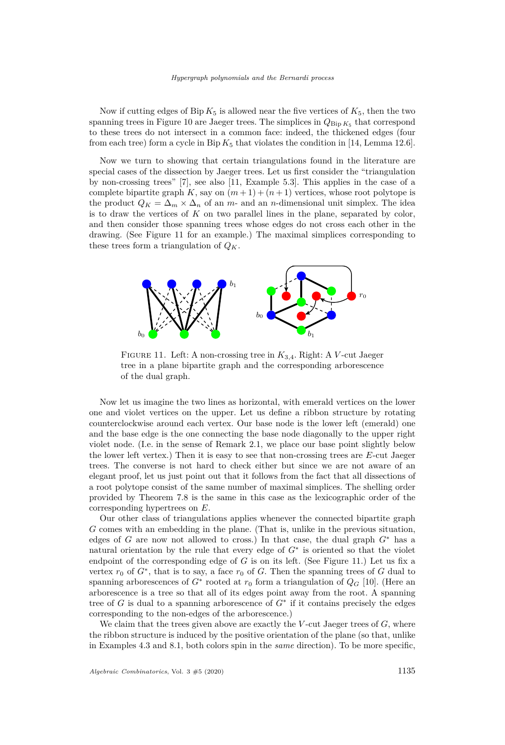Now if cutting edges of  $\text{Bip } K_5$  is allowed near the five vertices of  $K_5$ , then the two spanning trees in Figure [10](#page-36-2) are Jaeger trees. The simplices in  $Q_{\text{Bip }K_5}$  that correspond to these trees do not intersect in a common face: indeed, the thickened edges (four from each tree) form a cycle in Bip  $K_5$  that violates the condition in [\[14,](#page-40-1) Lemma 12.6].

Now we turn to showing that certain triangulations found in the literature are special cases of the dissection by Jaeger trees. Let us first consider the "triangulation by non-crossing trees" [\[7\]](#page-40-9), see also [\[11,](#page-40-5) Example 5.3]. This applies in the case of a complete bipartite graph  $K$ , say on  $(m+1) + (n+1)$  vertices, whose root polytope is the product  $Q_K = \Delta_m \times \Delta_n$  of an *m*- and an *n*-dimensional unit simplex. The idea is to draw the vertices of *K* on two parallel lines in the plane, separated by color, and then consider those spanning trees whose edges do not cross each other in the drawing. (See Figure [11](#page-37-0) for an example.) The maximal simplices corresponding to these trees form a triangulation of  $Q_K$ .



<span id="page-37-0"></span>Figure 11. Left: A non-crossing tree in *K*3*,*4. Right: A *V* -cut Jaeger tree in a plane bipartite graph and the corresponding arborescence of the dual graph.

Now let us imagine the two lines as horizontal, with emerald vertices on the lower one and violet vertices on the upper. Let us define a ribbon structure by rotating counterclockwise around each vertex. Our base node is the lower left (emerald) one and the base edge is the one connecting the base node diagonally to the upper right violet node. (I.e. in the sense of Remark [2.1,](#page-4-1) we place our base point slightly below the lower left vertex.) Then it is easy to see that non-crossing trees are *E*-cut Jaeger trees. The converse is not hard to check either but since we are not aware of an elegant proof, let us just point out that it follows from the fact that all dissections of a root polytope consist of the same number of maximal simplices. The shelling order provided by Theorem [7.8](#page-33-0) is the same in this case as the lexicographic order of the corresponding hypertrees on *E*.

Our other class of triangulations applies whenever the connected bipartite graph *G* comes with an embedding in the plane. (That is, unlike in the previous situation, edges of *G* are now not allowed to cross.) In that case, the dual graph  $G^*$  has a natural orientation by the rule that every edge of *G*<sup>∗</sup> is oriented so that the violet endpoint of the corresponding edge of *G* is on its left. (See Figure [11.](#page-37-0)) Let us fix a vertex  $r_0$  of  $G^*$ , that is to say, a face  $r_0$  of  $G$ . Then the spanning trees of  $G$  dual to spanning arborescences of  $G^*$  rooted at  $r_0$  form a triangulation of  $Q_G$  [\[10\]](#page-40-10). (Here an arborescence is a tree so that all of its edges point away from the root. A spanning tree of *G* is dual to a spanning arborescence of *G*<sup>∗</sup> if it contains precisely the edges corresponding to the non-edges of the arborescence.)

We claim that the trees given above are exactly the *V* -cut Jaeger trees of *G*, where the ribbon structure is induced by the positive orientation of the plane (so that, unlike in Examples [4.3](#page-11-1) and [8.1,](#page-36-0) both colors spin in the *same* direction). To be more specific,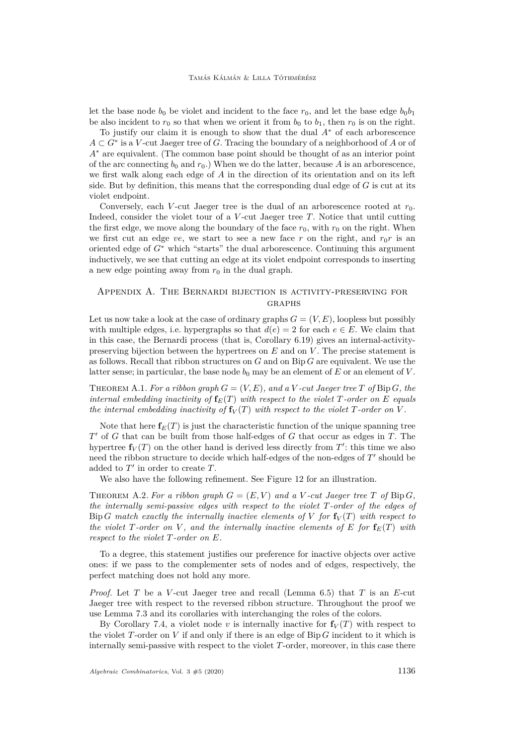let the base node  $b_0$  be violet and incident to the face  $r_0$ , and let the base edge  $b_0b_1$ be also incident to  $r_0$  so that when we orient it from  $b_0$  to  $b_1$ , then  $r_0$  is on the right.

To justify our claim it is enough to show that the dual *A*<sup>∗</sup> of each arborescence *A* ⊂ *G*<sup>∗</sup> is a *V* -cut Jaeger tree of *G*. Tracing the boundary of a neighborhood of *A* or of *A*<sup>∗</sup> are equivalent. (The common base point should be thought of as an interior point of the arc connecting  $b_0$  and  $r_0$ .) When we do the latter, because A is an arborescence, we first walk along each edge of *A* in the direction of its orientation and on its left side. But by definition, this means that the corresponding dual edge of *G* is cut at its violet endpoint.

Conversely, each *V*-cut Jaeger tree is the dual of an arborescence rooted at  $r_0$ . Indeed, consider the violet tour of a *V* -cut Jaeger tree *T*. Notice that until cutting the first edge, we move along the boundary of the face  $r_0$ , with  $r_0$  on the right. When we first cut an edge *ve*, we start to see a new face *r* on the right, and  $r_0r$  is an oriented edge of *G*<sup>∗</sup> which "starts" the dual arborescence. Continuing this argument inductively, we see that cutting an edge at its violet endpoint corresponds to inserting a new edge pointing away from  $r_0$  in the dual graph.

# Appendix A. The Bernardi bijection is activity-preserving for graphs

Let us now take a look at the case of ordinary graphs  $G = (V, E)$ , loopless but possibly with multiple edges, i.e. hypergraphs so that  $d(e) = 2$  for each  $e \in E$ . We claim that in this case, the Bernardi process (that is, Corollary [6.19\)](#page-27-1) gives an internal-activitypreserving bijection between the hypertrees on *E* and on *V* . The precise statement is as follows. Recall that ribbon structures on *G* and on Bip *G* are equivalent. We use the latter sense; in particular, the base node  $b_0$  may be an element of  $E$  or an element of  $V$ .

<span id="page-38-0"></span>THEOREM A.1. *For a ribbon graph*  $G = (V, E)$ *, and a*  $V$ -cut Jaeger tree T of Bip G, the *internal embedding inactivity of*  $f_E(T)$  *with respect to the violet T-order on E equals the internal embedding inactivity of*  $f_V(T)$  *with respect to the violet*  $T$ *-order on*  $V$ *.* 

Note that here  $f_E(T)$  is just the characteristic function of the unique spanning tree *T* <sup>0</sup> of *G* that can be built from those half-edges of *G* that occur as edges in *T*. The hypertree  $f_V(T)$  on the other hand is derived less directly from  $T'$ : this time we also need the ribbon structure to decide which half-edges of the non-edges of  $T'$  should be added to  $T'$  in order to create  $T$ .

We also have the following refinement. See Figure [12](#page-39-0) for an illustration.

THEOREM A.2. For a ribbon graph  $G = (E, V)$  and a *V*-cut Jaeger tree *T* of Bip *G*, *the internally semi-passive edges with respect to the violet T-order of the edges of* Bip *G* match exactly the internally inactive elements of *V* for  $f_V(T)$  with respect to *the violet*  $T$ *-order on*  $V$ *, and the internally inactive elements of*  $E$  *for*  $f_E(T)$  *with respect to the violet T-order on E.*

To a degree, this statement justifies our preference for inactive objects over active ones: if we pass to the complementer sets of nodes and of edges, respectively, the perfect matching does not hold any more.

*Proof.* Let *T* be a *V* -cut Jaeger tree and recall (Lemma [6.5\)](#page-23-0) that *T* is an *E*-cut Jaeger tree with respect to the reversed ribbon structure. Throughout the proof we use Lemma [7.3](#page-29-3) and its corollaries with interchanging the roles of the colors.

By Corollary [7.4,](#page-32-4) a violet node  $v$  is internally inactive for  $f_V(T)$  with respect to the violet *T*-order on *V* if and only if there is an edge of Bip *G* incident to it which is internally semi-passive with respect to the violet *T*-order, moreover, in this case there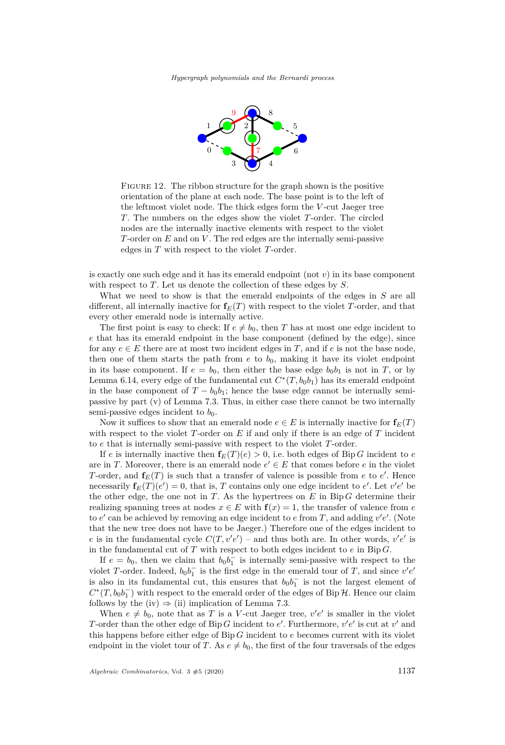

<span id="page-39-0"></span>FIGURE 12. The ribbon structure for the graph shown is the positive orientation of the plane at each node. The base point is to the left of the leftmost violet node. The thick edges form the *V* -cut Jaeger tree *T*. The numbers on the edges show the violet *T*-order. The circled nodes are the internally inactive elements with respect to the violet *T*-order on *E* and on *V* . The red edges are the internally semi-passive edges in *T* with respect to the violet *T*-order.

is exactly one such edge and it has its emerald endpoint (not *v*) in its base component with respect to *T*. Let us denote the collection of these edges by *S*.

What we need to show is that the emerald endpoints of the edges in *S* are all different, all internally inactive for  $f_E(T)$  with respect to the violet *T*-order, and that every other emerald node is internally active.

The first point is easy to check: If  $e \neq b_0$ , then *T* has at most one edge incident to *e* that has its emerald endpoint in the base component (defined by the edge), since for any  $e \in E$  there are at most two incident edges in T, and if  $e$  is not the base node, then one of them starts the path from  $e$  to  $b_0$ , making it have its violet endpoint in its base component. If  $e = b_0$ , then either the base edge  $b_0b_1$  is not in *T*, or by Lemma [6.14,](#page-25-1) every edge of the fundamental cut  $C^*(T, b_0b_1)$  has its emerald endpoint in the base component of  $T - b_0 b_1$ ; hence the base edge cannot be internally semipassive by part [\(v\)](#page-30-1) of Lemma [7.3.](#page-29-3) Thus, in either case there cannot be two internally semi-passive edges incident to  $b_0$ .

Now it suffices to show that an emerald node  $e \in E$  is internally inactive for  $f_E(T)$ with respect to the violet *T*-order on *E* if and only if there is an edge of *T* incident to *e* that is internally semi-passive with respect to the violet *T*-order.

If *e* is internally inactive then  $f_E(T)(e) > 0$ , i.e. both edges of Bip *G* incident to *e* are in *T*. Moreover, there is an emerald node  $e' \in E$  that comes before *e* in the violet *T*-order, and  $f_E(T)$  is such that a transfer of valence is possible from *e* to *e'*. Hence necessarily  $\mathbf{f}_E(T)(e') = 0$ , that is, *T* contains only one edge incident to *e'*. Let  $v'e'$  be the other edge, the one not in  $T$ . As the hypertrees on  $E$  in Bip  $G$  determine their realizing spanning trees at nodes  $x \in E$  with  $f(x) = 1$ , the transfer of valence from *e* to  $e'$  can be achieved by removing an edge incident to  $e$  from  $T$ , and adding  $v'e'$ . (Note that the new tree does not have to be Jaeger.) Therefore one of the edges incident to *e* is in the fundamental cycle  $C(T, v'e')$  – and thus both are. In other words,  $v'e'$  is in the fundamental cut of  $T$  with respect to both edges incident to  $e$  in Bip  $G$ .

If  $e = b_0$ , then we claim that  $b_0 b_1^-$  is internally semi-passive with respect to the violet *T*-order. Indeed,  $b_0 b_1^-$  is the first edge in the emerald tour of *T*, and since  $v'e'$ is also in its fundamental cut, this ensures that  $b_0b_1^-$  is not the largest element of  $C^*(T, b_0b_1^-)$  with respect to the emerald order of the edges of Bip H. Hence our claim follows by the [\(iv\)](#page-30-3)  $\Rightarrow$  [\(ii\)](#page-30-2) implication of Lemma [7.3.](#page-29-3)

When  $e \neq b_0$ , note that as *T* is a *V*-cut Jaeger tree,  $v'e'$  is smaller in the violet *T*-order than the other edge of Bip *G* incident to  $e'$ . Furthermore,  $v'e'$  is cut at  $v'$  and this happens before either edge of Bip *G* incident to *e* becomes current with its violet endpoint in the violet tour of *T*. As  $e \neq b_0$ , the first of the four traversals of the edges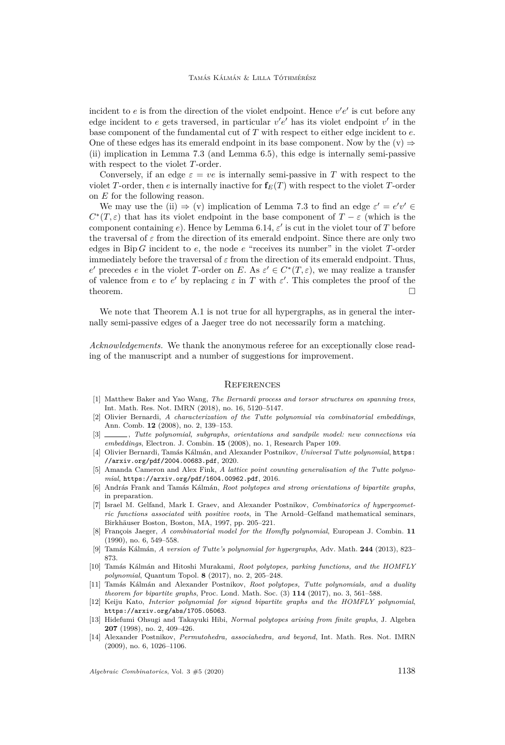incident to  $e$  is from the direction of the violet endpoint. Hence  $v'e'$  is cut before any edge incident to  $e$  gets traversed, in particular  $v'e'$  has its violet endpoint  $v'$  in the base component of the fundamental cut of *T* with respect to either edge incident to *e*. One of these edges has its emerald endpoint in its base component. Now by the  $(v) \Rightarrow$  $(v) \Rightarrow$ [\(ii\)](#page-30-2) implication in Lemma [7.3](#page-29-3) (and Lemma [6.5\)](#page-23-0), this edge is internally semi-passive with respect to the violet *T*-order.

Conversely, if an edge  $\varepsilon = ve$  is internally semi-passive in T with respect to the violet *T*-order, then *e* is internally inactive for  $f_E(T)$  with respect to the violet *T*-order on *E* for the following reason.

We may use the [\(ii\)](#page-30-2)  $\Rightarrow$  [\(v\)](#page-30-1) implication of Lemma [7.3](#page-29-3) to find an edge  $\varepsilon' = e'v' \in$  $C^*(T,\varepsilon)$  that has its violet endpoint in the base component of  $T-\varepsilon$  (which is the component containing  $e$ ). Hence by Lemma [6.14,](#page-25-1)  $\varepsilon'$  is cut in the violet tour of  $T$  before the traversal of  $\varepsilon$  from the direction of its emerald endpoint. Since there are only two edges in Bip *G* incident to *e*, the node *e* "receives its number" in the violet *T*-order immediately before the traversal of  $\varepsilon$  from the direction of its emerald endpoint. Thus, *e*<sup>*e*</sup> precedes *e* in the violet *T*-order on *E*. As  $\varepsilon' \in C^*(T, \varepsilon)$ , we may realize a transfer of valence from *e* to *e'* by replacing  $\varepsilon$  in *T* with  $\varepsilon'$ . This completes the proof of the theorem.  $\Box$ 

We note that Theorem [A.1](#page-38-0) is not true for all hypergraphs, as in general the internally semi-passive edges of a Jaeger tree do not necessarily form a matching.

*Acknowledgements.* We thank the anonymous referee for an exceptionally close reading of the manuscript and a number of suggestions for improvement.

#### **REFERENCES**

- <span id="page-40-8"></span>[1] Matthew Baker and Yao Wang, *The Bernardi process and torsor structures on spanning trees*, Int. Math. Res. Not. IMRN (2018), no. 16, 5120–5147.
- <span id="page-40-11"></span>[2] Olivier Bernardi, *A characterization of the Tutte polynomial via combinatorial embeddings*, Ann. Comb. **12** (2008), no. 2, 139–153.
- <span id="page-40-2"></span>[3] , *Tutte polynomial, subgraphs, orientations and sandpile model: new connections via embeddings*, Electron. J. Combin. **15** (2008), no. 1, Research Paper 109.
- <span id="page-40-4"></span>[4] Olivier Bernardi, Tamás Kálmán, and Alexander Postnikov, *Universal Tutte polynomial*, [https:](https://arxiv.org/pdf/2004.00683.pdf) [//arxiv.org/pdf/2004.00683.pdf](https://arxiv.org/pdf/2004.00683.pdf), 2020.
- <span id="page-40-3"></span>[5] Amanda Cameron and Alex Fink, *A lattice point counting generalisation of the Tutte polynomial*, <https://arxiv.org/pdf/1604.00962.pdf>, 2016.
- <span id="page-40-12"></span>[6] András Frank and Tamás Kálmán, *Root polytopes and strong orientations of bipartite graphs*, in preparation.
- <span id="page-40-9"></span>[7] Israel M. Gelfand, Mark I. Graev, and Alexander Postnikov, *Combinatorics of hypergeometric functions associated with positive roots*, in The Arnold–Gelfand mathematical seminars, Birkhäuser Boston, Boston, MA, 1997, pp. 205–221.
- <span id="page-40-7"></span>[8] François Jaeger, *A combinatorial model for the Homfly polynomial*, European J. Combin. **11** (1990), no. 6, 549–558.
- <span id="page-40-0"></span>[9] Tamás Kálmán, *A version of Tutte's polynomial for hypergraphs*, Adv. Math. **244** (2013), 823– 873.
- <span id="page-40-10"></span>[10] Tamás Kálmán and Hitoshi Murakami, *Root polytopes, parking functions, and the HOMFLY polynomial*, Quantum Topol. **8** (2017), no. 2, 205–248.
- <span id="page-40-5"></span>[11] Tamás Kálmán and Alexander Postnikov, *Root polytopes, Tutte polynomials, and a duality theorem for bipartite graphs*, Proc. Lond. Math. Soc. (3) **114** (2017), no. 3, 561–588.
- <span id="page-40-13"></span>[12] Keiju Kato, *Interior polynomial for signed bipartite graphs and the HOMFLY polynomial*, <https://arxiv.org/abs/1705.05063>.
- <span id="page-40-6"></span>[13] Hidefumi Ohsugi and Takayuki Hibi, *Normal polytopes arising from finite graphs*, J. Algebra **207** (1998), no. 2, 409–426.
- <span id="page-40-1"></span>[14] Alexander Postnikov, *Permutohedra, associahedra, and beyond*, Int. Math. Res. Not. IMRN (2009), no. 6, 1026–1106.